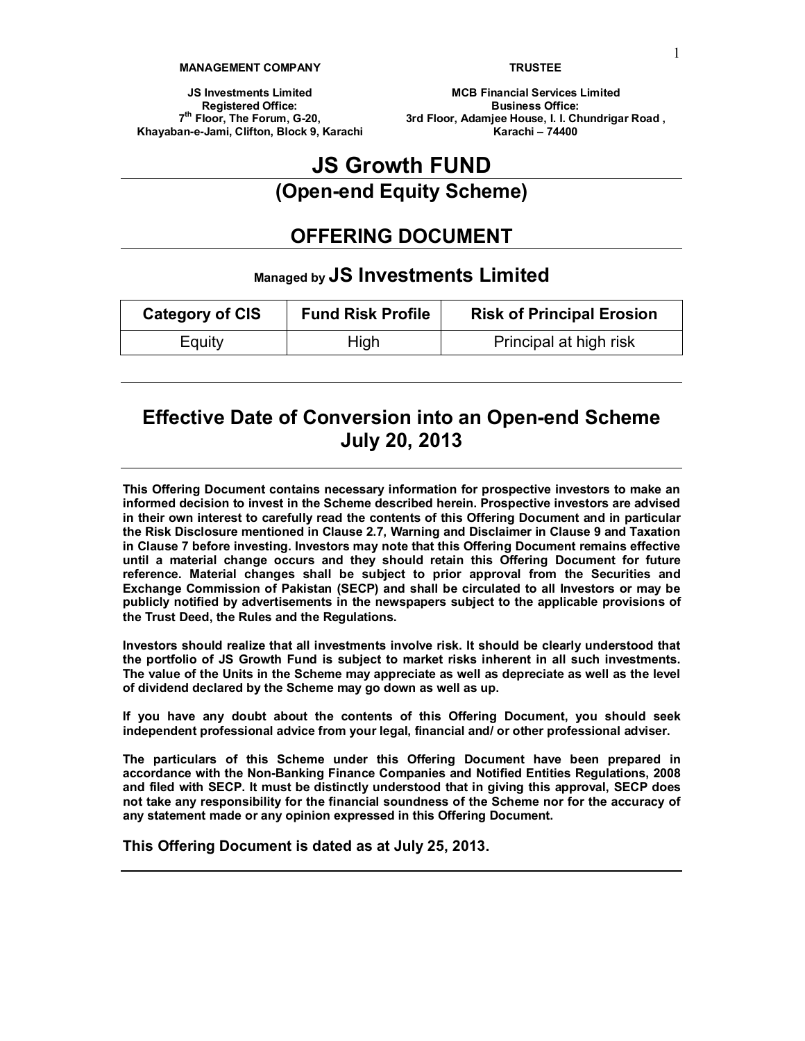#### **MANAGEMENT COMPANY**

**TRUSTEE**

**JS Investments Limited Registered Office: 7th Floor, The Forum, G-20, Khayaban-e-Jami, Clifton, Block 9, Karachi**

**MCB Financial Services Limited Business Office: 3rd Floor, Adamjee House, I. I. Chundrigar Road , Karachi – 74400**

# **JS Growth FUND**

**(Open-end Equity Scheme)**

# **OFFERING DOCUMENT**

# **Managed by JS Investments Limited**

| <b>Category of CIS</b> | <b>Fund Risk Profile</b> | <b>Risk of Principal Erosion</b> |  |  |
|------------------------|--------------------------|----------------------------------|--|--|
| Equity                 | High                     | Principal at high risk           |  |  |

# **Effective Date of Conversion into an Open-end Scheme July 20, 2013**

**This Offering Document contains necessary information for prospective investors to make an informed decision to invest in the Scheme described herein. Prospective investors are advised in their own interest to carefully read the contents of this Offering Document and in particular the Risk Disclosure mentioned in Clause 2.7, Warning and Disclaimer in Clause 9 and Taxation in Clause 7 before investing. Investors may note that this Offering Document remains effective until a material change occurs and they should retain this Offering Document for future reference. Material changes shall be subject to prior approval from the Securities and Exchange Commission of Pakistan (SECP) and shall be circulated to all Investors or may be publicly notified by advertisements in the newspapers subject to the applicable provisions of the Trust Deed, the Rules and the Regulations.**

**Investors should realize that all investments involve risk. It should be clearly understood that the portfolio of JS Growth Fund is subject to market risks inherent in all such investments.** The value of the Units in the Scheme may appreciate as well as depreciate as well as the level **of dividend declared by the Scheme may go down as well as up.**

**If you have any doubt about the contents of this Offering Document, you should seek independent professional advice from your legal, financial and/ or other professional adviser.**

**The particulars of this Scheme under this Offering Document have been prepared in accordance with the Non-Banking Finance Companies and Notified Entities Regulations, 2008 and filed with SECP. It must be distinctly understood that in giving this approval, SECP does not take any responsibility for the financial soundness of the Scheme nor for the accuracy of any statement made or any opinion expressed in this Offering Document.**

**This Offering Document is dated as at July 25, 2013.**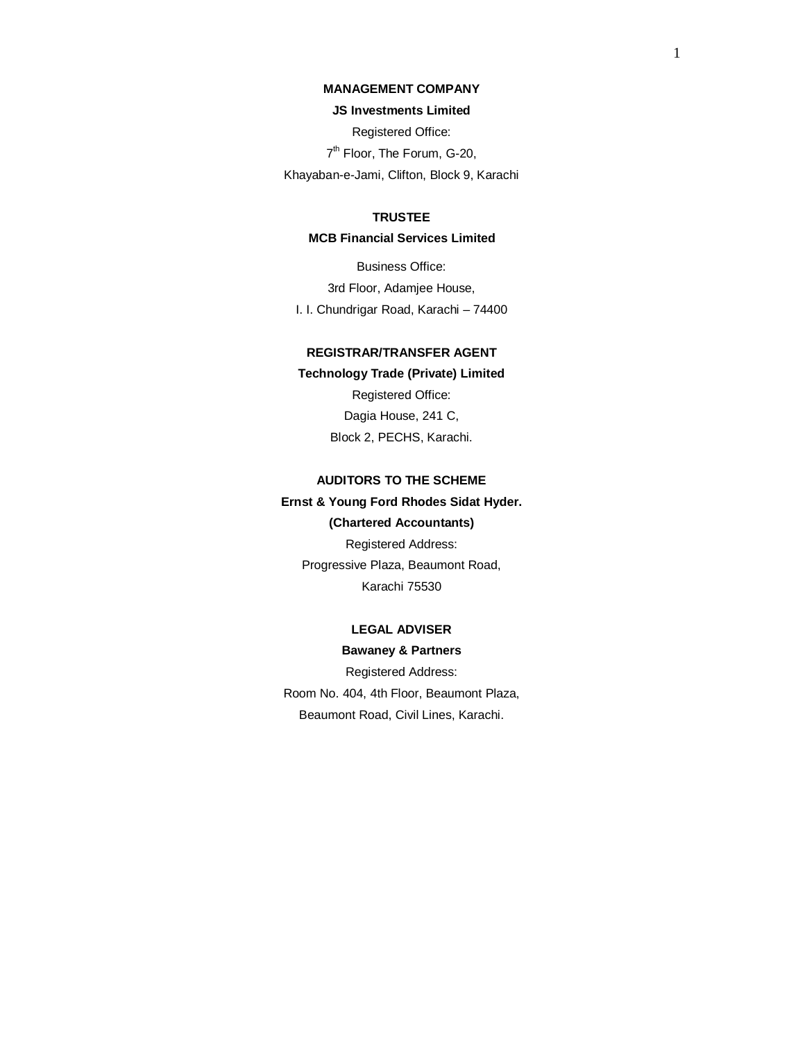# **MANAGEMENT COMPANY**

#### **JS Investments Limited**

Registered Office:

7<sup>th</sup> Floor, The Forum, G-20,

Khayaban-e-Jami, Clifton, Block 9, Karachi

# **TRUSTEE**

# **MCB Financial Services Limited**

Business Office: 3rd Floor, Adamjee House, I. I. Chundrigar Road, Karachi – 74400

# **REGISTRAR/TRANSFER AGENT**

**Technology Trade (Private) Limited** Registered Office: Dagia House, 241 C, Block 2, PECHS, Karachi.

# **AUDITORS TO THE SCHEME**

# **Ernst & Young Ford Rhodes Sidat Hyder.**

**(Chartered Accountants)** Registered Address: Progressive Plaza, Beaumont Road, Karachi 75530

# **LEGAL ADVISER Bawaney & Partners**

Registered Address: Room No. 404, 4th Floor, Beaumont Plaza, Beaumont Road, Civil Lines, Karachi.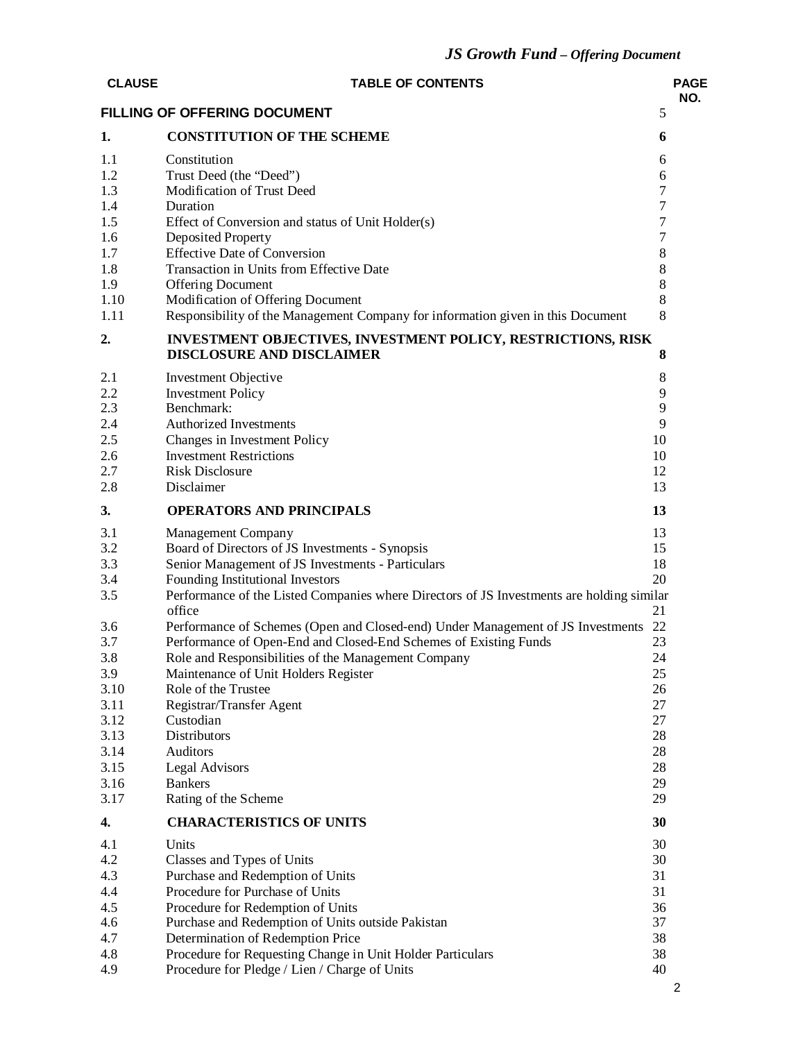| <b>CLAUSE</b> | <b>TABLE OF CONTENTS</b>                                                                            |                            | <b>PAGE</b><br>NO. |
|---------------|-----------------------------------------------------------------------------------------------------|----------------------------|--------------------|
|               | <b>FILLING OF OFFERING DOCUMENT</b>                                                                 | 5                          |                    |
| 1.            | <b>CONSTITUTION OF THE SCHEME</b>                                                                   | 6                          |                    |
| 1.1           | Constitution                                                                                        | 6                          |                    |
| 1.2           | Trust Deed (the "Deed")                                                                             | 6                          |                    |
| 1.3           | Modification of Trust Deed                                                                          | $\tau$                     |                    |
| 1.4<br>1.5    | Duration                                                                                            | $\tau$<br>$\boldsymbol{7}$ |                    |
| 1.6           | Effect of Conversion and status of Unit Holder(s)<br>Deposited Property                             | $\boldsymbol{7}$           |                    |
| 1.7           | <b>Effective Date of Conversion</b>                                                                 | $\,8\,$                    |                    |
| 1.8           | Transaction in Units from Effective Date                                                            | 8                          |                    |
| 1.9           | <b>Offering Document</b>                                                                            | 8                          |                    |
| 1.10          | Modification of Offering Document                                                                   | 8                          |                    |
| 1.11          | Responsibility of the Management Company for information given in this Document                     | 8                          |                    |
| 2.            | <b>INVESTMENT OBJECTIVES, INVESTMENT POLICY, RESTRICTIONS, RISK</b>                                 |                            |                    |
|               | <b>DISCLOSURE AND DISCLAIMER</b>                                                                    | 8                          |                    |
| 2.1           | Investment Objective                                                                                | 8                          |                    |
| 2.2<br>2.3    | <b>Investment Policy</b><br>Benchmark:                                                              | 9<br>9                     |                    |
| 2.4           | <b>Authorized Investments</b>                                                                       | 9                          |                    |
| 2.5           | Changes in Investment Policy                                                                        | 10                         |                    |
| 2.6           | <b>Investment Restrictions</b>                                                                      | 10                         |                    |
| 2.7           | <b>Risk Disclosure</b>                                                                              | 12                         |                    |
| 2.8           | Disclaimer                                                                                          | 13                         |                    |
| 3.            | <b>OPERATORS AND PRINCIPALS</b>                                                                     | 13                         |                    |
| 3.1           | <b>Management Company</b>                                                                           | 13                         |                    |
| 3.2           | Board of Directors of JS Investments - Synopsis                                                     | 15                         |                    |
| 3.3           | Senior Management of JS Investments - Particulars                                                   | 18                         |                    |
| 3.4           | Founding Institutional Investors                                                                    | 20                         |                    |
| 3.5           | Performance of the Listed Companies where Directors of JS Investments are holding similar<br>office | 21                         |                    |
| 3.6           | Performance of Schemes (Open and Closed-end) Under Management of JS Investments                     | 22                         |                    |
| 3.7           | Performance of Open-End and Closed-End Schemes of Existing Funds                                    | 23                         |                    |
| 3.8           | Role and Responsibilities of the Management Company                                                 | 24                         |                    |
| 3.9           | Maintenance of Unit Holders Register                                                                | 25                         |                    |
| 3.10          | Role of the Trustee                                                                                 | 26                         |                    |
| 3.11          | Registrar/Transfer Agent                                                                            | 27                         |                    |
| 3.12          | Custodian                                                                                           | 27                         |                    |
| 3.13          | Distributors                                                                                        | 28                         |                    |
| 3.14          | <b>Auditors</b>                                                                                     | 28                         |                    |
| 3.15<br>3.16  | <b>Legal Advisors</b><br><b>Bankers</b>                                                             | 28<br>29                   |                    |
| 3.17          | Rating of the Scheme                                                                                | 29                         |                    |
| 4.            | <b>CHARACTERISTICS OF UNITS</b>                                                                     | 30                         |                    |
| 4.1           | Units                                                                                               | 30                         |                    |
| 4.2           | Classes and Types of Units                                                                          | 30                         |                    |
| 4.3           | Purchase and Redemption of Units                                                                    | 31                         |                    |
| 4.4           | Procedure for Purchase of Units                                                                     | 31                         |                    |
| 4.5           | Procedure for Redemption of Units                                                                   | 36                         |                    |
| 4.6           | Purchase and Redemption of Units outside Pakistan                                                   | 37                         |                    |
| 4.7           | Determination of Redemption Price                                                                   | 38                         |                    |
| 4.8           | Procedure for Requesting Change in Unit Holder Particulars                                          | 38                         |                    |
| 4.9           | Procedure for Pledge / Lien / Charge of Units                                                       | 40                         |                    |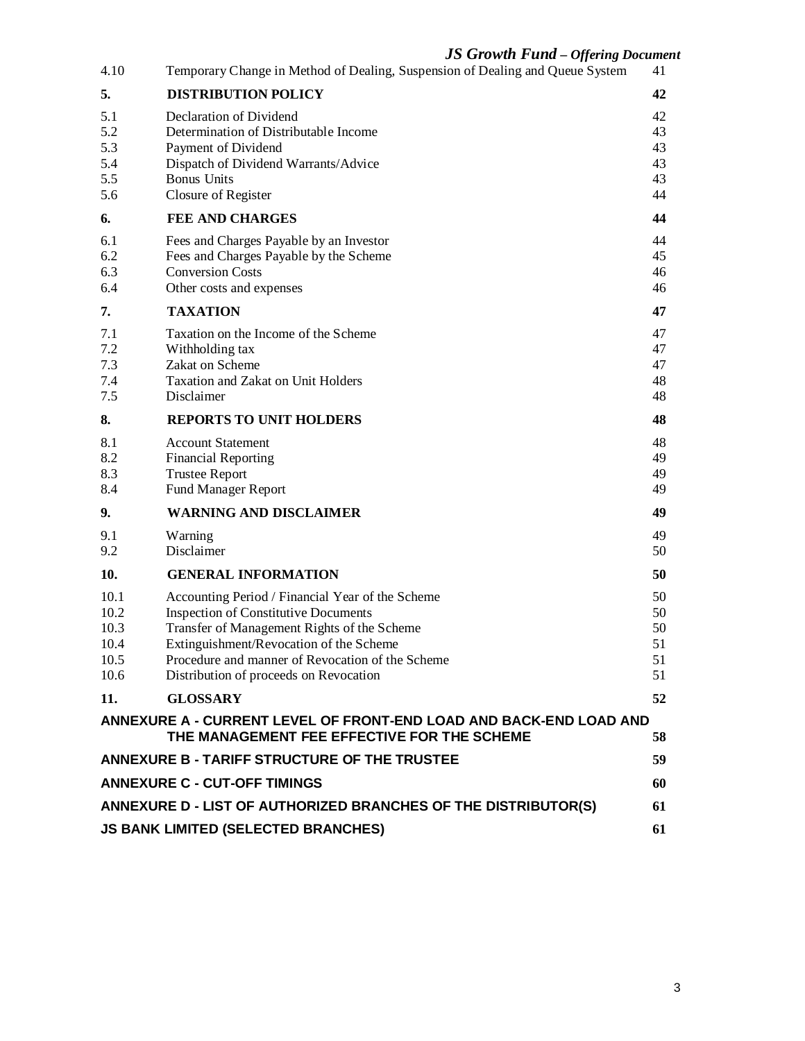# *JS Growth Fund – Offering Document*

|                                                                             | JƏ Growin Funa – Offering Documer                                                                                                                                                                                                                                                       |                                  |  |  |  |  |
|-----------------------------------------------------------------------------|-----------------------------------------------------------------------------------------------------------------------------------------------------------------------------------------------------------------------------------------------------------------------------------------|----------------------------------|--|--|--|--|
| 4.10                                                                        | Temporary Change in Method of Dealing, Suspension of Dealing and Queue System                                                                                                                                                                                                           | 41                               |  |  |  |  |
| 5.                                                                          | <b>DISTRIBUTION POLICY</b>                                                                                                                                                                                                                                                              | 42                               |  |  |  |  |
| 5.1<br>5.2<br>5.3<br>5.4<br>5.5<br>5.6                                      | Declaration of Dividend<br>Determination of Distributable Income<br>Payment of Dividend<br>Dispatch of Dividend Warrants/Advice<br><b>Bonus Units</b><br>Closure of Register                                                                                                            | 42<br>43<br>43<br>43<br>43<br>44 |  |  |  |  |
| 6.                                                                          | <b>FEE AND CHARGES</b>                                                                                                                                                                                                                                                                  | 44                               |  |  |  |  |
| 6.1<br>6.2<br>6.3<br>6.4                                                    | Fees and Charges Payable by an Investor<br>Fees and Charges Payable by the Scheme<br><b>Conversion Costs</b><br>Other costs and expenses                                                                                                                                                | 44<br>45<br>46<br>46             |  |  |  |  |
| 7.                                                                          | <b>TAXATION</b>                                                                                                                                                                                                                                                                         | 47                               |  |  |  |  |
| 7.1<br>7.2<br>7.3<br>7.4<br>7.5                                             | Taxation on the Income of the Scheme<br>Withholding tax<br>Zakat on Scheme<br>Taxation and Zakat on Unit Holders<br>Disclaimer                                                                                                                                                          | 47<br>47<br>47<br>48<br>48       |  |  |  |  |
| 8.                                                                          | <b>REPORTS TO UNIT HOLDERS</b>                                                                                                                                                                                                                                                          | 48                               |  |  |  |  |
| 8.1<br>8.2<br>8.3<br>8.4                                                    | <b>Account Statement</b><br><b>Financial Reporting</b><br><b>Trustee Report</b><br><b>Fund Manager Report</b>                                                                                                                                                                           | 48<br>49<br>49<br>49             |  |  |  |  |
| 9.                                                                          | <b>WARNING AND DISCLAIMER</b>                                                                                                                                                                                                                                                           | 49                               |  |  |  |  |
| 9.1<br>9.2                                                                  | Warning<br>Disclaimer                                                                                                                                                                                                                                                                   | 49<br>50                         |  |  |  |  |
| 10.                                                                         | <b>GENERAL INFORMATION</b>                                                                                                                                                                                                                                                              | 50                               |  |  |  |  |
| 10.1<br>10.2<br>10.3<br>10.4<br>10.5<br>10.6                                | Accounting Period / Financial Year of the Scheme<br><b>Inspection of Constitutive Documents</b><br>Transfer of Management Rights of the Scheme<br>Extinguishment/Revocation of the Scheme<br>Procedure and manner of Revocation of the Scheme<br>Distribution of proceeds on Revocation | 50<br>50<br>50<br>51<br>51<br>51 |  |  |  |  |
| 11.                                                                         | <b>GLOSSARY</b>                                                                                                                                                                                                                                                                         | 52                               |  |  |  |  |
|                                                                             | ANNEXURE A - CURRENT LEVEL OF FRONT-END LOAD AND BACK-END LOAD AND<br>THE MANAGEMENT FEE EFFECTIVE FOR THE SCHEME                                                                                                                                                                       | 58                               |  |  |  |  |
|                                                                             | ANNEXURE B - TARIFF STRUCTURE OF THE TRUSTEE                                                                                                                                                                                                                                            | 59                               |  |  |  |  |
|                                                                             | <b>ANNEXURE C - CUT-OFF TIMINGS</b>                                                                                                                                                                                                                                                     | 60                               |  |  |  |  |
| <b>ANNEXURE D - LIST OF AUTHORIZED BRANCHES OF THE DISTRIBUTOR(S)</b><br>61 |                                                                                                                                                                                                                                                                                         |                                  |  |  |  |  |
|                                                                             | <b>JS BANK LIMITED (SELECTED BRANCHES)</b><br>61                                                                                                                                                                                                                                        |                                  |  |  |  |  |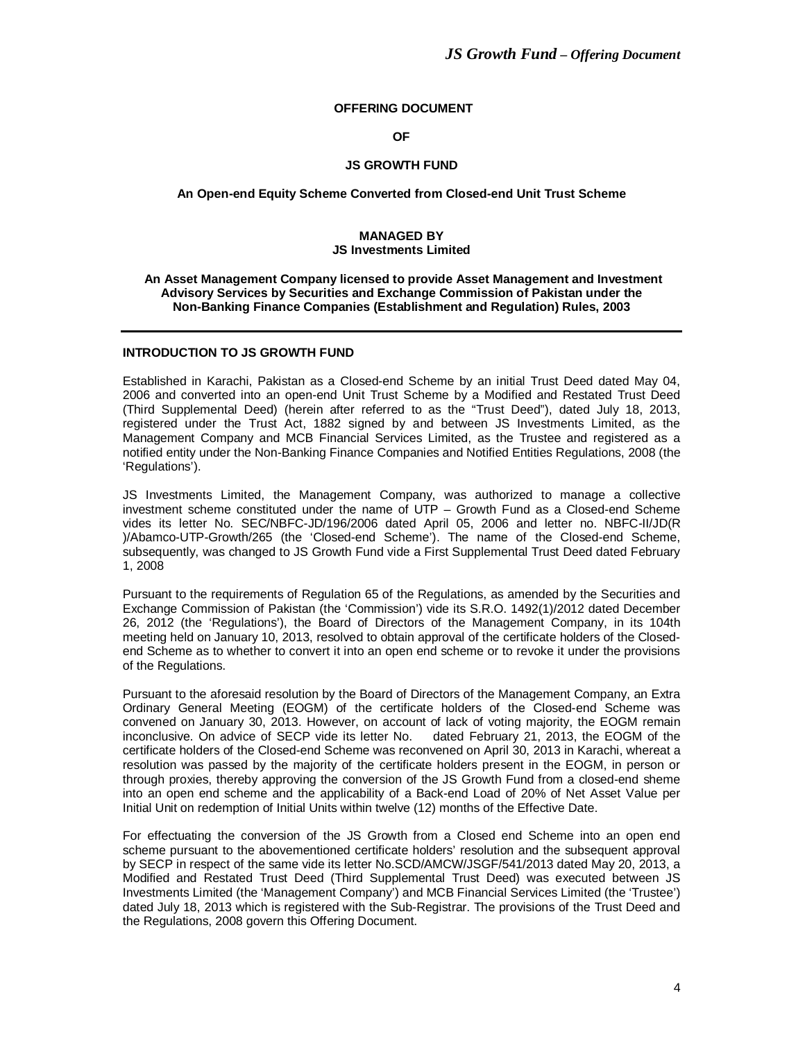# **OFFERING DOCUMENT**

**OF**

#### **JS GROWTH FUND**

#### **An Open-end Equity Scheme Converted from Closed-end Unit Trust Scheme**

#### **MANAGED BY JS Investments Limited**

#### **An Asset Management Company licensed to provide Asset Management and Investment Advisory Services by Securities and Exchange Commission of Pakistan under the Non-Banking Finance Companies (Establishment and Regulation) Rules, 2003**

#### **INTRODUCTION TO JS GROWTH FUND**

Established in Karachi, Pakistan as a Closed-end Scheme by an initial Trust Deed dated May 04, 2006 and converted into an open-end Unit Trust Scheme by a Modified and Restated Trust Deed (Third Supplemental Deed) (herein after referred to as the "Trust Deed"), dated July 18, 2013, registered under the Trust Act, 1882 signed by and between JS Investments Limited, as the Management Company and MCB Financial Services Limited, as the Trustee and registered as a notified entity under the Non-Banking Finance Companies and Notified Entities Regulations, 2008 (the 'Regulations').

JS Investments Limited, the Management Company, was authorized to manage a collective investment scheme constituted under the name of UTP – Growth Fund as a Closed-end Scheme vides its letter No. SEC/NBFC-JD/196/2006 dated April 05, 2006 and letter no. NBFC-II/JD(R )/Abamco-UTP-Growth/265 (the 'Closed-end Scheme'). The name of the Closed-end Scheme, subsequently, was changed to JS Growth Fund vide a First Supplemental Trust Deed dated February 1, 2008

Pursuant to the requirements of Regulation 65 of the Regulations, as amended by the Securities and Exchange Commission of Pakistan (the 'Commission') vide its S.R.O. 1492(1)/2012 dated December 26, 2012 (the 'Regulations'), the Board of Directors of the Management Company, in its 104th meeting held on January 10, 2013, resolved to obtain approval of the certificate holders of the Closedend Scheme as to whether to convert it into an open end scheme or to revoke it under the provisions of the Regulations.

Pursuant to the aforesaid resolution by the Board of Directors of the Management Company, an Extra Ordinary General Meeting (EOGM) of the certificate holders of the Closed-end Scheme was convened on January 30, 2013. However, on account of lack of voting majority, the EOGM remain inconclusive. On advice of SECP vide its letter No. dated February 21, 2013, the EOGM of the certificate holders of the Closed-end Scheme was reconvened on April 30, 2013 in Karachi, whereat a resolution was passed by the majority of the certificate holders present in the EOGM, in person or through proxies, thereby approving the conversion of the JS Growth Fund from a closed-end sheme into an open end scheme and the applicability of a Back-end Load of 20% of Net Asset Value per Initial Unit on redemption of Initial Units within twelve (12) months of the Effective Date.

For effectuating the conversion of the JS Growth from a Closed end Scheme into an open end scheme pursuant to the abovementioned certificate holders' resolution and the subsequent approval by SECP in respect of the same vide its letter No.SCD/AMCW/JSGF/541/2013 dated May 20, 2013, a Modified and Restated Trust Deed (Third Supplemental Trust Deed) was executed between JS Investments Limited (the 'Management Company') and MCB Financial Services Limited (the 'Trustee') dated July 18, 2013 which is registered with the Sub-Registrar. The provisions of the Trust Deed and the Regulations, 2008 govern this Offering Document.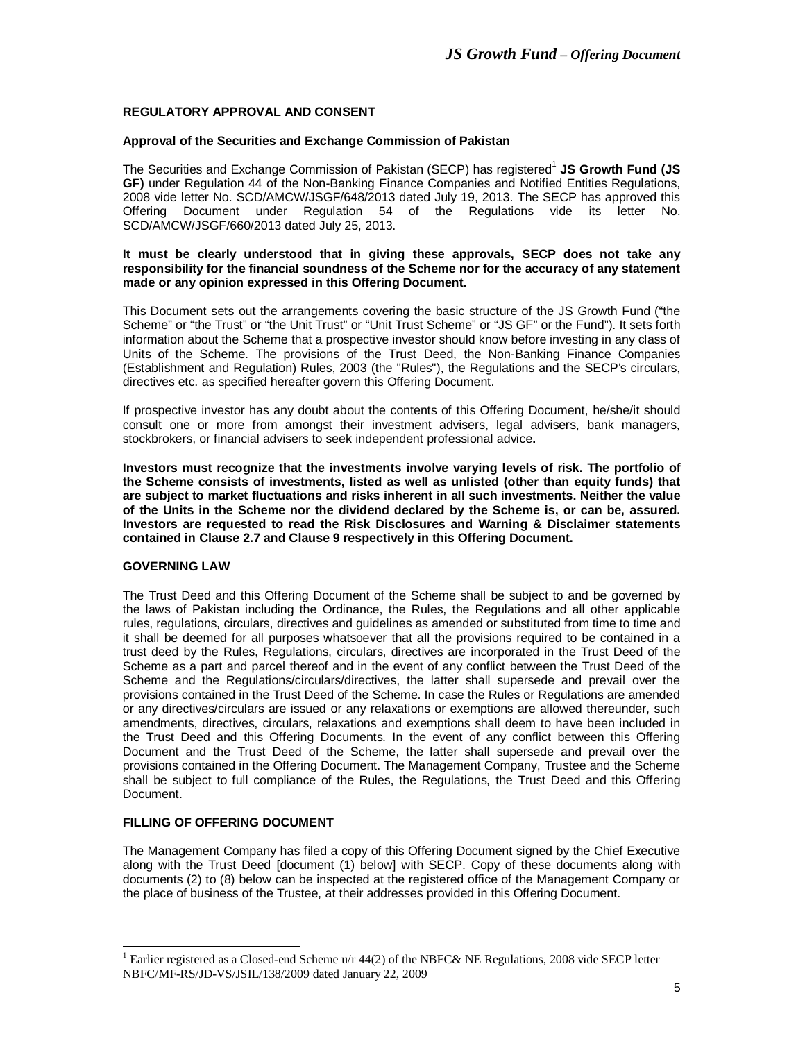# **REGULATORY APPROVAL AND CONSENT**

## **Approval of the Securities and Exchange Commission of Pakistan**

The Securities and Exchange Commission of Pakistan (SECP) has registered<sup>1</sup> JS Growth Fund (JS **GF)** under Regulation 44 of the Non-Banking Finance Companies and Notified Entities Regulations, 2008 vide letter No. SCD/AMCW/JSGF/648/2013 dated July 19, 2013. The SECP has approved this Offering Document under Regulation 54 of the Regulations vide its letter No. SCD/AMCW/JSGF/660/2013 dated July 25, 2013.

#### **It must be clearly understood that in giving these approvals, SECP does not take any responsibility for the financial soundness of the Scheme nor for the accuracy of any statement made or any opinion expressed in this Offering Document.**

This Document sets out the arrangements covering the basic structure of the JS Growth Fund ("the Scheme" or "the Trust" or "the Unit Trust" or "Unit Trust Scheme" or "JS GF" or the Fund"). It sets forth information about the Scheme that a prospective investor should know before investing in any class of Units of the Scheme. The provisions of the Trust Deed, the Non-Banking Finance Companies (Establishment and Regulation) Rules, 2003 (the "Rules"), the Regulations and the SECP's circulars, directives etc. as specified hereafter govern this Offering Document.

If prospective investor has any doubt about the contents of this Offering Document, he/she/it should consult one or more from amongst their investment advisers, legal advisers, bank managers, stockbrokers, or financial advisers to seek independent professional advice**.**

**Investors must recognize that the investments involve varying levels of risk. The portfolio of the Scheme consists of investments, listed as well as unlisted (other than equity funds) that are subject to market fluctuations and risks inherent in all such investments. Neither the value of the Units in the Scheme nor the dividend declared by the Scheme is, or can be, assured. Investors are requested to read the Risk Disclosures and Warning & Disclaimer statements contained in Clause 2.7 and Clause 9 respectively in this Offering Document.**

# **GOVERNING LAW**

-

The Trust Deed and this Offering Document of the Scheme shall be subject to and be governed by the laws of Pakistan including the Ordinance, the Rules, the Regulations and all other applicable rules, regulations, circulars, directives and guidelines as amended or substituted from time to time and it shall be deemed for all purposes whatsoever that all the provisions required to be contained in a trust deed by the Rules, Regulations, circulars, directives are incorporated in the Trust Deed of the Scheme as a part and parcel thereof and in the event of any conflict between the Trust Deed of the Scheme and the Regulations/circulars/directives, the latter shall supersede and prevail over the provisions contained in the Trust Deed of the Scheme. In case the Rules or Regulations are amended or any directives/circulars are issued or any relaxations or exemptions are allowed thereunder, such amendments, directives, circulars, relaxations and exemptions shall deem to have been included in the Trust Deed and this Offering Documents. In the event of any conflict between this Offering Document and the Trust Deed of the Scheme, the latter shall supersede and prevail over the provisions contained in the Offering Document. The Management Company, Trustee and the Scheme shall be subject to full compliance of the Rules, the Regulations, the Trust Deed and this Offering Document.

# **FILLING OF OFFERING DOCUMENT**

The Management Company has filed a copy of this Offering Document signed by the Chief Executive along with the Trust Deed [document (1) below] with SECP. Copy of these documents along with documents (2) to (8) below can be inspected at the registered office of the Management Company or the place of business of the Trustee, at their addresses provided in this Offering Document.

<sup>&</sup>lt;sup>1</sup> Earlier registered as a Closed-end Scheme u/r 44(2) of the NBFC& NE Regulations, 2008 vide SECP letter NBFC/MF-RS/JD-VS/JSIL/138/2009 dated January 22, 2009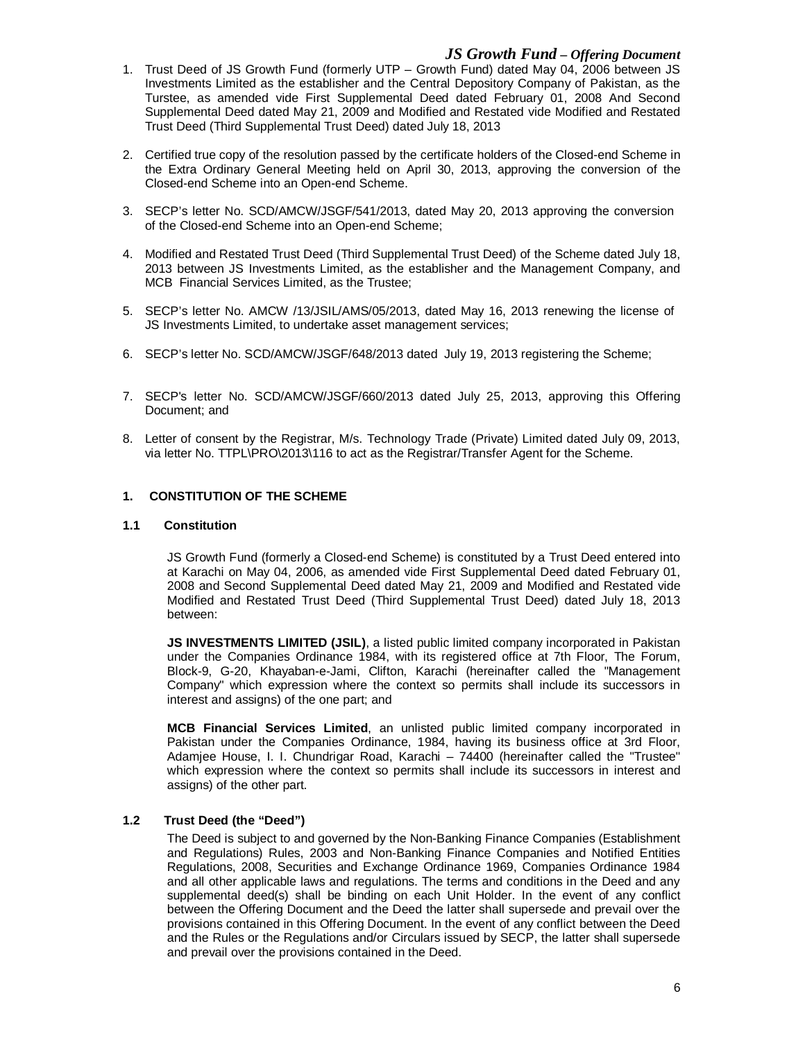- 1. Trust Deed of JS Growth Fund (formerly UTP Growth Fund) dated May 04, 2006 between JS Investments Limited as the establisher and the Central Depository Company of Pakistan, as the Turstee, as amended vide First Supplemental Deed dated February 01, 2008 And Second Supplemental Deed dated May 21, 2009 and Modified and Restated vide Modified and Restated Trust Deed (Third Supplemental Trust Deed) dated July 18, 2013
- 2. Certified true copy of the resolution passed by the certificate holders of the Closed-end Scheme in the Extra Ordinary General Meeting held on April 30, 2013, approving the conversion of the Closed-end Scheme into an Open-end Scheme.
- 3. SECP's letter No. SCD/AMCW/JSGF/541/2013, dated May 20, 2013 approving the conversion of the Closed-end Scheme into an Open-end Scheme;
- 4. Modified and Restated Trust Deed (Third Supplemental Trust Deed) of the Scheme dated July 18, 2013 between JS Investments Limited, as the establisher and the Management Company, and MCB Financial Services Limited, as the Trustee;
- 5. SECP's letter No. AMCW /13/JSIL/AMS/05/2013, dated May 16, 2013 renewing the license of JS Investments Limited, to undertake asset management services;
- 6. SECP's letter No. SCD/AMCW/JSGF/648/2013 dated July 19, 2013 registering the Scheme;
- 7. SECP's letter No. SCD/AMCW/JSGF/660/2013 dated July 25, 2013, approving this Offering Document; and
- 8. Letter of consent by the Registrar, M/s. Technology Trade (Private) Limited dated July 09, 2013, via letter No. TTPL\PRO\2013\116 to act as the Registrar/Transfer Agent for the Scheme.

## **1. CONSTITUTION OF THE SCHEME**

#### **1.1 Constitution**

JS Growth Fund (formerly a Closed-end Scheme) is constituted by a Trust Deed entered into at Karachi on May 04, 2006, as amended vide First Supplemental Deed dated February 01, 2008 and Second Supplemental Deed dated May 21, 2009 and Modified and Restated vide Modified and Restated Trust Deed (Third Supplemental Trust Deed) dated July 18, 2013 between:

**JS INVESTMENTS LIMITED (JSIL)**, a listed public limited company incorporated in Pakistan under the Companies Ordinance 1984, with its registered office at 7th Floor, The Forum, Block-9, G-20, Khayaban-e-Jami, Clifton, Karachi (hereinafter called the "Management Company" which expression where the context so permits shall include its successors in interest and assigns) of the one part; and

**MCB Financial Services Limited**, an unlisted public limited company incorporated in Pakistan under the Companies Ordinance, 1984, having its business office at 3rd Floor, Adamjee House, I. I. Chundrigar Road, Karachi – 74400 (hereinafter called the "Trustee" which expression where the context so permits shall include its successors in interest and assigns) of the other part.

# **1.2 Trust Deed (the "Deed")**

The Deed is subject to and governed by the Non-Banking Finance Companies (Establishment and Regulations) Rules, 2003 and Non-Banking Finance Companies and Notified Entities Regulations, 2008, Securities and Exchange Ordinance 1969, Companies Ordinance 1984 and all other applicable laws and regulations. The terms and conditions in the Deed and any supplemental deed(s) shall be binding on each Unit Holder. In the event of any conflict between the Offering Document and the Deed the latter shall supersede and prevail over the provisions contained in this Offering Document. In the event of any conflict between the Deed and the Rules or the Regulations and/or Circulars issued by SECP, the latter shall supersede and prevail over the provisions contained in the Deed.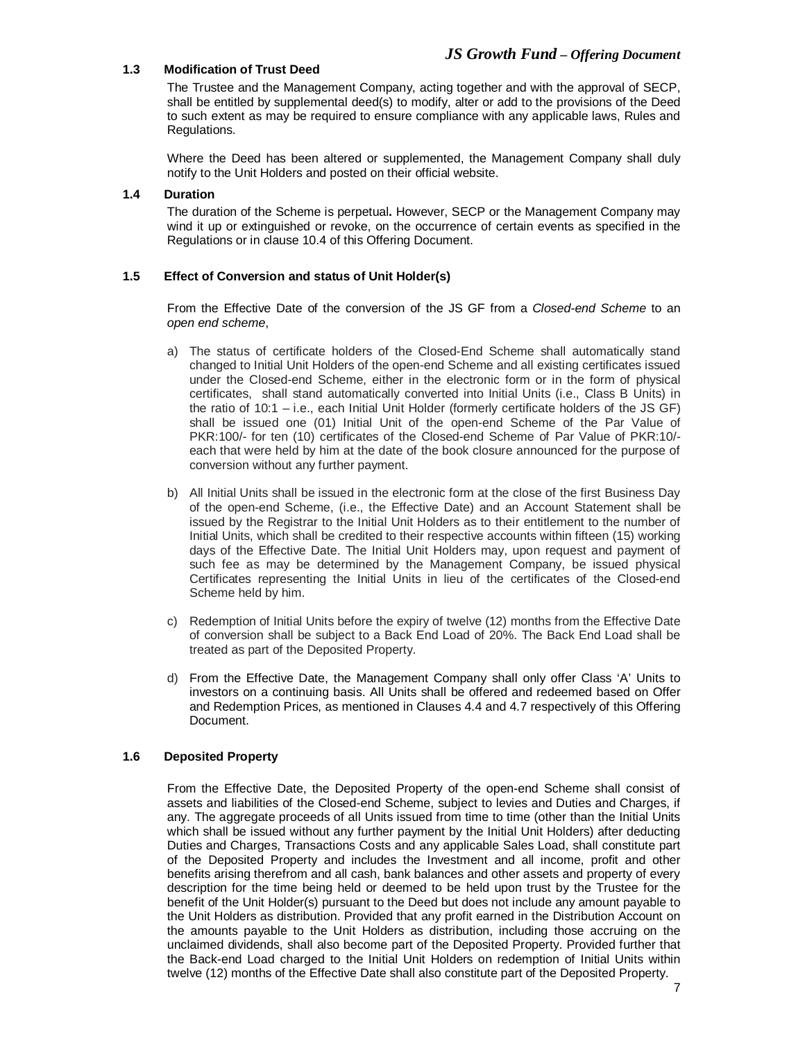# **1.3 Modification of Trust Deed**

The Trustee and the Management Company, acting together and with the approval of SECP, shall be entitled by supplemental deed(s) to modify, alter or add to the provisions of the Deed to such extent as may be required to ensure compliance with any applicable laws, Rules and Regulations.

Where the Deed has been altered or supplemented, the Management Company shall duly notify to the Unit Holders and posted on their official website.

# **1.4 Duration**

The duration of the Scheme is perpetual**.** However, SECP or the Management Company may wind it up or extinguished or revoke, on the occurrence of certain events as specified in the Regulations or in clause 10.4 of this Offering Document.

## **1.5 Effect of Conversion and status of Unit Holder(s)**

From the Effective Date of the conversion of the JS GF from a *Closed-end Scheme* to an *open end scheme*,

- a) The status of certificate holders of the Closed-End Scheme shall automatically stand changed to Initial Unit Holders of the open-end Scheme and all existing certificates issued under the Closed-end Scheme, either in the electronic form or in the form of physical certificates, shall stand automatically converted into Initial Units (i.e., Class B Units) in the ratio of 10:1 – i.e., each Initial Unit Holder (formerly certificate holders of the JS GF) shall be issued one (01) Initial Unit of the open-end Scheme of the Par Value of PKR:100/- for ten (10) certificates of the Closed-end Scheme of Par Value of PKR:10/each that were held by him at the date of the book closure announced for the purpose of conversion without any further payment.
- b) All Initial Units shall be issued in the electronic form at the close of the first Business Day of the open-end Scheme, (i.e., the Effective Date) and an Account Statement shall be issued by the Registrar to the Initial Unit Holders as to their entitlement to the number of Initial Units, which shall be credited to their respective accounts within fifteen (15) working days of the Effective Date. The Initial Unit Holders may, upon request and payment of such fee as may be determined by the Management Company, be issued physical Certificates representing the Initial Units in lieu of the certificates of the Closed-end Scheme held by him.
- c) Redemption of Initial Units before the expiry of twelve (12) months from the Effective Date of conversion shall be subject to a Back End Load of 20%. The Back End Load shall be treated as part of the Deposited Property.
- d) From the Effective Date, the Management Company shall only offer Class 'A' Units to investors on a continuing basis. All Units shall be offered and redeemed based on Offer and Redemption Prices, as mentioned in Clauses 4.4 and 4.7 respectively of this Offering Document.

# **1.6 Deposited Property**

From the Effective Date, the Deposited Property of the open-end Scheme shall consist of assets and liabilities of the Closed-end Scheme, subject to levies and Duties and Charges, if any. The aggregate proceeds of all Units issued from time to time (other than the Initial Units which shall be issued without any further payment by the Initial Unit Holders) after deducting Duties and Charges, Transactions Costs and any applicable Sales Load, shall constitute part of the Deposited Property and includes the Investment and all income, profit and other benefits arising therefrom and all cash, bank balances and other assets and property of every description for the time being held or deemed to be held upon trust by the Trustee for the benefit of the Unit Holder(s) pursuant to the Deed but does not include any amount payable to the Unit Holders as distribution. Provided that any profit earned in the Distribution Account on the amounts payable to the Unit Holders as distribution, including those accruing on the unclaimed dividends, shall also become part of the Deposited Property. Provided further that the Back-end Load charged to the Initial Unit Holders on redemption of Initial Units within twelve (12) months of the Effective Date shall also constitute part of the Deposited Property.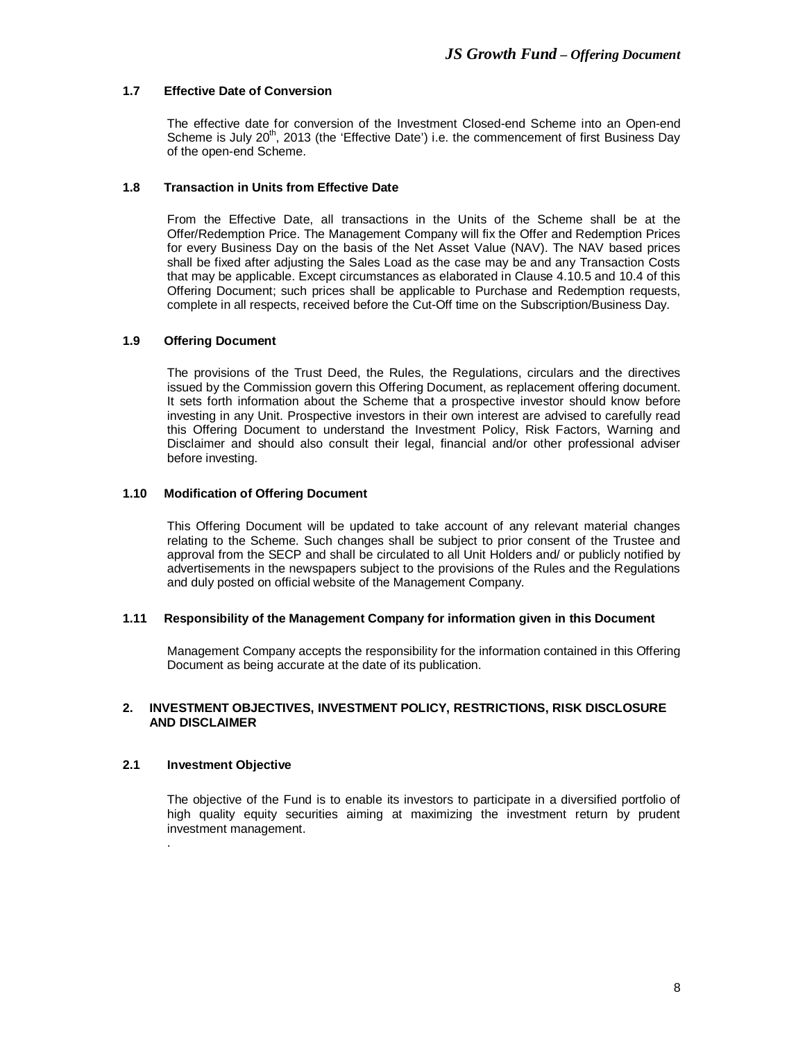# **1.7 Effective Date of Conversion**

The effective date for conversion of the Investment Closed-end Scheme into an Open-end Scheme is July 20<sup>th</sup>, 2013 (the 'Effective Date') i.e. the commencement of first Business Day of the open-end Scheme.

# **1.8 Transaction in Units from Effective Date**

From the Effective Date, all transactions in the Units of the Scheme shall be at the Offer/Redemption Price. The Management Company will fix the Offer and Redemption Prices for every Business Day on the basis of the Net Asset Value (NAV). The NAV based prices shall be fixed after adjusting the Sales Load as the case may be and any Transaction Costs that may be applicable. Except circumstances as elaborated in Clause 4.10.5 and 10.4 of this Offering Document; such prices shall be applicable to Purchase and Redemption requests, complete in all respects, received before the Cut-Off time on the Subscription/Business Day.

# **1.9 Offering Document**

The provisions of the Trust Deed, the Rules, the Regulations, circulars and the directives issued by the Commission govern this Offering Document, as replacement offering document. It sets forth information about the Scheme that a prospective investor should know before investing in any Unit. Prospective investors in their own interest are advised to carefully read this Offering Document to understand the Investment Policy, Risk Factors, Warning and Disclaimer and should also consult their legal, financial and/or other professional adviser before investing.

# **1.10 Modification of Offering Document**

This Offering Document will be updated to take account of any relevant material changes relating to the Scheme. Such changes shall be subject to prior consent of the Trustee and approval from the SECP and shall be circulated to all Unit Holders and/ or publicly notified by advertisements in the newspapers subject to the provisions of the Rules and the Regulations and duly posted on official website of the Management Company.

# **1.11 Responsibility of the Management Company for information given in this Document**

Management Company accepts the responsibility for the information contained in this Offering Document as being accurate at the date of its publication.

## **2. INVESTMENT OBJECTIVES, INVESTMENT POLICY, RESTRICTIONS, RISK DISCLOSURE AND DISCLAIMER**

# **2.1 Investment Objective**

.

The objective of the Fund is to enable its investors to participate in a diversified portfolio of high quality equity securities aiming at maximizing the investment return by prudent investment management.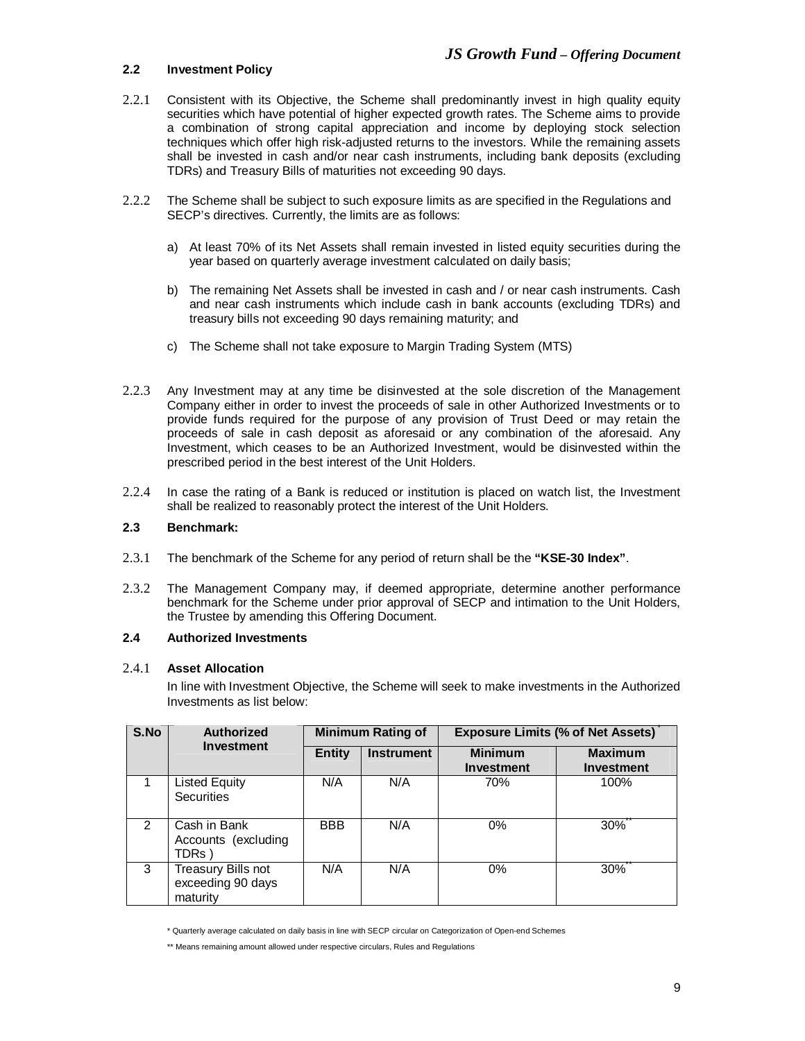# **2.2 Investment Policy**

- 2.2.1 Consistent with its Objective, the Scheme shall predominantly invest in high quality equity securities which have potential of higher expected growth rates. The Scheme aims to provide a combination of strong capital appreciation and income by deploying stock selection techniques which offer high risk-adjusted returns to the investors. While the remaining assets shall be invested in cash and/or near cash instruments, including bank deposits (excluding TDRs) and Treasury Bills of maturities not exceeding 90 days.
- 2.2.2 The Scheme shall be subject to such exposure limits as are specified in the Regulations and SECP's directives. Currently, the limits are as follows:
	- a) At least 70% of its Net Assets shall remain invested in listed equity securities during the year based on quarterly average investment calculated on daily basis;
	- b) The remaining Net Assets shall be invested in cash and / or near cash instruments. Cash and near cash instruments which include cash in bank accounts (excluding TDRs) and treasury bills not exceeding 90 days remaining maturity; and
	- c) The Scheme shall not take exposure to Margin Trading System (MTS)
- 2.2.3 Any Investment may at any time be disinvested at the sole discretion of the Management Company either in order to invest the proceeds of sale in other Authorized Investments or to provide funds required for the purpose of any provision of Trust Deed or may retain the proceeds of sale in cash deposit as aforesaid or any combination of the aforesaid. Any Investment, which ceases to be an Authorized Investment, would be disinvested within the prescribed period in the best interest of the Unit Holders.
- 2.2.4 In case the rating of a Bank is reduced or institution is placed on watch list, the Investment shall be realized to reasonably protect the interest of the Unit Holders.

# **2.3 Benchmark:**

- 2.3.1 The benchmark of the Scheme for any period of return shall be the **"KSE-30 Index"**.
- 2.3.2 The Management Company may, if deemed appropriate, determine another performance benchmark for the Scheme under prior approval of SECP and intimation to the Unit Holders, the Trustee by amending this Offering Document.

#### **2.4 Authorized Investments**

#### 2.4.1 **Asset Allocation**

In line with Investment Objective, the Scheme will seek to make investments in the Authorized Investments as list below:

| S.No | <b>Authorized</b><br><b>Investment</b>              |               | <b>Minimum Rating of</b> | <b>Exposure Limits (% of Net Assets)</b> |                              |  |
|------|-----------------------------------------------------|---------------|--------------------------|------------------------------------------|------------------------------|--|
|      |                                                     | <b>Entity</b> | <b>Instrument</b>        | <b>Minimum</b><br><b>Investment</b>      | <b>Maximum</b><br>Investment |  |
|      | Listed Equity<br><b>Securities</b>                  | N/A           | N/A                      | 70%                                      | 100%                         |  |
| 2    | Cash in Bank<br>Accounts (excluding<br>TDRs )       | <b>BBB</b>    | N/A                      | $0\%$                                    | 30%                          |  |
| 3    | Treasury Bills not<br>exceeding 90 days<br>maturity | N/A           | N/A                      | $0\%$                                    | 30%                          |  |

<sup>\*</sup> Quarterly average calculated on daily basis in line with SECP circular on Categorization of Open-end Schemes

<sup>\*\*</sup> Means remaining amount allowed under respective circulars, Rules and Regulations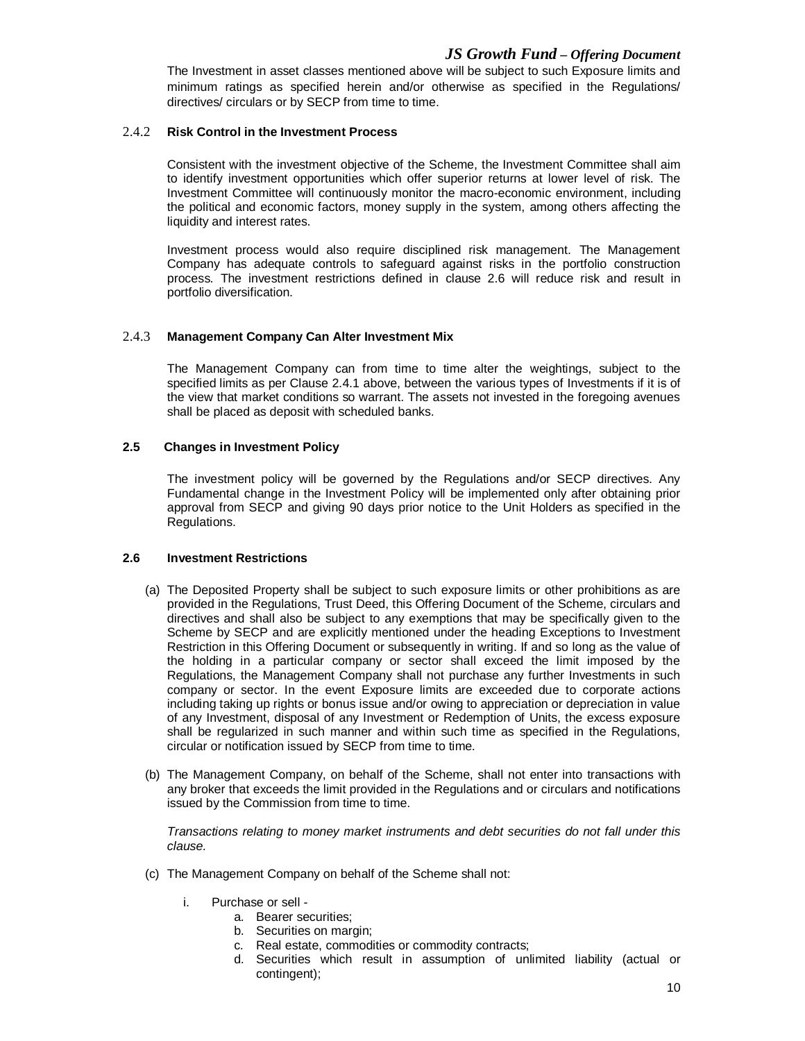The Investment in asset classes mentioned above will be subject to such Exposure limits and minimum ratings as specified herein and/or otherwise as specified in the Regulations/ directives/ circulars or by SECP from time to time.

# 2.4.2 **Risk Control in the Investment Process**

Consistent with the investment objective of the Scheme, the Investment Committee shall aim to identify investment opportunities which offer superior returns at lower level of risk. The Investment Committee will continuously monitor the macro-economic environment, including the political and economic factors, money supply in the system, among others affecting the liquidity and interest rates.

Investment process would also require disciplined risk management. The Management Company has adequate controls to safeguard against risks in the portfolio construction process. The investment restrictions defined in clause 2.6 will reduce risk and result in portfolio diversification.

## 2.4.3 **Management Company Can Alter Investment Mix**

The Management Company can from time to time alter the weightings, subject to the specified limits as per Clause 2.4.1 above, between the various types of Investments if it is of the view that market conditions so warrant. The assets not invested in the foregoing avenues shall be placed as deposit with scheduled banks.

## **2.5 Changes in Investment Policy**

The investment policy will be governed by the Regulations and/or SECP directives. Any Fundamental change in the Investment Policy will be implemented only after obtaining prior approval from SECP and giving 90 days prior notice to the Unit Holders as specified in the Regulations.

#### **2.6 Investment Restrictions**

- (a) The Deposited Property shall be subject to such exposure limits or other prohibitions as are provided in the Regulations, Trust Deed, this Offering Document of the Scheme, circulars and directives and shall also be subject to any exemptions that may be specifically given to the Scheme by SECP and are explicitly mentioned under the heading Exceptions to Investment Restriction in this Offering Document or subsequently in writing. If and so long as the value of the holding in a particular company or sector shall exceed the limit imposed by the Regulations, the Management Company shall not purchase any further Investments in such company or sector. In the event Exposure limits are exceeded due to corporate actions including taking up rights or bonus issue and/or owing to appreciation or depreciation in value of any Investment, disposal of any Investment or Redemption of Units, the excess exposure shall be regularized in such manner and within such time as specified in the Regulations, circular or notification issued by SECP from time to time.
- (b) The Management Company, on behalf of the Scheme, shall not enter into transactions with any broker that exceeds the limit provided in the Regulations and or circulars and notifications issued by the Commission from time to time.

*Transactions relating to money market instruments and debt securities do not fall under this clause.*

- (c) The Management Company on behalf of the Scheme shall not:
	- i. Purchase or sell
		- a. Bearer securities;
		- b. Securities on margin;
		- c. Real estate, commodities or commodity contracts;
		- d. Securities which result in assumption of unlimited liability (actual or contingent);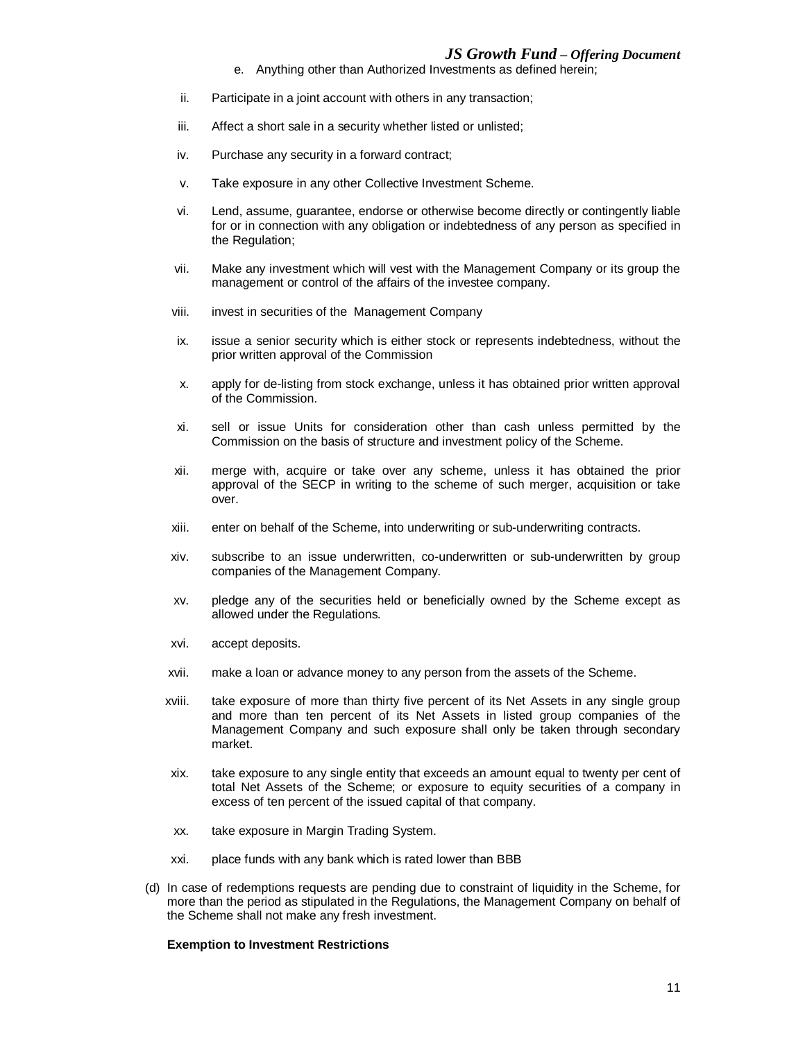- e. Anything other than Authorized Investments as defined herein;
- ii. Participate in a joint account with others in any transaction;
- iii. Affect a short sale in a security whether listed or unlisted;
- iv. Purchase any security in a forward contract;
- v. Take exposure in any other Collective Investment Scheme.
- vi. Lend, assume, guarantee, endorse or otherwise become directly or contingently liable for or in connection with any obligation or indebtedness of any person as specified in the Regulation;
- vii. Make any investment which will vest with the Management Company or its group the management or control of the affairs of the investee company.
- viii. invest in securities of the Management Company
- ix. issue a senior security which is either stock or represents indebtedness, without the prior written approval of the Commission
- x. apply for de-listing from stock exchange, unless it has obtained prior written approval of the Commission.
- xi. sell or issue Units for consideration other than cash unless permitted by the Commission on the basis of structure and investment policy of the Scheme.
- xii. merge with, acquire or take over any scheme, unless it has obtained the prior approval of the SECP in writing to the scheme of such merger, acquisition or take over.
- xiii. enter on behalf of the Scheme, into underwriting or sub-underwriting contracts.
- xiv. subscribe to an issue underwritten, co-underwritten or sub-underwritten by group companies of the Management Company.
- xv. pledge any of the securities held or beneficially owned by the Scheme except as allowed under the Regulations.
- xvi. accept deposits.
- xvii. make a loan or advance money to any person from the assets of the Scheme.
- xviii. take exposure of more than thirty five percent of its Net Assets in any single group and more than ten percent of its Net Assets in listed group companies of the Management Company and such exposure shall only be taken through secondary market.
- xix. take exposure to any single entity that exceeds an amount equal to twenty per cent of total Net Assets of the Scheme; or exposure to equity securities of a company in excess of ten percent of the issued capital of that company.
- xx. take exposure in Margin Trading System.
- xxi. place funds with any bank which is rated lower than BBB
- (d) In case of redemptions requests are pending due to constraint of liquidity in the Scheme, for more than the period as stipulated in the Regulations, the Management Company on behalf of the Scheme shall not make any fresh investment.

#### **Exemption to Investment Restrictions**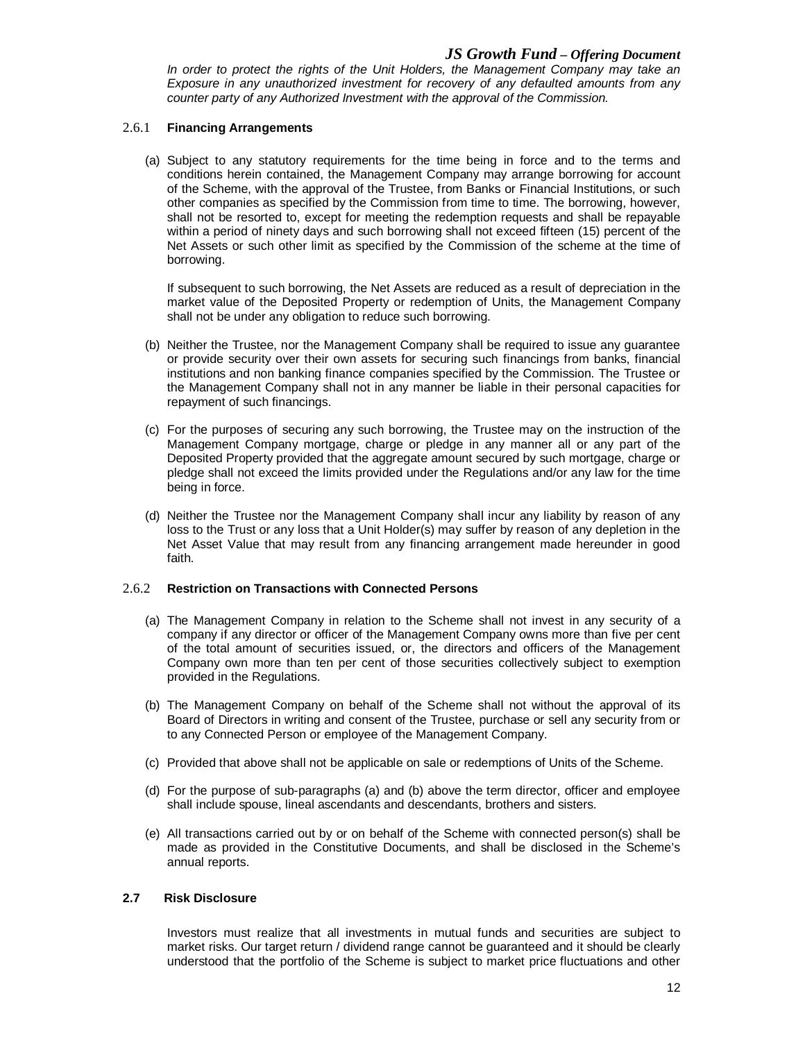*In order to protect the rights of the Unit Holders, the Management Company may take an Exposure in any unauthorized investment for recovery of any defaulted amounts from any counter party of any Authorized Investment with the approval of the Commission.* 

## 2.6.1 **Financing Arrangements**

(a) Subject to any statutory requirements for the time being in force and to the terms and conditions herein contained, the Management Company may arrange borrowing for account of the Scheme, with the approval of the Trustee, from Banks or Financial Institutions, or such other companies as specified by the Commission from time to time. The borrowing, however, shall not be resorted to, except for meeting the redemption requests and shall be repayable within a period of ninety days and such borrowing shall not exceed fifteen (15) percent of the Net Assets or such other limit as specified by the Commission of the scheme at the time of borrowing.

If subsequent to such borrowing, the Net Assets are reduced as a result of depreciation in the market value of the Deposited Property or redemption of Units, the Management Company shall not be under any obligation to reduce such borrowing.

- (b) Neither the Trustee, nor the Management Company shall be required to issue any guarantee or provide security over their own assets for securing such financings from banks, financial institutions and non banking finance companies specified by the Commission. The Trustee or the Management Company shall not in any manner be liable in their personal capacities for repayment of such financings.
- (c) For the purposes of securing any such borrowing, the Trustee may on the instruction of the Management Company mortgage, charge or pledge in any manner all or any part of the Deposited Property provided that the aggregate amount secured by such mortgage, charge or pledge shall not exceed the limits provided under the Regulations and/or any law for the time being in force.
- (d) Neither the Trustee nor the Management Company shall incur any liability by reason of any loss to the Trust or any loss that a Unit Holder(s) may suffer by reason of any depletion in the Net Asset Value that may result from any financing arrangement made hereunder in good faith.

# 2.6.2 **Restriction on Transactions with Connected Persons**

- (a) The Management Company in relation to the Scheme shall not invest in any security of a company if any director or officer of the Management Company owns more than five per cent of the total amount of securities issued, or, the directors and officers of the Management Company own more than ten per cent of those securities collectively subject to exemption provided in the Regulations.
- (b) The Management Company on behalf of the Scheme shall not without the approval of its Board of Directors in writing and consent of the Trustee, purchase or sell any security from or to any Connected Person or employee of the Management Company.
- (c) Provided that above shall not be applicable on sale or redemptions of Units of the Scheme.
- (d) For the purpose of sub-paragraphs (a) and (b) above the term director, officer and employee shall include spouse, lineal ascendants and descendants, brothers and sisters.
- (e) All transactions carried out by or on behalf of the Scheme with connected person(s) shall be made as provided in the Constitutive Documents, and shall be disclosed in the Scheme's annual reports.

# **2.7 Risk Disclosure**

Investors must realize that all investments in mutual funds and securities are subject to market risks. Our target return / dividend range cannot be guaranteed and it should be clearly understood that the portfolio of the Scheme is subject to market price fluctuations and other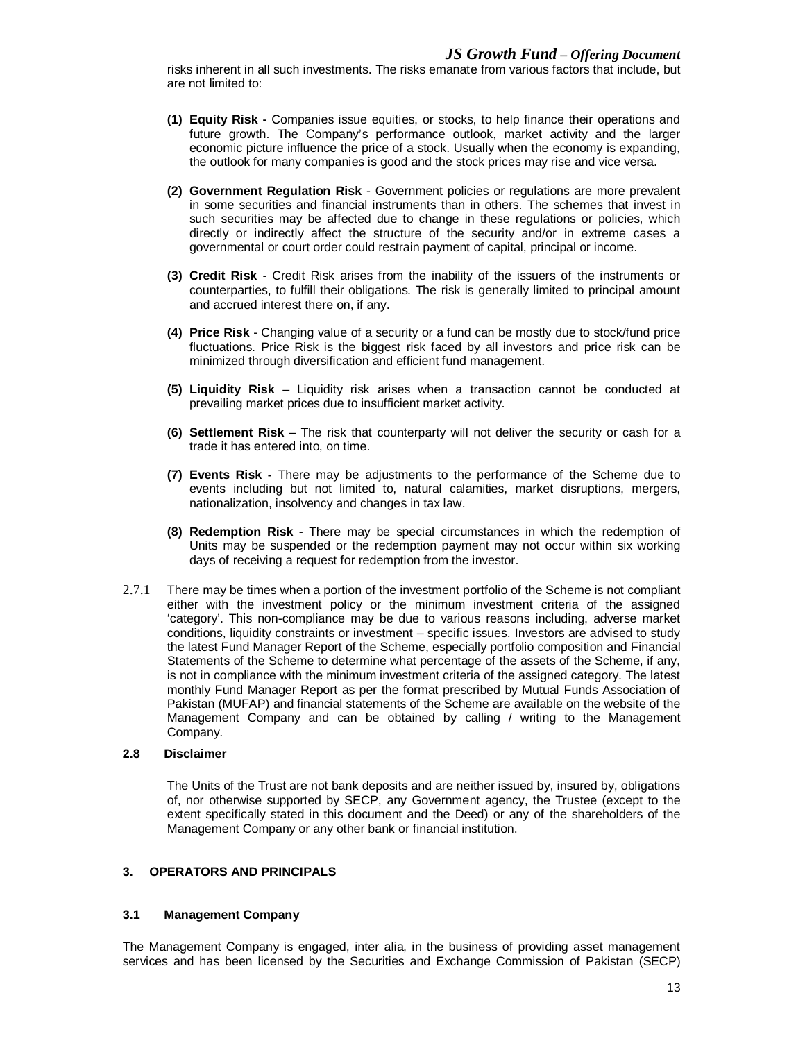risks inherent in all such investments. The risks emanate from various factors that include, but are not limited to:

- **(1) Equity Risk -** Companies issue equities, or stocks, to help finance their operations and future growth. The Company's performance outlook, market activity and the larger economic picture influence the price of a stock. Usually when the economy is expanding, the outlook for many companies is good and the stock prices may rise and vice versa.
- **(2) Government Regulation Risk**  Government policies or regulations are more prevalent in some securities and financial instruments than in others. The schemes that invest in such securities may be affected due to change in these regulations or policies, which directly or indirectly affect the structure of the security and/or in extreme cases a governmental or court order could restrain payment of capital, principal or income.
- **(3) Credit Risk**  Credit Risk arises from the inability of the issuers of the instruments or counterparties, to fulfill their obligations. The risk is generally limited to principal amount and accrued interest there on, if any.
- **(4) Price Risk**  Changing value of a security or a fund can be mostly due to stock/fund price fluctuations. Price Risk is the biggest risk faced by all investors and price risk can be minimized through diversification and efficient fund management.
- **(5) Liquidity Risk**  Liquidity risk arises when a transaction cannot be conducted at prevailing market prices due to insufficient market activity.
- **(6) Settlement Risk**  The risk that counterparty will not deliver the security or cash for a trade it has entered into, on time.
- **(7) Events Risk -** There may be adjustments to the performance of the Scheme due to events including but not limited to, natural calamities, market disruptions, mergers, nationalization, insolvency and changes in tax law.
- **(8) Redemption Risk** There may be special circumstances in which the redemption of Units may be suspended or the redemption payment may not occur within six working days of receiving a request for redemption from the investor.
- 2.7.1 There may be times when a portion of the investment portfolio of the Scheme is not compliant either with the investment policy or the minimum investment criteria of the assigned 'category'. This non-compliance may be due to various reasons including, adverse market conditions, liquidity constraints or investment – specific issues. Investors are advised to study the latest Fund Manager Report of the Scheme, especially portfolio composition and Financial Statements of the Scheme to determine what percentage of the assets of the Scheme, if any, is not in compliance with the minimum investment criteria of the assigned category. The latest monthly Fund Manager Report as per the format prescribed by Mutual Funds Association of Pakistan (MUFAP) and financial statements of the Scheme are available on the website of the Management Company and can be obtained by calling / writing to the Management Company.

# **2.8 Disclaimer**

The Units of the Trust are not bank deposits and are neither issued by, insured by, obligations of, nor otherwise supported by SECP, any Government agency, the Trustee (except to the extent specifically stated in this document and the Deed) or any of the shareholders of the Management Company or any other bank or financial institution.

# **3. OPERATORS AND PRINCIPALS**

#### **3.1 Management Company**

The Management Company is engaged, inter alia, in the business of providing asset management services and has been licensed by the Securities and Exchange Commission of Pakistan (SECP)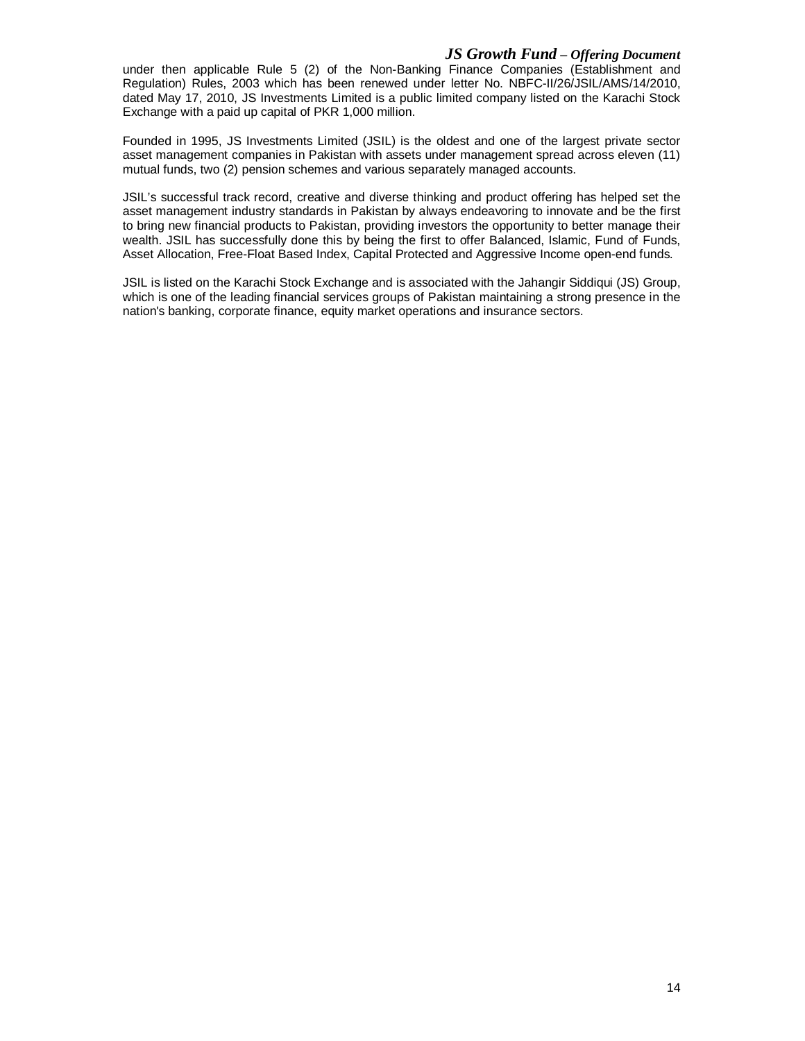# *JS Growth Fund – Offering Document*

under then applicable Rule 5 (2) of the Non-Banking Finance Companies (Establishment and Regulation) Rules, 2003 which has been renewed under letter No. NBFC-II/26/JSIL/AMS/14/2010, dated May 17, 2010, JS Investments Limited is a public limited company listed on the Karachi Stock Exchange with a paid up capital of PKR 1,000 million.

Founded in 1995, JS Investments Limited (JSIL) is the oldest and one of the largest private sector asset management companies in Pakistan with assets under management spread across eleven (11) mutual funds, two (2) pension schemes and various separately managed accounts.

JSIL's successful track record, creative and diverse thinking and product offering has helped set the asset management industry standards in Pakistan by always endeavoring to innovate and be the first to bring new financial products to Pakistan, providing investors the opportunity to better manage their wealth. JSIL has successfully done this by being the first to offer Balanced, Islamic, Fund of Funds, Asset Allocation, Free-Float Based Index, Capital Protected and Aggressive Income open-end funds.

JSIL is listed on the Karachi Stock Exchange and is associated with the Jahangir Siddiqui (JS) Group, which is one of the leading financial services groups of Pakistan maintaining a strong presence in the nation's banking, corporate finance, equity market operations and insurance sectors.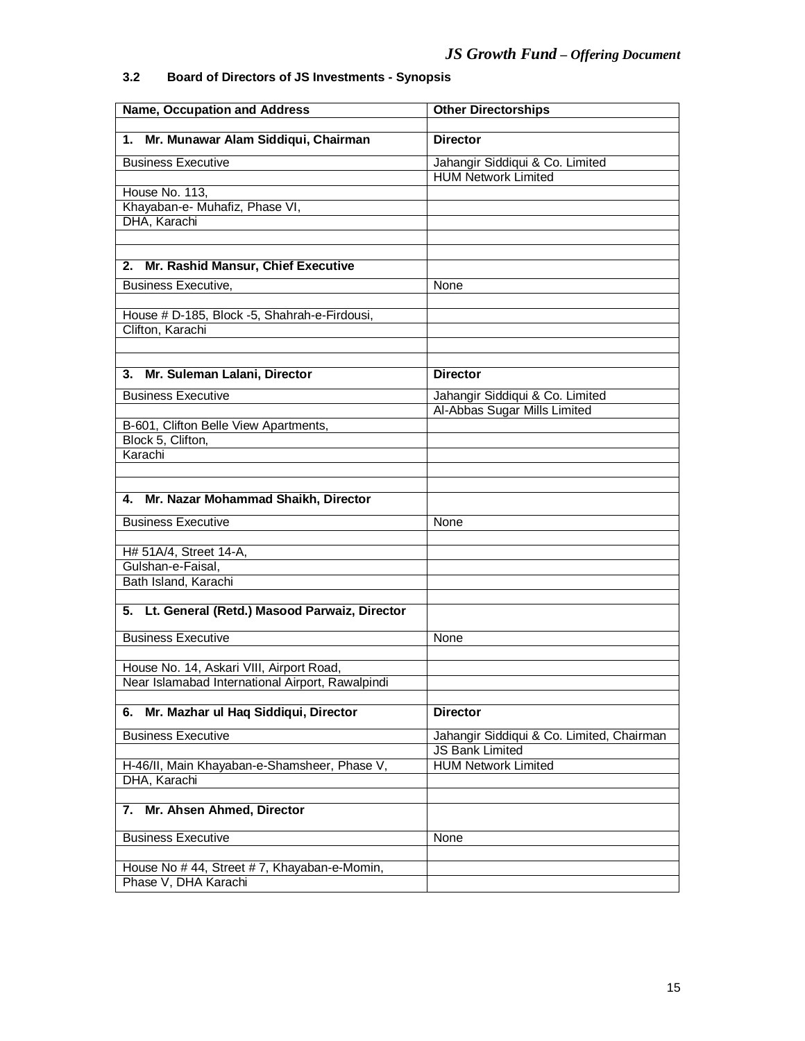# **3.2 Board of Directors of JS Investments - Synopsis**

| <b>Name, Occupation and Address</b>              | <b>Other Directorships</b>                                    |  |  |  |
|--------------------------------------------------|---------------------------------------------------------------|--|--|--|
| 1. Mr. Munawar Alam Siddiqui, Chairman           | <b>Director</b>                                               |  |  |  |
|                                                  |                                                               |  |  |  |
| <b>Business Executive</b>                        | Jahangir Siddiqui & Co. Limited<br><b>HUM Network Limited</b> |  |  |  |
| House No. 113,                                   |                                                               |  |  |  |
| Khayaban-e- Muhafiz, Phase VI,                   |                                                               |  |  |  |
| DHA, Karachi                                     |                                                               |  |  |  |
|                                                  |                                                               |  |  |  |
|                                                  |                                                               |  |  |  |
| 2. Mr. Rashid Mansur, Chief Executive            |                                                               |  |  |  |
| <b>Business Executive,</b>                       | None                                                          |  |  |  |
|                                                  |                                                               |  |  |  |
| House # D-185, Block -5, Shahrah-e-Firdousi,     |                                                               |  |  |  |
| Clifton, Karachi                                 |                                                               |  |  |  |
|                                                  |                                                               |  |  |  |
| 3. Mr. Suleman Lalani, Director                  | <b>Director</b>                                               |  |  |  |
| <b>Business Executive</b>                        | Jahangir Siddiqui & Co. Limited                               |  |  |  |
|                                                  | Al-Abbas Sugar Mills Limited                                  |  |  |  |
| B-601, Clifton Belle View Apartments,            |                                                               |  |  |  |
| Block 5, Clifton,                                |                                                               |  |  |  |
| Karachi                                          |                                                               |  |  |  |
|                                                  |                                                               |  |  |  |
| 4. Mr. Nazar Mohammad Shaikh, Director           |                                                               |  |  |  |
|                                                  |                                                               |  |  |  |
| <b>Business Executive</b>                        | None                                                          |  |  |  |
| H# 51A/4, Street 14-A,                           |                                                               |  |  |  |
| Gulshan-e-Faisal,                                |                                                               |  |  |  |
| Bath Island, Karachi                             |                                                               |  |  |  |
|                                                  |                                                               |  |  |  |
| 5. Lt. General (Retd.) Masood Parwaiz, Director  |                                                               |  |  |  |
|                                                  |                                                               |  |  |  |
| <b>Business Executive</b>                        | None                                                          |  |  |  |
| House No. 14, Askari VIII, Airport Road,         |                                                               |  |  |  |
| Near Islamabad International Airport, Rawalpindi |                                                               |  |  |  |
|                                                  |                                                               |  |  |  |
| 6. Mr. Mazhar ul Haq Siddiqui, Director          | <b>Director</b>                                               |  |  |  |
| <b>Business Executive</b>                        | Jahangir Siddiqui & Co. Limited, Chairman                     |  |  |  |
|                                                  | <b>JS Bank Limited</b>                                        |  |  |  |
| H-46/II, Main Khayaban-e-Shamsheer, Phase V,     | <b>HUM Network Limited</b>                                    |  |  |  |
| DHA, Karachi                                     |                                                               |  |  |  |
| Mr. Ahsen Ahmed, Director<br>7.                  |                                                               |  |  |  |
|                                                  |                                                               |  |  |  |
| <b>Business Executive</b>                        | <b>None</b>                                                   |  |  |  |
| House No #44, Street #7, Khayaban-e-Momin,       |                                                               |  |  |  |
| Phase V, DHA Karachi                             |                                                               |  |  |  |
|                                                  |                                                               |  |  |  |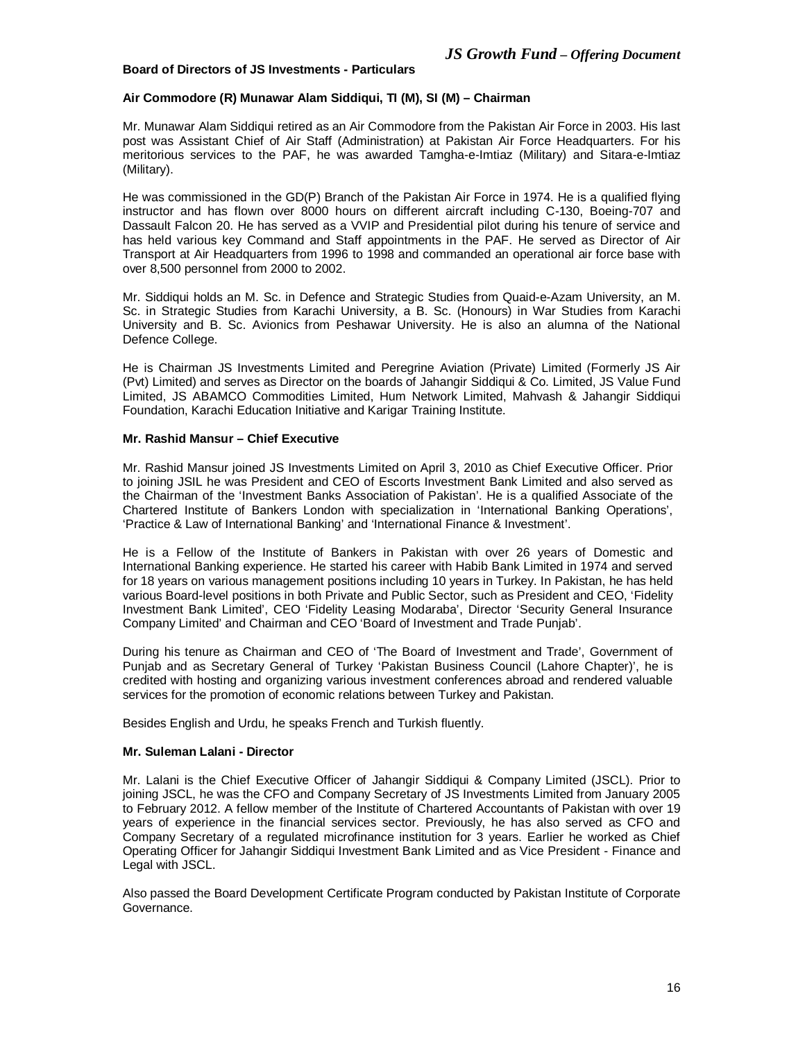# **Board of Directors of JS Investments - Particulars**

## **Air Commodore (R) Munawar Alam Siddiqui, TI (M), SI (M) – Chairman**

Mr. Munawar Alam Siddiqui retired as an Air Commodore from the Pakistan Air Force in 2003. His last post was Assistant Chief of Air Staff (Administration) at Pakistan Air Force Headquarters. For his meritorious services to the PAF, he was awarded Tamgha-e-Imtiaz (Military) and Sitara-e-Imtiaz (Military).

He was commissioned in the GD(P) Branch of the Pakistan Air Force in 1974. He is a qualified flying instructor and has flown over 8000 hours on different aircraft including C-130, Boeing-707 and Dassault Falcon 20. He has served as a VVIP and Presidential pilot during his tenure of service and has held various key Command and Staff appointments in the PAF. He served as Director of Air Transport at Air Headquarters from 1996 to 1998 and commanded an operational air force base with over 8,500 personnel from 2000 to 2002.

Mr. Siddiqui holds an M. Sc. in Defence and Strategic Studies from Quaid-e-Azam University, an M. Sc. in Strategic Studies from Karachi University, a B. Sc. (Honours) in War Studies from Karachi University and B. Sc. Avionics from Peshawar University. He is also an alumna of the National Defence College.

He is Chairman JS Investments Limited and Peregrine Aviation (Private) Limited (Formerly JS Air (Pvt) Limited) and serves as Director on the boards of Jahangir Siddiqui & Co. Limited, JS Value Fund Limited, JS ABAMCO Commodities Limited, Hum Network Limited, Mahvash & Jahangir Siddiqui Foundation, Karachi Education Initiative and Karigar Training Institute.

#### **Mr. Rashid Mansur – Chief Executive**

Mr. Rashid Mansur joined JS Investments Limited on April 3, 2010 as Chief Executive Officer. Prior to joining JSIL he was President and CEO of Escorts Investment Bank Limited and also served as the Chairman of the 'Investment Banks Association of Pakistan'. He is a qualified Associate of the Chartered Institute of Bankers London with specialization in 'International Banking Operations', 'Practice & Law of International Banking' and 'International Finance & Investment'.

He is a Fellow of the Institute of Bankers in Pakistan with over 26 years of Domestic and International Banking experience. He started his career with Habib Bank Limited in 1974 and served for 18 years on various management positions including 10 years in Turkey. In Pakistan, he has held various Board-level positions in both Private and Public Sector, such as President and CEO, 'Fidelity Investment Bank Limited', CEO 'Fidelity Leasing Modaraba', Director 'Security General Insurance Company Limited' and Chairman and CEO 'Board of Investment and Trade Punjab'.

During his tenure as Chairman and CEO of 'The Board of Investment and Trade', Government of Punjab and as Secretary General of Turkey 'Pakistan Business Council (Lahore Chapter)', he is credited with hosting and organizing various investment conferences abroad and rendered valuable services for the promotion of economic relations between Turkey and Pakistan.

Besides English and Urdu, he speaks French and Turkish fluently.

#### **Mr. Suleman Lalani - Director**

Mr. Lalani is the Chief Executive Officer of Jahangir Siddiqui & Company Limited (JSCL). Prior to joining JSCL, he was the CFO and Company Secretary of JS Investments Limited from January 2005 to February 2012. A fellow member of the Institute of Chartered Accountants of Pakistan with over 19 years of experience in the financial services sector. Previously, he has also served as CFO and Company Secretary of a regulated microfinance institution for 3 years. Earlier he worked as Chief Operating Officer for Jahangir Siddiqui Investment Bank Limited and as Vice President - Finance and Legal with JSCL.

Also passed the Board Development Certificate Program conducted by Pakistan Institute of Corporate Governance.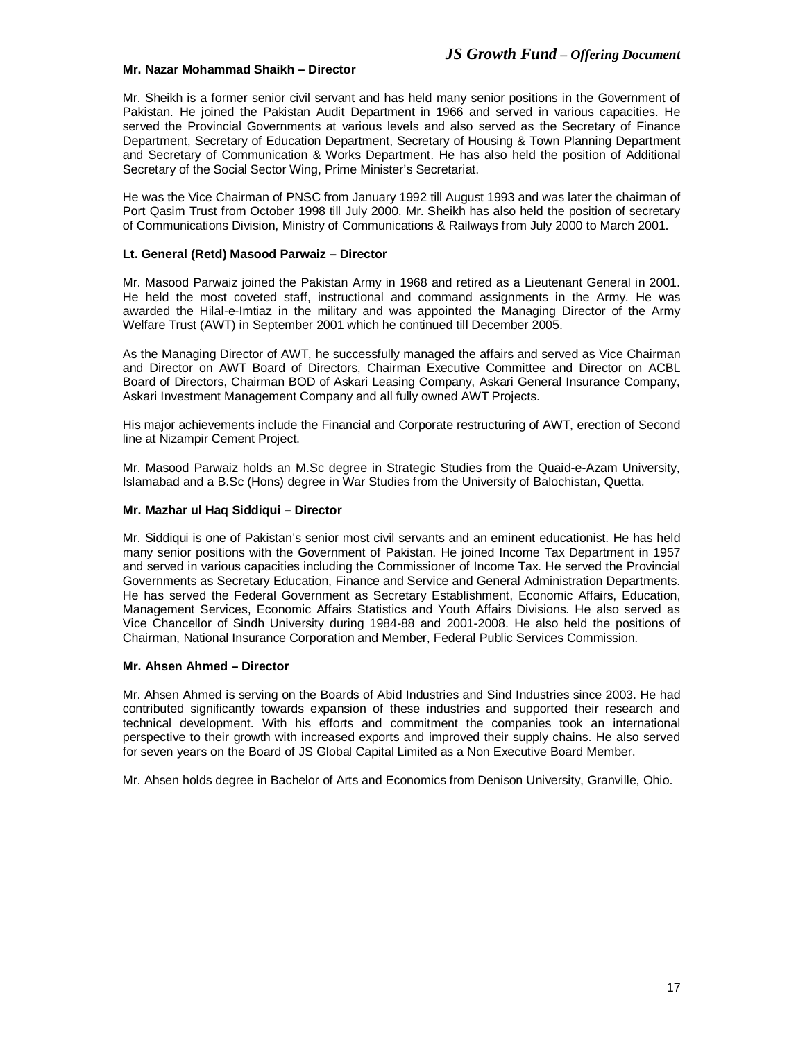#### **Mr. Nazar Mohammad Shaikh – Director**

Mr. Sheikh is a former senior civil servant and has held many senior positions in the Government of Pakistan. He joined the Pakistan Audit Department in 1966 and served in various capacities. He served the Provincial Governments at various levels and also served as the Secretary of Finance Department, Secretary of Education Department, Secretary of Housing & Town Planning Department and Secretary of Communication & Works Department. He has also held the position of Additional Secretary of the Social Sector Wing, Prime Minister's Secretariat.

He was the Vice Chairman of PNSC from January 1992 till August 1993 and was later the chairman of Port Qasim Trust from October 1998 till July 2000. Mr. Sheikh has also held the position of secretary of Communications Division, Ministry of Communications & Railways from July 2000 to March 2001.

## **Lt. General (Retd) Masood Parwaiz – Director**

Mr. Masood Parwaiz joined the Pakistan Army in 1968 and retired as a Lieutenant General in 2001. He held the most coveted staff, instructional and command assignments in the Army. He was awarded the Hilal-e-Imtiaz in the military and was appointed the Managing Director of the Army Welfare Trust (AWT) in September 2001 which he continued till December 2005.

As the Managing Director of AWT, he successfully managed the affairs and served as Vice Chairman and Director on AWT Board of Directors, Chairman Executive Committee and Director on ACBL Board of Directors, Chairman BOD of Askari Leasing Company, Askari General Insurance Company, Askari Investment Management Company and all fully owned AWT Projects.

His major achievements include the Financial and Corporate restructuring of AWT, erection of Second line at Nizampir Cement Project.

Mr. Masood Parwaiz holds an M.Sc degree in Strategic Studies from the Quaid-e-Azam University, Islamabad and a B.Sc (Hons) degree in War Studies from the University of Balochistan, Quetta.

## **Mr. Mazhar ul Haq Siddiqui – Director**

Mr. Siddiqui is one of Pakistan's senior most civil servants and an eminent educationist. He has held many senior positions with the Government of Pakistan. He joined Income Tax Department in 1957 and served in various capacities including the Commissioner of Income Tax. He served the Provincial Governments as Secretary Education, Finance and Service and General Administration Departments. He has served the Federal Government as Secretary Establishment, Economic Affairs, Education, Management Services, Economic Affairs Statistics and Youth Affairs Divisions. He also served as Vice Chancellor of Sindh University during 1984-88 and 2001-2008. He also held the positions of Chairman, National Insurance Corporation and Member, Federal Public Services Commission.

#### **Mr. Ahsen Ahmed – Director**

Mr. Ahsen Ahmed is serving on the Boards of Abid Industries and Sind Industries since 2003. He had contributed significantly towards expansion of these industries and supported their research and technical development. With his efforts and commitment the companies took an international perspective to their growth with increased exports and improved their supply chains. He also served for seven years on the Board of JS Global Capital Limited as a Non Executive Board Member.

Mr. Ahsen holds degree in Bachelor of Arts and Economics from Denison University, Granville, Ohio.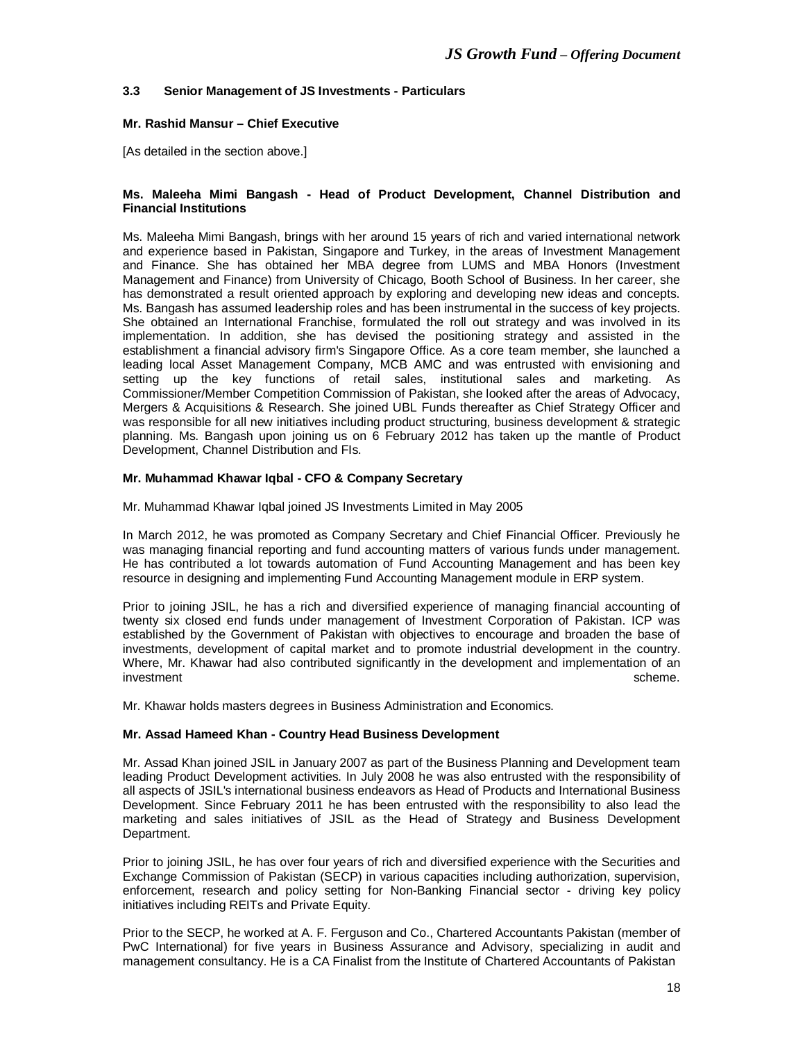# **3.3 Senior Management of JS Investments - Particulars**

#### **Mr. Rashid Mansur – Chief Executive**

[As detailed in the section above.]

#### **Ms. Maleeha Mimi Bangash - Head of Product Development, Channel Distribution and Financial Institutions**

Ms. Maleeha Mimi Bangash, brings with her around 15 years of rich and varied international network and experience based in Pakistan, Singapore and Turkey, in the areas of Investment Management and Finance. She has obtained her MBA degree from LUMS and MBA Honors (Investment Management and Finance) from University of Chicago, Booth School of Business. In her career, she has demonstrated a result oriented approach by exploring and developing new ideas and concepts. Ms. Bangash has assumed leadership roles and has been instrumental in the success of key projects. She obtained an International Franchise, formulated the roll out strategy and was involved in its implementation. In addition, she has devised the positioning strategy and assisted in the establishment a financial advisory firm's Singapore Office. As a core team member, she launched a leading local Asset Management Company, MCB AMC and was entrusted with envisioning and setting up the key functions of retail sales, institutional sales and marketing. As Commissioner/Member Competition Commission of Pakistan, she looked after the areas of Advocacy, Mergers & Acquisitions & Research. She joined UBL Funds thereafter as Chief Strategy Officer and was responsible for all new initiatives including product structuring, business development & strategic planning. Ms. Bangash upon joining us on 6 February 2012 has taken up the mantle of Product Development, Channel Distribution and FIs.

#### **Mr. Muhammad Khawar Iqbal - CFO & Company Secretary**

Mr. Muhammad Khawar Iqbal joined JS Investments Limited in May 2005

In March 2012, he was promoted as Company Secretary and Chief Financial Officer. Previously he was managing financial reporting and fund accounting matters of various funds under management. He has contributed a lot towards automation of Fund Accounting Management and has been key resource in designing and implementing Fund Accounting Management module in ERP system.

Prior to joining JSIL, he has a rich and diversified experience of managing financial accounting of twenty six closed end funds under management of Investment Corporation of Pakistan. ICP was established by the Government of Pakistan with objectives to encourage and broaden the base of investments, development of capital market and to promote industrial development in the country. Where, Mr. Khawar had also contributed significantly in the development and implementation of an investment scheme. The settlement scheme in the scheme scheme in the scheme.

Mr. Khawar holds masters degrees in Business Administration and Economics.

#### **Mr. Assad Hameed Khan - Country Head Business Development**

Mr. Assad Khan joined JSIL in January 2007 as part of the Business Planning and Development team leading Product Development activities. In July 2008 he was also entrusted with the responsibility of all aspects of JSIL's international business endeavors as Head of Products and International Business Development. Since February 2011 he has been entrusted with the responsibility to also lead the marketing and sales initiatives of JSIL as the Head of Strategy and Business Development Department.

Prior to joining JSIL, he has over four years of rich and diversified experience with the Securities and Exchange Commission of Pakistan (SECP) in various capacities including authorization, supervision, enforcement, research and policy setting for Non-Banking Financial sector - driving key policy initiatives including REITs and Private Equity.

Prior to the SECP, he worked at A. F. Ferguson and Co., Chartered Accountants Pakistan (member of PwC International) for five years in Business Assurance and Advisory, specializing in audit and management consultancy. He is a CA Finalist from the Institute of Chartered Accountants of Pakistan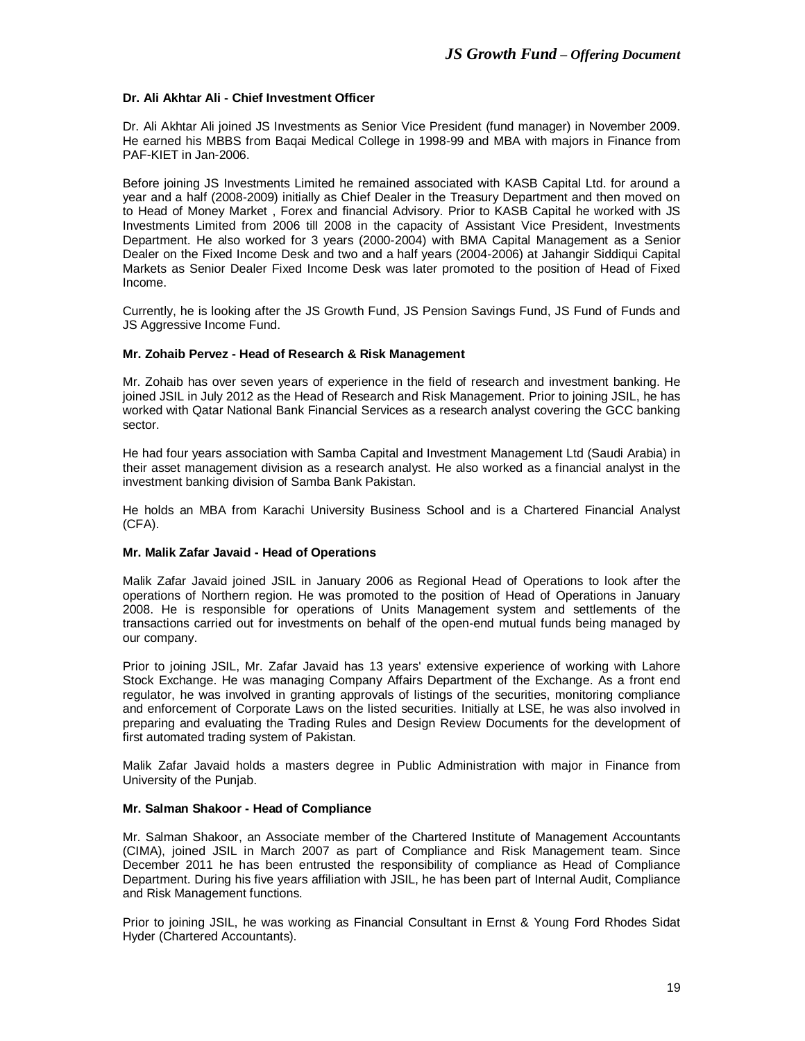# **Dr. Ali Akhtar Ali - Chief Investment Officer**

Dr. Ali Akhtar Ali joined JS Investments as Senior Vice President (fund manager) in November 2009. He earned his MBBS from Baqai Medical College in 1998-99 and MBA with majors in Finance from PAF-KIET in Jan-2006.

Before joining JS Investments Limited he remained associated with KASB Capital Ltd. for around a year and a half (2008-2009) initially as Chief Dealer in the Treasury Department and then moved on to Head of Money Market , Forex and financial Advisory. Prior to KASB Capital he worked with JS Investments Limited from 2006 till 2008 in the capacity of Assistant Vice President, Investments Department. He also worked for 3 years (2000-2004) with BMA Capital Management as a Senior Dealer on the Fixed Income Desk and two and a half years (2004-2006) at Jahangir Siddiqui Capital Markets as Senior Dealer Fixed Income Desk was later promoted to the position of Head of Fixed Income.

Currently, he is looking after the JS Growth Fund, JS Pension Savings Fund, JS Fund of Funds and JS Aggressive Income Fund.

## **Mr. Zohaib Pervez - Head of Research & Risk Management**

Mr. Zohaib has over seven years of experience in the field of research and investment banking. He joined JSIL in July 2012 as the Head of Research and Risk Management. Prior to joining JSIL, he has worked with Qatar National Bank Financial Services as a research analyst covering the GCC banking sector.

He had four years association with Samba Capital and Investment Management Ltd (Saudi Arabia) in their asset management division as a research analyst. He also worked as a financial analyst in the investment banking division of Samba Bank Pakistan.

He holds an MBA from Karachi University Business School and is a Chartered Financial Analyst (CFA).

#### **Mr. Malik Zafar Javaid - Head of Operations**

Malik Zafar Javaid joined JSIL in January 2006 as Regional Head of Operations to look after the operations of Northern region. He was promoted to the position of Head of Operations in January 2008. He is responsible for operations of Units Management system and settlements of the transactions carried out for investments on behalf of the open-end mutual funds being managed by our company.

Prior to joining JSIL, Mr. Zafar Javaid has 13 years' extensive experience of working with Lahore Stock Exchange. He was managing Company Affairs Department of the Exchange. As a front end regulator, he was involved in granting approvals of listings of the securities, monitoring compliance and enforcement of Corporate Laws on the listed securities. Initially at LSE, he was also involved in preparing and evaluating the Trading Rules and Design Review Documents for the development of first automated trading system of Pakistan.

Malik Zafar Javaid holds a masters degree in Public Administration with major in Finance from University of the Punjab.

# **Mr. Salman Shakoor - Head of Compliance**

Mr. Salman Shakoor, an Associate member of the Chartered Institute of Management Accountants (CIMA), joined JSIL in March 2007 as part of Compliance and Risk Management team. Since December 2011 he has been entrusted the responsibility of compliance as Head of Compliance Department. During his five years affiliation with JSIL, he has been part of Internal Audit, Compliance and Risk Management functions.

Prior to joining JSIL, he was working as Financial Consultant in Ernst & Young Ford Rhodes Sidat Hyder (Chartered Accountants).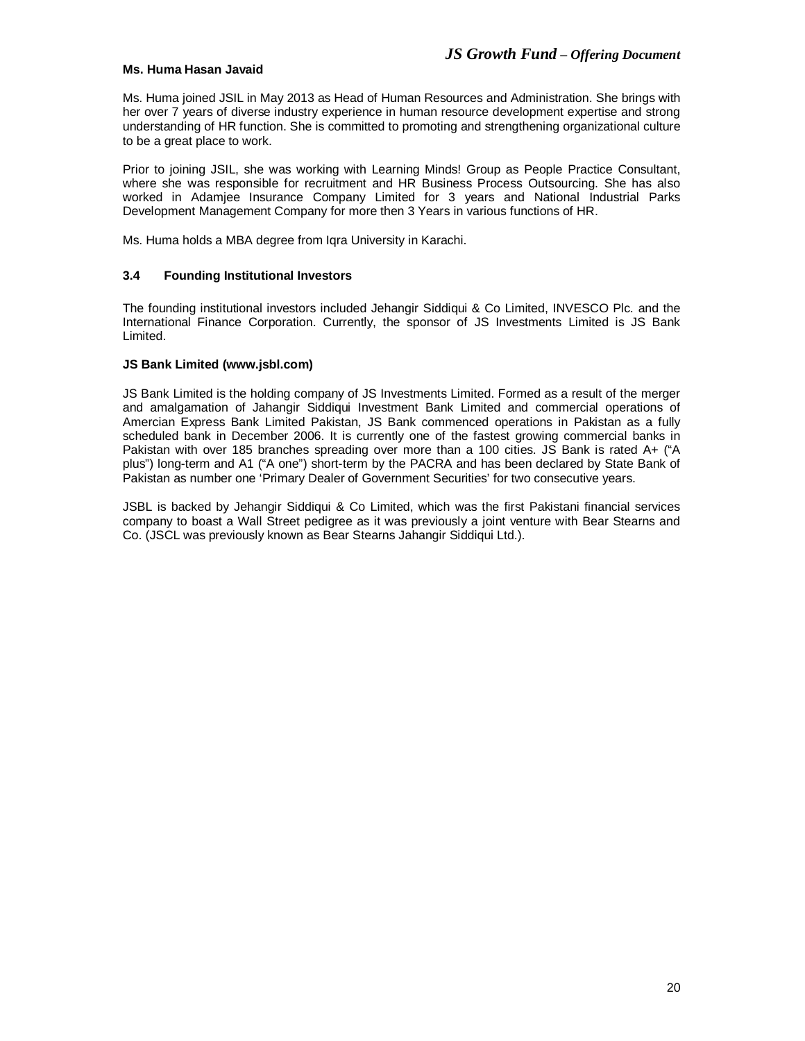## **Ms. Huma Hasan Javaid**

Ms. Huma joined JSIL in May 2013 as Head of Human Resources and Administration. She brings with her over 7 years of diverse industry experience in human resource development expertise and strong understanding of HR function. She is committed to promoting and strengthening organizational culture to be a great place to work.

Prior to joining JSIL, she was working with Learning Minds! Group as People Practice Consultant, where she was responsible for recruitment and HR Business Process Outsourcing. She has also worked in Adamjee Insurance Company Limited for 3 years and National Industrial Parks Development Management Company for more then 3 Years in various functions of HR.

Ms. Huma holds a MBA degree from Iqra University in Karachi.

# **3.4 Founding Institutional Investors**

The founding institutional investors included Jehangir Siddiqui & Co Limited, INVESCO Plc. and the International Finance Corporation. Currently, the sponsor of JS Investments Limited is JS Bank Limited.

## **JS Bank Limited (www.jsbl.com)**

JS Bank Limited is the holding company of JS Investments Limited. Formed as a result of the merger and amalgamation of Jahangir Siddiqui Investment Bank Limited and commercial operations of Amercian Express Bank Limited Pakistan, JS Bank commenced operations in Pakistan as a fully scheduled bank in December 2006. It is currently one of the fastest growing commercial banks in Pakistan with over 185 branches spreading over more than a 100 cities. JS Bank is rated A+ ("A plus") long-term and A1 ("A one") short-term by the PACRA and has been declared by State Bank of Pakistan as number one 'Primary Dealer of Government Securities' for two consecutive years.

JSBL is backed by Jehangir Siddiqui & Co Limited, which was the first Pakistani financial services company to boast a Wall Street pedigree as it was previously a joint venture with Bear Stearns and Co. (JSCL was previously known as Bear Stearns Jahangir Siddiqui Ltd.).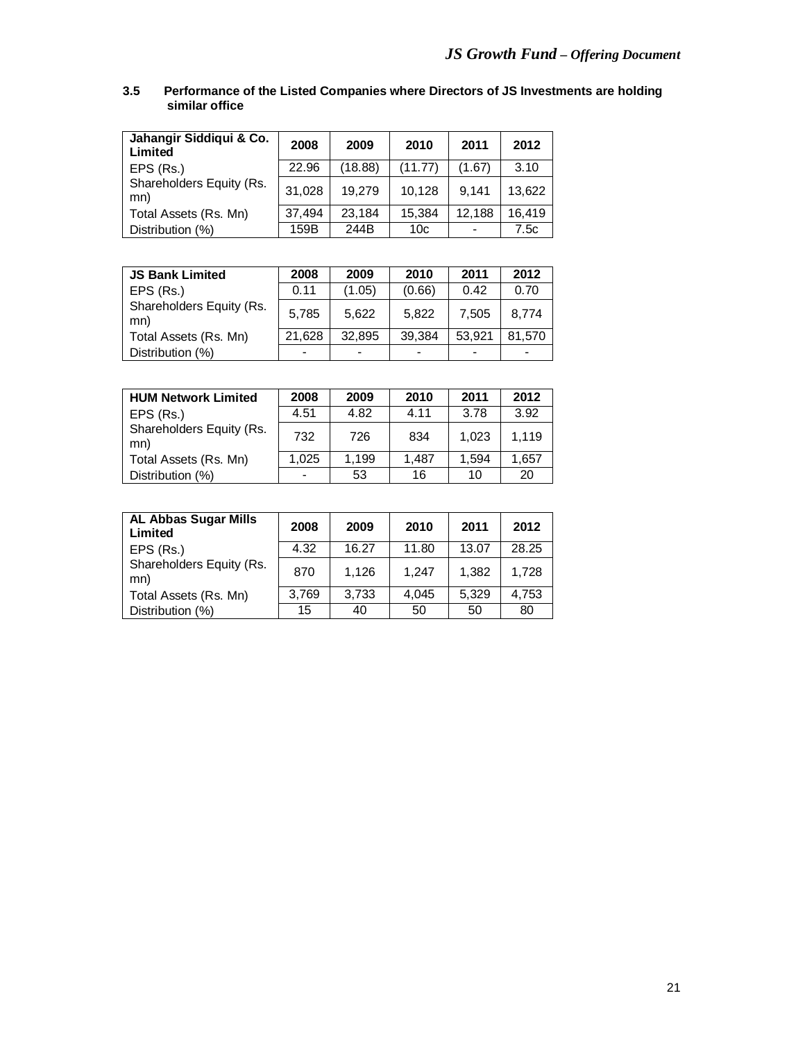# **3.5 Performance of the Listed Companies where Directors of JS Investments are holding similar office**

| Jahangir Siddiqui & Co.<br>Limited | 2008   | 2009    | 2010            | 2011   | 2012   |
|------------------------------------|--------|---------|-----------------|--------|--------|
| EPS (Rs.)                          | 22.96  | (18.88) | (11.77)         | (1.67) | 3.10   |
| Shareholders Equity (Rs.<br>mn)    | 31,028 | 19.279  | 10.128          | 9.141  | 13.622 |
| Total Assets (Rs. Mn)              | 37,494 | 23.184  | 15,384          | 12,188 | 16,419 |
| Distribution (%)                   | 159B   | 244B    | 10 <sub>c</sub> |        | 7.5c   |

| <b>JS Bank Limited</b>          | 2008   | 2009                     | 2010   | 2011   | 2012   |
|---------------------------------|--------|--------------------------|--------|--------|--------|
| EPS (Rs.)                       | 0.11   | (1.05)                   | (0.66) | 0.42   | 0.70   |
| Shareholders Equity (Rs.<br>mn) | 5,785  | 5.622                    | 5.822  | 7,505  | 8.774  |
| Total Assets (Rs. Mn)           | 21.628 | 32.895                   | 39.384 | 53.921 | 81.570 |
| Distribution (%)                |        | $\overline{\phantom{0}}$ |        |        |        |

| <b>HUM Network Limited</b>      | 2008  | 2009  | 2010  | 2011  | 2012  |
|---------------------------------|-------|-------|-------|-------|-------|
| EPS (Rs.)                       | 4.51  | 4.82  | 4.11  | 3.78  | 3.92  |
| Shareholders Equity (Rs.<br>mn) | 732   | 726   | 834   | 1.023 | 1.119 |
| Total Assets (Rs. Mn)           | 1.025 | 1,199 | 1.487 | 1.594 | 1.657 |
| Distribution (%)                |       | 53    | 16    | 10    | 20    |

| <b>AL Abbas Sugar Mills</b><br>Limited | 2008  | 2009  | 2010  | 2011  | 2012  |
|----------------------------------------|-------|-------|-------|-------|-------|
| EPS (Rs.)                              | 4.32  | 16.27 | 11.80 | 13.07 | 28.25 |
| Shareholders Equity (Rs.<br>mn)        | 870   | 1.126 | 1.247 | 1,382 | 1.728 |
| Total Assets (Rs. Mn)                  | 3,769 | 3,733 | 4,045 | 5.329 | 4,753 |
| Distribution (%)                       | 15    | 40    | 50    | 50    | 80    |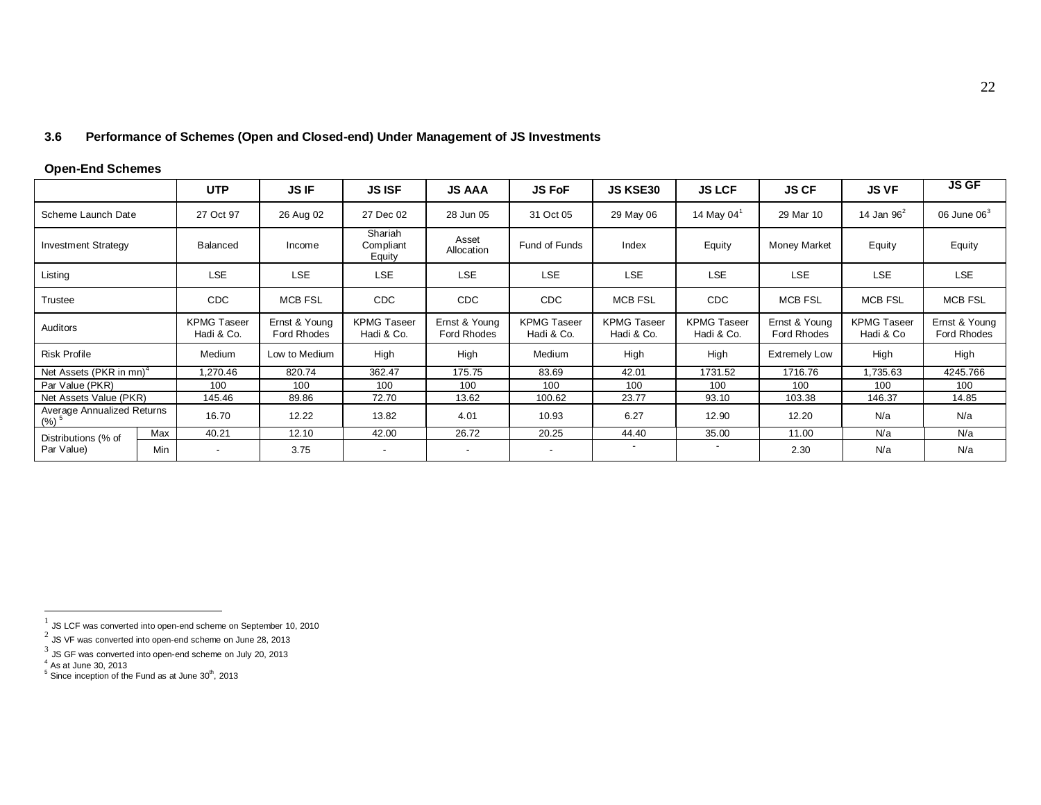# **3.6 Performance of Schemes (Open and Closed-end) Under Management of JS Investments**

# **Open-End Schemes**

|                                                  |            | <b>UTP</b>                       | <b>JS IF</b>                        | <b>JS ISF</b>                    | <b>JS AAA</b>                | <b>JS FoF</b>                    | <b>JS KSE30</b>                  | <b>JS LCF</b>                    | <b>JS CF</b>                 | <b>JS VF</b>                    | <b>JS GF</b>                 |
|--------------------------------------------------|------------|----------------------------------|-------------------------------------|----------------------------------|------------------------------|----------------------------------|----------------------------------|----------------------------------|------------------------------|---------------------------------|------------------------------|
| Scheme Launch Date                               |            | 27 Oct 97                        | 26 Aug 02                           | 27 Dec 02                        | 28 Jun 05                    | 31 Oct 05                        | 29 May 06                        | 14 May 04 $1$                    | 29 Mar 10                    | 14 Jan $96^2$                   | 06 June $063$                |
| <b>Investment Strategy</b>                       |            | <b>Balanced</b>                  | Income                              | Shariah<br>Compliant<br>Equity   | Asset<br>Allocation          | Fund of Funds                    | Index                            | Equity                           | Money Market                 | Equity                          | Equity                       |
| Listing                                          |            | LSE                              | <b>LSE</b>                          | <b>LSE</b>                       | <b>LSE</b>                   | <b>LSE</b>                       | <b>LSE</b>                       | <b>LSE</b>                       | <b>LSE</b>                   | <b>LSE</b>                      | <b>LSE</b>                   |
| Trustee                                          |            | <b>CDC</b>                       | <b>MCB FSL</b>                      | <b>CDC</b>                       | <b>CDC</b>                   | <b>CDC</b>                       | <b>MCB FSL</b>                   | <b>CDC</b>                       | <b>MCB FSL</b>               | <b>MCB FSL</b>                  | <b>MCB FSL</b>               |
| Auditors                                         |            | <b>KPMG Taseer</b><br>Hadi & Co. | Ernst & Young<br><b>Ford Rhodes</b> | <b>KPMG Taseer</b><br>Hadi & Co. | Ernst & Young<br>Ford Rhodes | <b>KPMG Taseer</b><br>Hadi & Co. | <b>KPMG Taseer</b><br>Hadi & Co. | <b>KPMG Taseer</b><br>Hadi & Co. | Ernst & Young<br>Ford Rhodes | <b>KPMG Taseer</b><br>Hadi & Co | Ernst & Young<br>Ford Rhodes |
| <b>Risk Profile</b>                              |            | Medium                           | Low to Medium                       | High                             | High                         | Medium                           | High                             | High                             | <b>Extremely Low</b>         | High                            | High                         |
| Net Assets (PKR in mn) <sup>4</sup>              |            | 1,270.46                         | 820.74                              | 362.47                           | 175.75                       | 83.69                            | 42.01                            | 1731.52                          | 1716.76                      | .735.63                         | 4245.766                     |
| Par Value (PKR)                                  |            | 100                              | 100                                 | 100                              | 100                          | 100                              | 100                              | 100                              | 100                          | 100                             | 100                          |
| Net Assets Value (PKR)                           |            | 145.46                           | 89.86                               | 72.70                            | 13.62                        | 100.62                           | 23.77                            | 93.10                            | 103.38                       | 146.37                          | 14.85                        |
| Average Annualized Returns<br>$(%)$ <sup>5</sup> |            | 16.70                            | 12.22                               | 13.82                            | 4.01                         | 10.93                            | 6.27                             | 12.90                            | 12.20                        | N/a                             | N/a                          |
| Distributions (% of                              | Max        | 40.21                            | 12.10                               | 42.00                            | 26.72                        | 20.25                            | 44.40                            | 35.00                            | 11.00                        | N/a                             | N/a                          |
| Par Value)                                       | <b>Min</b> | $\overline{\phantom{a}}$         | 3.75                                | $\overline{\phantom{0}}$         | $\overline{\phantom{a}}$     | $\overline{\phantom{0}}$         | $\overline{\phantom{a}}$         | $\overline{\phantom{a}}$         | 2.30                         | N/a                             | N/a                          |

 $\frac{1}{1}$  JS LCF was converted into open-end scheme on September 10, 2010

 $^2$  JS VF was converted into open-end scheme on June 28, 2013

 $^3$  JS GF was converted into open-end scheme on July 20, 2013<br><sup>4</sup> As at June 30, 2013<br><sup>5</sup> Since inception of the Fund as at June 30<sup>th</sup>, 2013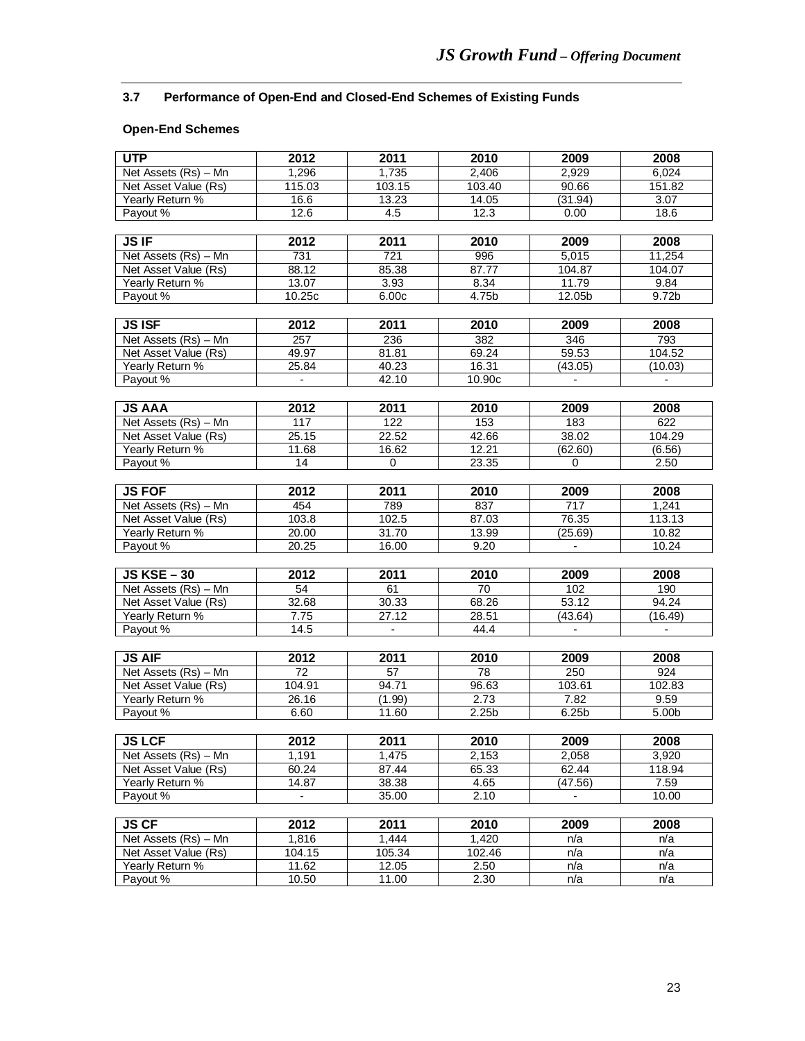# **3.7 Performance of Open-End and Closed-End Schemes of Existing Funds**

# **Open-End Schemes**

| <b>UTP</b>                              | 2012                              | 2011             | 2010              | 2009                                | 2008           |
|-----------------------------------------|-----------------------------------|------------------|-------------------|-------------------------------------|----------------|
| Net Assets (Rs) - Mn                    | 1,296                             | 1,735            | 2,406             | 2,929                               | 6,024          |
| Net Asset Value (Rs)                    | 115.03                            | 103.15           | 103.40            | 90.66                               | 151.82         |
| Yearly Return %                         | 16.6                              | 13.23            | 14.05             | (31.94)                             | 3.07           |
| Payout %                                | 12.6                              | 4.5              | 12.3              | 0.00                                | 18.6           |
|                                         |                                   |                  |                   |                                     |                |
| <b>JS IF</b>                            | 2012                              | 2011             | 2010              | 2009                                | 2008           |
| Net Assets (Rs) - Mn                    | 731                               | $\overline{721}$ | 996               | 5,015                               | 11,254         |
| Net Asset Value (Rs)                    | 88.12                             | 85.38            | 87.77             | 104.87                              | 104.07         |
| Yearly Return %                         | 13.07                             | 3.93             | 8.34              | 11.79                               | 9.84           |
| Payout %                                | 10.25c                            | 6.00c            | 4.75 <sub>b</sub> | 12.05b                              | 9.72b          |
|                                         |                                   |                  |                   |                                     |                |
| <b>JS ISF</b>                           | 2012                              | 2011             | 2010              | 2009                                | 2008           |
| Net Assets (Rs) - Mn                    | 257                               | 236              | 382               | 346                                 | 793            |
| Net Asset Value (Rs)                    | 49.97                             | 81.81            | 69.24             | 59.53                               | 104.52         |
| Yearly Return %                         | 25.84                             | 40.23            | 16.31             | (43.05)                             | (10.03)        |
| Payout %                                | $\overline{\phantom{a}}$          | 42.10            | 10.90c            | $\overline{\phantom{a}}$            | $\blacksquare$ |
|                                         |                                   |                  |                   |                                     |                |
| <b>JS AAA</b>                           | 2012                              | 2011             | 2010              | 2009                                | 2008           |
| Net Assets (Rs) - Mn                    | 117                               | 122              | 153               | 183                                 | 622            |
| Net Asset Value (Rs)                    | 25.15                             | 22.52            | 42.66             | 38.02                               | 104.29         |
| Yearly Return %                         | 11.68                             | 16.62            | 12.21             | (62.60)                             | (6.56)         |
| Payout %                                | 14                                | 0                | 23.35             | $\mathbf 0$                         | 2.50           |
|                                         |                                   |                  |                   |                                     |                |
| <b>JS FOF</b>                           | 2012                              | 2011             | 2010              | 2009                                | 2008           |
| Net Assets (Rs) - Mn                    | 454                               | 789              | 837               | 717                                 | 1,241          |
| Net Asset Value (Rs)                    | 103.8                             | 102.5            | 87.03             | 76.35                               | 113.13         |
| Yearly Return %                         | 20.00                             | 31.70            | 13.99             | (25.69)                             | 10.82          |
| Payout %                                | 20.25                             | 16.00            | 9.20              | $\blacksquare$                      | 10.24          |
|                                         |                                   |                  |                   |                                     |                |
| $JS$ KSE $-30$                          | 2012                              | 2011             | 2010              | 2009                                | 2008           |
| Net Assets (Rs) - Mn                    | 54                                | 61               | 70                | 102                                 | 190            |
| Net Asset Value (Rs)                    | 32.68                             | 30.33            | 68.26             | 53.12                               | 94.24          |
| Yearly Return %                         | 7.75                              | 27.12            | 28.51             | (43.64)                             | (16.49)        |
| Payout %                                | 14.5                              |                  | 44.4              | $\overline{\phantom{a}}$            |                |
|                                         |                                   |                  |                   |                                     |                |
| <b>JS AIF</b>                           | 2012                              | 2011             | 2010              | 2009                                | 2008           |
| Net Assets (Rs) - Mn                    | $\overline{72}$                   | 57               | $\overline{78}$   | 250                                 | 924            |
| Net Asset Value (Rs)                    | 104.91                            | 94.71            | 96.63             | 103.61                              | 102.83         |
| Yearly Return %                         | 26.16                             | (1.99)           | 2.73              | 7.82                                | 9.59           |
| Payout %                                | 6.60                              | 11.60            | 2.25 <sub>b</sub> | 6.25 <sub>b</sub>                   | 5.00b          |
|                                         |                                   |                  |                   |                                     |                |
| <b>JS LCF</b>                           | 2012                              | 2011             | 2010              | 2009                                | 2008           |
| Net Assets (Rs) - Mn                    | 1,191                             | 1,475            | 2,153             | 2.058                               | 3,920          |
| Net Asset Value (Rs)                    | 60.24                             | 87.44            | 65.33             | 62.44                               | 118.94         |
| Yearly Return %<br>Payout %             | 14.87<br>$\overline{\phantom{a}}$ | 38.38<br>35.00   | 4.65<br>2.10      | (47.56)<br>$\overline{\phantom{a}}$ | 7.59<br>10.00  |
|                                         |                                   |                  |                   |                                     |                |
| <b>JS CF</b>                            | 2012                              | 2011             | 2010              | 2009                                | 2008           |
|                                         |                                   |                  |                   |                                     |                |
| Net Assets (Rs) - Mn                    | 1.816                             | 1,444            | 1,420             | n/a                                 | n/a            |
| Net Asset Value (Rs)<br>Yearly Return % | 104.15<br>11.62                   | 105.34<br>12.05  | 102.46<br>2.50    | n/a<br>n/a                          | n/a<br>n/a     |
| Payout %                                | 10.50                             | 11.00            | 2.30              | n/a                                 | n/a            |
|                                         |                                   |                  |                   |                                     |                |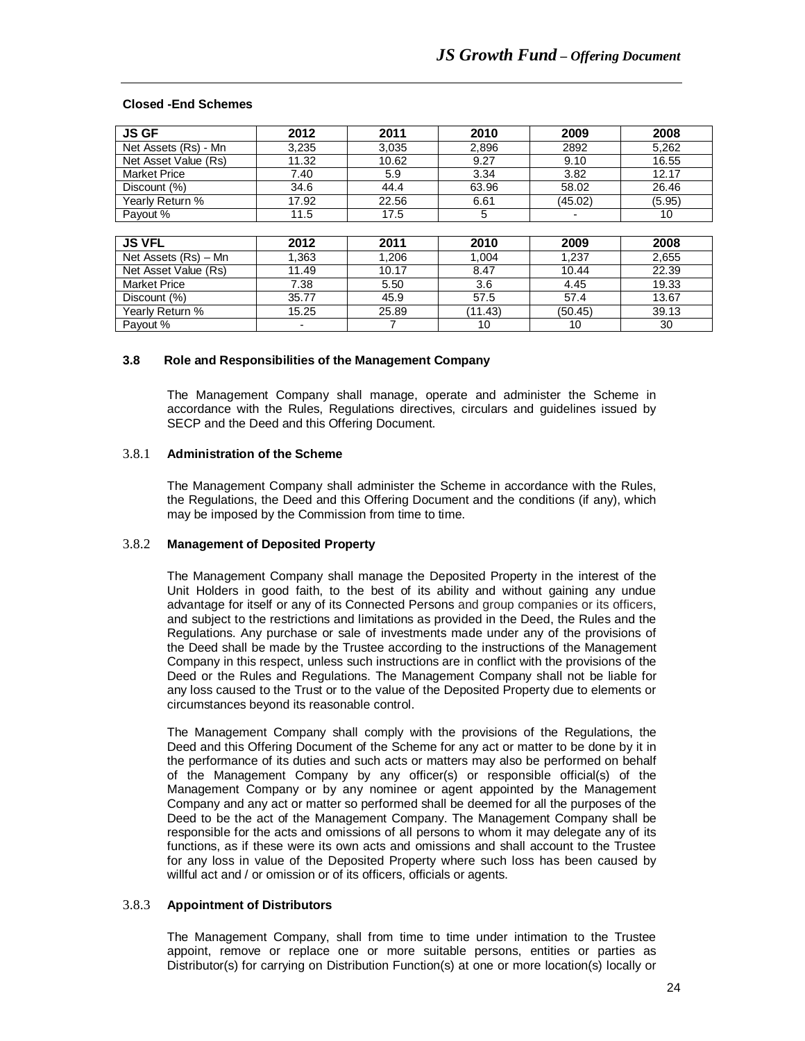#### **Closed -End Schemes**

| <b>JS GF</b>         | 2012                     | 2011  | 2010    | 2009    | 2008   |
|----------------------|--------------------------|-------|---------|---------|--------|
| Net Assets (Rs) - Mn | 3,235                    | 3,035 | 2,896   | 2892    | 5,262  |
| Net Asset Value (Rs) | 11.32                    | 10.62 | 9.27    | 9.10    | 16.55  |
| <b>Market Price</b>  | 7.40                     | 5.9   | 3.34    | 3.82    | 12.17  |
| Discount (%)         | 34.6                     | 44.4  | 63.96   | 58.02   | 26.46  |
| Yearly Return %      | 17.92                    | 22.56 | 6.61    | (45.02) | (5.95) |
| Payout %             | 11.5                     | 17.5  | 5       |         | 10     |
|                      |                          |       |         |         |        |
| <b>JS VFL</b>        | 2012                     | 2011  | 2010    | 2009    | 2008   |
| Net Assets (Rs) - Mn | 1,363                    | 1,206 | 1.004   | 1,237   | 2,655  |
| Net Asset Value (Rs) | 11.49                    | 10.17 | 8.47    | 10.44   | 22.39  |
| <b>Market Price</b>  | 7.38                     | 5.50  | 3.6     | 4.45    | 19.33  |
| Discount (%)         | 35.77                    | 45.9  | 57.5    | 57.4    | 13.67  |
| Yearly Return %      | 15.25                    | 25.89 | (11.43) | (50.45) | 39.13  |
| Payout %             | $\overline{\phantom{0}}$ |       | 10      | 10      | 30     |

#### **3.8 Role and Responsibilities of the Management Company**

The Management Company shall manage, operate and administer the Scheme in accordance with the Rules, Regulations directives, circulars and guidelines issued by SECP and the Deed and this Offering Document.

## 3.8.1 **Administration of the Scheme**

The Management Company shall administer the Scheme in accordance with the Rules, the Regulations, the Deed and this Offering Document and the conditions (if any), which may be imposed by the Commission from time to time.

## 3.8.2 **Management of Deposited Property**

The Management Company shall manage the Deposited Property in the interest of the Unit Holders in good faith, to the best of its ability and without gaining any undue advantage for itself or any of its Connected Persons and group companies or its officers, and subject to the restrictions and limitations as provided in the Deed, the Rules and the Regulations. Any purchase or sale of investments made under any of the provisions of the Deed shall be made by the Trustee according to the instructions of the Management Company in this respect, unless such instructions are in conflict with the provisions of the Deed or the Rules and Regulations. The Management Company shall not be liable for any loss caused to the Trust or to the value of the Deposited Property due to elements or circumstances beyond its reasonable control.

The Management Company shall comply with the provisions of the Regulations, the Deed and this Offering Document of the Scheme for any act or matter to be done by it in the performance of its duties and such acts or matters may also be performed on behalf of the Management Company by any officer(s) or responsible official(s) of the Management Company or by any nominee or agent appointed by the Management Company and any act or matter so performed shall be deemed for all the purposes of the Deed to be the act of the Management Company. The Management Company shall be responsible for the acts and omissions of all persons to whom it may delegate any of its functions, as if these were its own acts and omissions and shall account to the Trustee for any loss in value of the Deposited Property where such loss has been caused by willful act and / or omission or of its officers, officials or agents.

#### 3.8.3 **Appointment of Distributors**

The Management Company, shall from time to time under intimation to the Trustee appoint, remove or replace one or more suitable persons, entities or parties as Distributor(s) for carrying on Distribution Function(s) at one or more location(s) locally or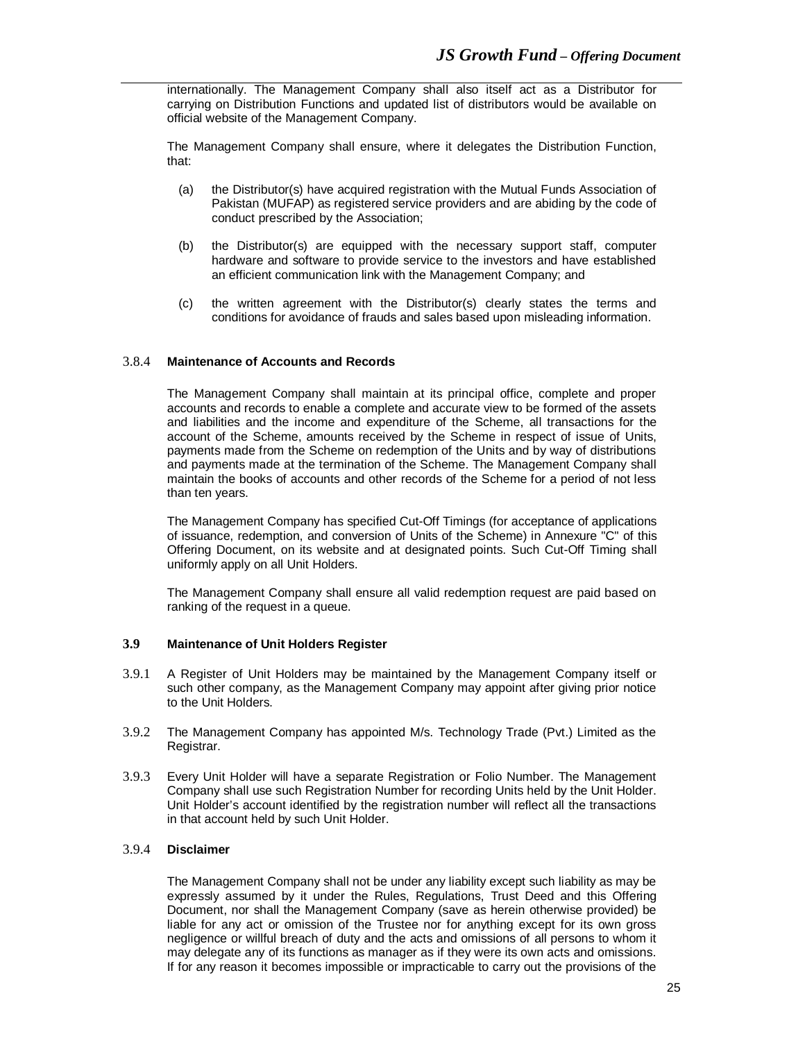internationally. The Management Company shall also itself act as a Distributor for carrying on Distribution Functions and updated list of distributors would be available on official website of the Management Company.

The Management Company shall ensure, where it delegates the Distribution Function, that:

- (a) the Distributor(s) have acquired registration with the Mutual Funds Association of Pakistan (MUFAP) as registered service providers and are abiding by the code of conduct prescribed by the Association;
- (b) the Distributor(s) are equipped with the necessary support staff, computer hardware and software to provide service to the investors and have established an efficient communication link with the Management Company; and
- (c) the written agreement with the Distributor(s) clearly states the terms and conditions for avoidance of frauds and sales based upon misleading information.

## 3.8.4 **Maintenance of Accounts and Records**

The Management Company shall maintain at its principal office, complete and proper accounts and records to enable a complete and accurate view to be formed of the assets and liabilities and the income and expenditure of the Scheme, all transactions for the account of the Scheme, amounts received by the Scheme in respect of issue of Units, payments made from the Scheme on redemption of the Units and by way of distributions and payments made at the termination of the Scheme. The Management Company shall maintain the books of accounts and other records of the Scheme for a period of not less than ten years.

The Management Company has specified Cut-Off Timings (for acceptance of applications of issuance, redemption, and conversion of Units of the Scheme) in Annexure "C" of this Offering Document, on its website and at designated points. Such Cut-Off Timing shall uniformly apply on all Unit Holders.

The Management Company shall ensure all valid redemption request are paid based on ranking of the request in a queue.

# **3.9 Maintenance of Unit Holders Register**

- 3.9.1 A Register of Unit Holders may be maintained by the Management Company itself or such other company, as the Management Company may appoint after giving prior notice to the Unit Holders.
- 3.9.2 The Management Company has appointed M/s. Technology Trade (Pvt.) Limited as the Registrar.
- 3.9.3 Every Unit Holder will have a separate Registration or Folio Number. The Management Company shall use such Registration Number for recording Units held by the Unit Holder. Unit Holder's account identified by the registration number will reflect all the transactions in that account held by such Unit Holder.

#### 3.9.4 **Disclaimer**

The Management Company shall not be under any liability except such liability as may be expressly assumed by it under the Rules, Regulations, Trust Deed and this Offering Document, nor shall the Management Company (save as herein otherwise provided) be liable for any act or omission of the Trustee nor for anything except for its own gross negligence or willful breach of duty and the acts and omissions of all persons to whom it may delegate any of its functions as manager as if they were its own acts and omissions. If for any reason it becomes impossible or impracticable to carry out the provisions of the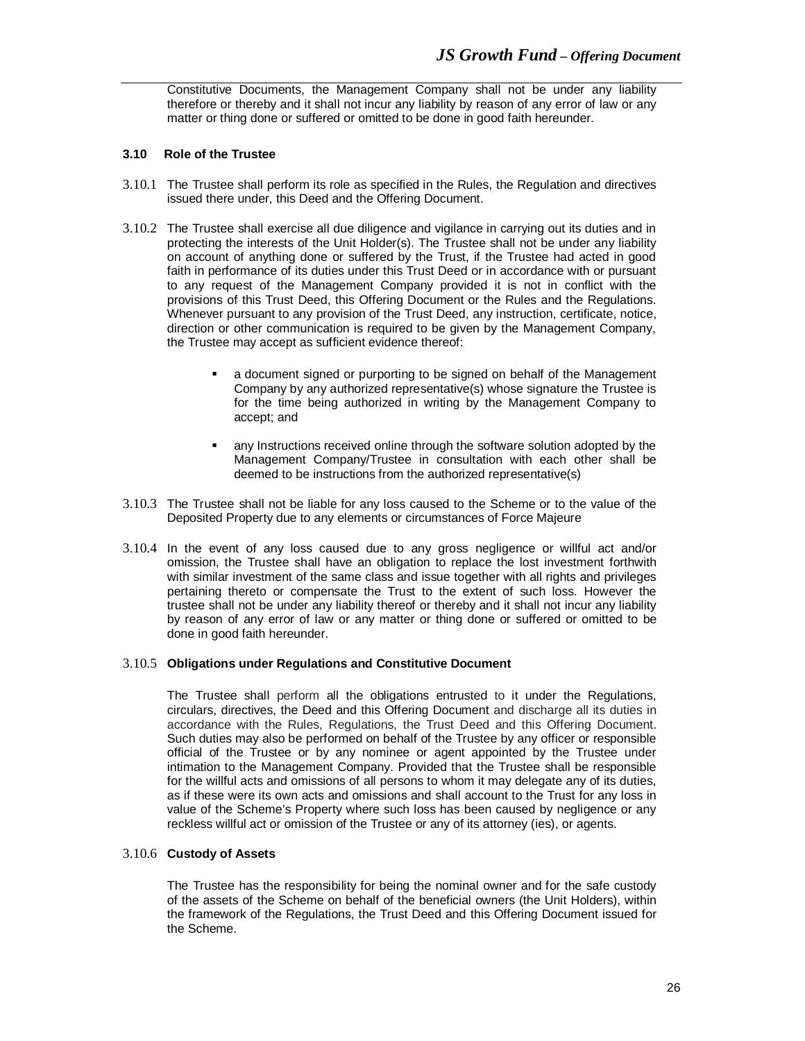Constitutive Documents, the Management Company shall not be under any liability therefore or thereby and it shall not incur any liability by reason of any error of law or any matter or thing done or suffered or omitted to be done in good faith hereunder.

#### **3.10 Role of the Trustee**

- 3.10.1 The Trustee shall perform its role as specified in the Rules, the Regulation and directives issued there under, this Deed and the Offering Document.
- 3.10.2 The Trustee shall exercise all due diligence and vigilance in carrying out its duties and in protecting the interests of the Unit Holder(s). The Trustee shall not be under any liability on account of anything done or suffered by the Trust, if the Trustee had acted in good faith in performance of its duties under this Trust Deed or in accordance with or pursuant to any request of the Management Company provided it is not in conflict with the provisions of this Trust Deed, this Offering Document or the Rules and the Regulations. Whenever pursuant to any provision of the Trust Deed, any instruction, certificate, notice, direction or other communication is required to be given by the Management Company, the Trustee may accept as sufficient evidence thereof:
	- a document signed or purporting to be signed on behalf of the Management Company by any authorized representative(s) whose signature the Trustee is for the time being authorized in writing by the Management Company to accept; and
	- any Instructions received online through the software solution adopted by the Management Company/Trustee in consultation with each other shall be deemed to be instructions from the authorized representative(s)
- 3.10.3 The Trustee shall not be liable for any loss caused to the Scheme or to the value of the Deposited Property due to any elements or circumstances of Force Majeure
- 3.10.4 In the event of any loss caused due to any gross negligence or willful act and/or omission, the Trustee shall have an obligation to replace the lost investment forthwith with similar investment of the same class and issue together with all rights and privileges pertaining thereto or compensate the Trust to the extent of such loss. However the trustee shall not be under any liability thereof or thereby and it shall not incur any liability by reason of any error of law or any matter or thing done or suffered or omitted to be done in good faith hereunder.

#### 3.10.5 **Obligations under Regulations and Constitutive Document**

The Trustee shall perform all the obligations entrusted to it under the Regulations, circulars, directives, the Deed and this Offering Document and discharge all its duties in accordance with the Rules, Regulations, the Trust Deed and this Offering Document. Such duties may also be performed on behalf of the Trustee by any officer or responsible official of the Trustee or by any nominee or agent appointed by the Trustee under intimation to the Management Company. Provided that the Trustee shall be responsible for the willful acts and omissions of all persons to whom it may delegate any of its duties, as if these were its own acts and omissions and shall account to the Trust for any loss in value of the Scheme's Property where such loss has been caused by negligence or any reckless willful act or omission of the Trustee or any of its attorney (ies), or agents.

## 3.10.6 **Custody of Assets**

The Trustee has the responsibility for being the nominal owner and for the safe custody of the assets of the Scheme on behalf of the beneficial owners (the Unit Holders), within the framework of the Regulations, the Trust Deed and this Offering Document issued for the Scheme.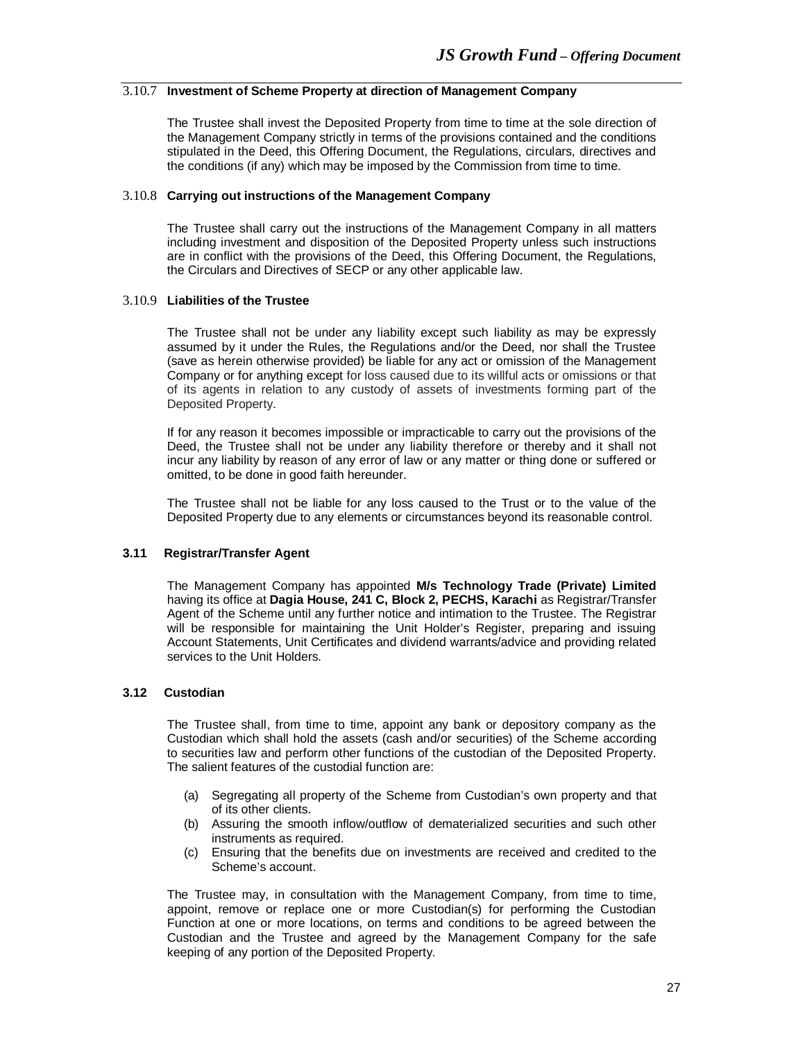# 3.10.7 **Investment of Scheme Property at direction of Management Company**

The Trustee shall invest the Deposited Property from time to time at the sole direction of the Management Company strictly in terms of the provisions contained and the conditions stipulated in the Deed, this Offering Document, the Regulations, circulars, directives and the conditions (if any) which may be imposed by the Commission from time to time.

# 3.10.8 **Carrying out instructions of the Management Company**

The Trustee shall carry out the instructions of the Management Company in all matters including investment and disposition of the Deposited Property unless such instructions are in conflict with the provisions of the Deed, this Offering Document, the Regulations, the Circulars and Directives of SECP or any other applicable law.

# 3.10.9 **Liabilities of the Trustee**

The Trustee shall not be under any liability except such liability as may be expressly assumed by it under the Rules, the Regulations and/or the Deed, nor shall the Trustee (save as herein otherwise provided) be liable for any act or omission of the Management Company or for anything except for loss caused due to its willful acts or omissions or that of its agents in relation to any custody of assets of investments forming part of the Deposited Property.

If for any reason it becomes impossible or impracticable to carry out the provisions of the Deed, the Trustee shall not be under any liability therefore or thereby and it shall not incur any liability by reason of any error of law or any matter or thing done or suffered or omitted, to be done in good faith hereunder.

The Trustee shall not be liable for any loss caused to the Trust or to the value of the Deposited Property due to any elements or circumstances beyond its reasonable control.

# **3.11 Registrar/Transfer Agent**

The Management Company has appointed **M/s Technology Trade (Private) Limited**  having its office at **Dagia House, 241 C, Block 2, PECHS, Karachi** as Registrar/Transfer Agent of the Scheme until any further notice and intimation to the Trustee. The Registrar will be responsible for maintaining the Unit Holder's Register, preparing and issuing Account Statements, Unit Certificates and dividend warrants/advice and providing related services to the Unit Holders.

# **3.12 Custodian**

The Trustee shall, from time to time, appoint any bank or depository company as the Custodian which shall hold the assets (cash and/or securities) of the Scheme according to securities law and perform other functions of the custodian of the Deposited Property. The salient features of the custodial function are:

- (a) Segregating all property of the Scheme from Custodian's own property and that of its other clients.
- (b) Assuring the smooth inflow/outflow of dematerialized securities and such other instruments as required.
- (c) Ensuring that the benefits due on investments are received and credited to the Scheme's account.

The Trustee may, in consultation with the Management Company, from time to time, appoint, remove or replace one or more Custodian(s) for performing the Custodian Function at one or more locations, on terms and conditions to be agreed between the Custodian and the Trustee and agreed by the Management Company for the safe keeping of any portion of the Deposited Property.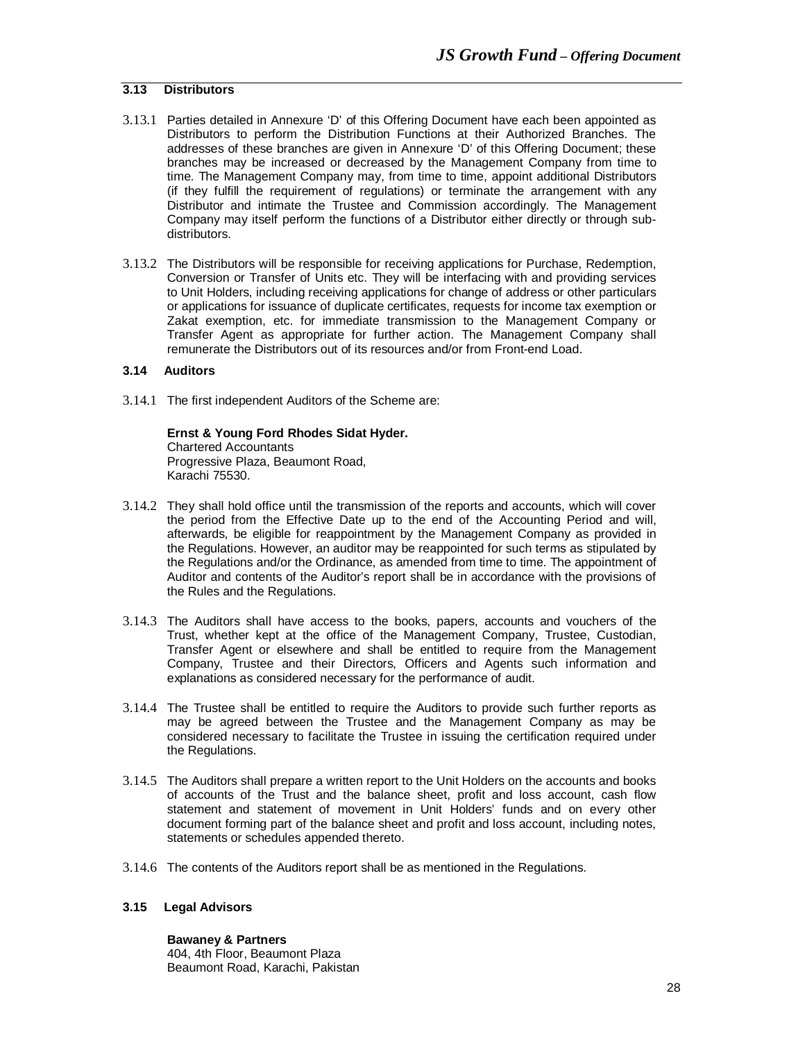# **3.13 Distributors**

- 3.13.1 Parties detailed in Annexure 'D' of this Offering Document have each been appointed as Distributors to perform the Distribution Functions at their Authorized Branches. The addresses of these branches are given in Annexure 'D' of this Offering Document; these branches may be increased or decreased by the Management Company from time to time. The Management Company may, from time to time, appoint additional Distributors (if they fulfill the requirement of regulations) or terminate the arrangement with any Distributor and intimate the Trustee and Commission accordingly. The Management Company may itself perform the functions of a Distributor either directly or through subdistributors.
- 3.13.2 The Distributors will be responsible for receiving applications for Purchase, Redemption, Conversion or Transfer of Units etc. They will be interfacing with and providing services to Unit Holders, including receiving applications for change of address or other particulars or applications for issuance of duplicate certificates, requests for income tax exemption or Zakat exemption, etc. for immediate transmission to the Management Company or Transfer Agent as appropriate for further action. The Management Company shall remunerate the Distributors out of its resources and/or from Front-end Load.

# **3.14 Auditors**

3.14.1 The first independent Auditors of the Scheme are:

**Ernst & Young Ford Rhodes Sidat Hyder.** Chartered Accountants Progressive Plaza, Beaumont Road, Karachi 75530.

- 3.14.2 They shall hold office until the transmission of the reports and accounts, which will cover the period from the Effective Date up to the end of the Accounting Period and will, afterwards, be eligible for reappointment by the Management Company as provided in the Regulations. However, an auditor may be reappointed for such terms as stipulated by the Regulations and/or the Ordinance, as amended from time to time. The appointment of Auditor and contents of the Auditor's report shall be in accordance with the provisions of the Rules and the Regulations.
- 3.14.3 The Auditors shall have access to the books, papers, accounts and vouchers of the Trust, whether kept at the office of the Management Company, Trustee, Custodian, Transfer Agent or elsewhere and shall be entitled to require from the Management Company, Trustee and their Directors, Officers and Agents such information and explanations as considered necessary for the performance of audit.
- 3.14.4 The Trustee shall be entitled to require the Auditors to provide such further reports as may be agreed between the Trustee and the Management Company as may be considered necessary to facilitate the Trustee in issuing the certification required under the Regulations.
- 3.14.5 The Auditors shall prepare a written report to the Unit Holders on the accounts and books of accounts of the Trust and the balance sheet, profit and loss account, cash flow statement and statement of movement in Unit Holders' funds and on every other document forming part of the balance sheet and profit and loss account, including notes, statements or schedules appended thereto.
- 3.14.6 The contents of the Auditors report shall be as mentioned in the Regulations.

# **3.15 Legal Advisors**

**Bawaney & Partners** 404, 4th Floor, Beaumont Plaza Beaumont Road, Karachi, Pakistan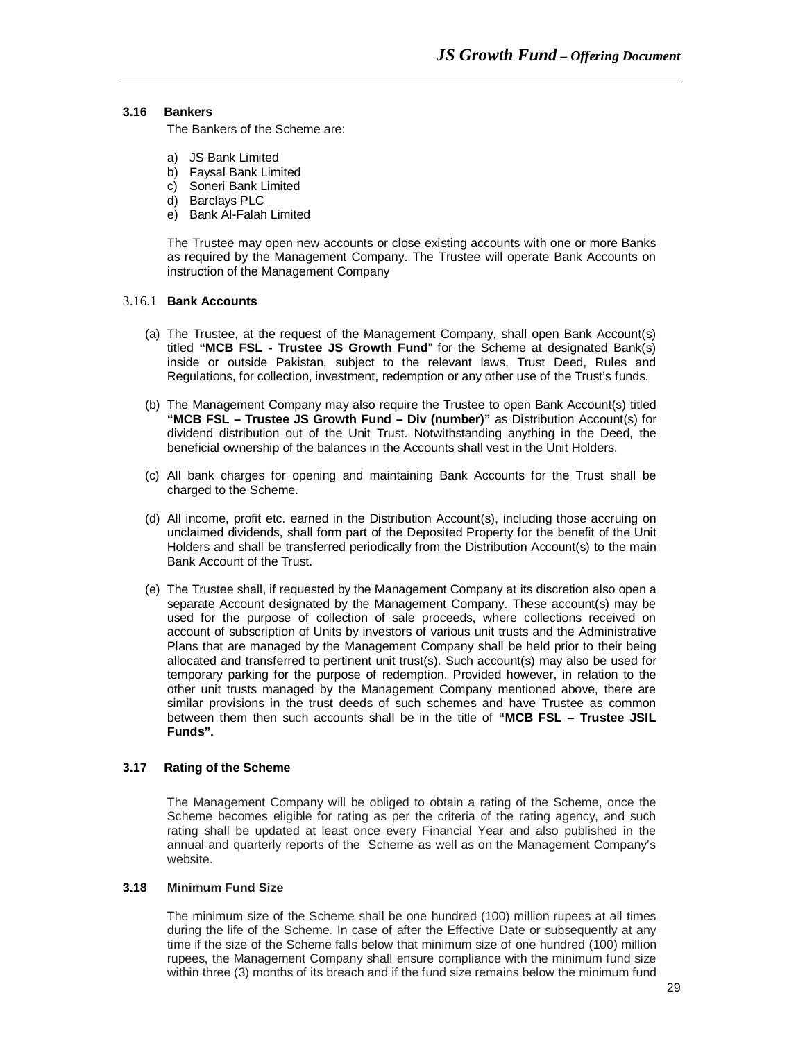#### **3.16 Bankers**

The Bankers of the Scheme are:

- a) JS Bank Limited
- b) Faysal Bank Limited
- c) Soneri Bank Limited
- d) Barclays PLC
- e) Bank Al-Falah Limited

The Trustee may open new accounts or close existing accounts with one or more Banks as required by the Management Company. The Trustee will operate Bank Accounts on instruction of the Management Company

## 3.16.1 **Bank Accounts**

- (a) The Trustee, at the request of the Management Company, shall open Bank Account(s) titled **"MCB FSL - Trustee JS Growth Fund**" for the Scheme at designated Bank(s) inside or outside Pakistan, subject to the relevant laws, Trust Deed, Rules and Regulations, for collection, investment, redemption or any other use of the Trust's funds.
- (b) The Management Company may also require the Trustee to open Bank Account(s) titled **"MCB FSL – Trustee JS Growth Fund – Div (number)"** as Distribution Account(s) for dividend distribution out of the Unit Trust. Notwithstanding anything in the Deed, the beneficial ownership of the balances in the Accounts shall vest in the Unit Holders.
- (c) All bank charges for opening and maintaining Bank Accounts for the Trust shall be charged to the Scheme.
- (d) All income, profit etc. earned in the Distribution Account(s), including those accruing on unclaimed dividends, shall form part of the Deposited Property for the benefit of the Unit Holders and shall be transferred periodically from the Distribution Account(s) to the main Bank Account of the Trust.
- (e) The Trustee shall, if requested by the Management Company at its discretion also open a separate Account designated by the Management Company. These account(s) may be used for the purpose of collection of sale proceeds, where collections received on account of subscription of Units by investors of various unit trusts and the Administrative Plans that are managed by the Management Company shall be held prior to their being allocated and transferred to pertinent unit trust(s). Such account(s) may also be used for temporary parking for the purpose of redemption. Provided however, in relation to the other unit trusts managed by the Management Company mentioned above, there are similar provisions in the trust deeds of such schemes and have Trustee as common between them then such accounts shall be in the title of **"MCB FSL – Trustee JSIL Funds".**

# **3.17 Rating of the Scheme**

The Management Company will be obliged to obtain a rating of the Scheme, once the Scheme becomes eligible for rating as per the criteria of the rating agency, and such rating shall be updated at least once every Financial Year and also published in the annual and quarterly reports of the Scheme as well as on the Management Company's website.

#### **3.18 Minimum Fund Size**

The minimum size of the Scheme shall be one hundred (100) million rupees at all times during the life of the Scheme. In case of after the Effective Date or subsequently at any time if the size of the Scheme falls below that minimum size of one hundred (100) million rupees, the Management Company shall ensure compliance with the minimum fund size within three (3) months of its breach and if the fund size remains below the minimum fund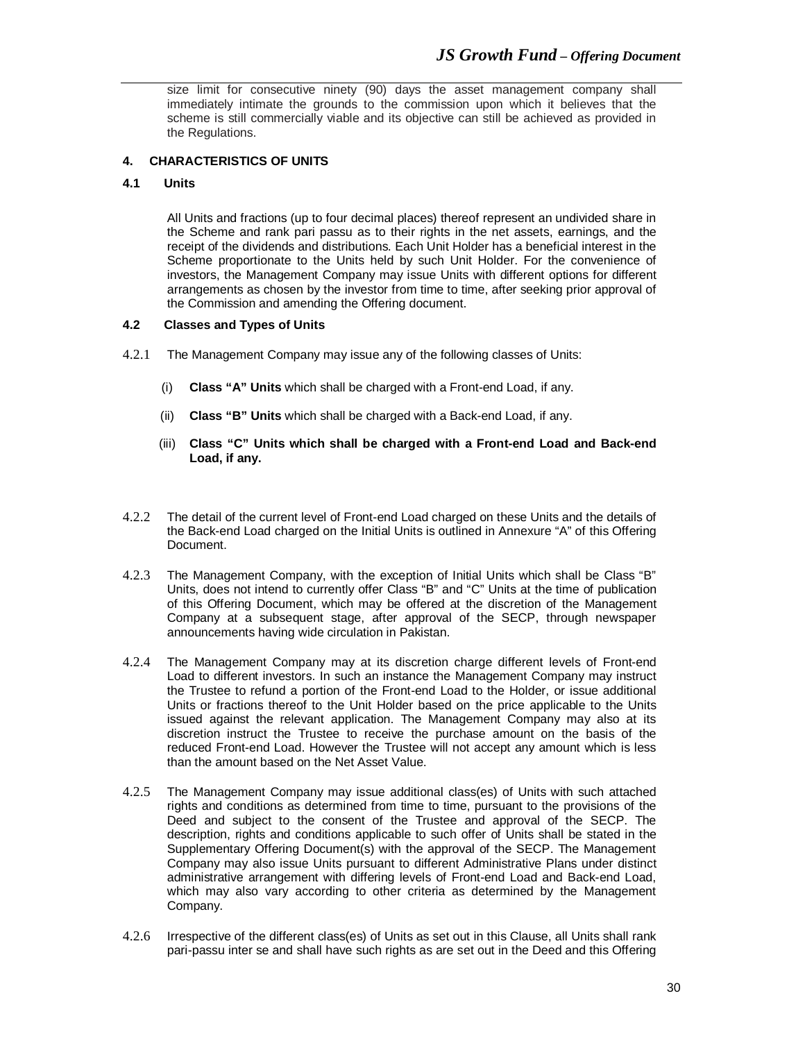size limit for consecutive ninety (90) days the asset management company shall immediately intimate the grounds to the commission upon which it believes that the scheme is still commercially viable and its objective can still be achieved as provided in the Regulations.

# **4. CHARACTERISTICS OF UNITS**

#### **4.1 Units**

All Units and fractions (up to four decimal places) thereof represent an undivided share in the Scheme and rank pari passu as to their rights in the net assets, earnings, and the receipt of the dividends and distributions. Each Unit Holder has a beneficial interest in the Scheme proportionate to the Units held by such Unit Holder. For the convenience of investors, the Management Company may issue Units with different options for different arrangements as chosen by the investor from time to time, after seeking prior approval of the Commission and amending the Offering document.

# **4.2 Classes and Types of Units**

- 4.2.1 The Management Company may issue any of the following classes of Units:
	- (i) **Class "A" Units** which shall be charged with a Front-end Load, if any.
	- (ii) **Class "B" Units** which shall be charged with a Back-end Load, if any.
	- (iii) **Class "C" Units which shall be charged with a Front-end Load and Back-end Load, if any.**
- 4.2.2 The detail of the current level of Front-end Load charged on these Units and the details of the Back-end Load charged on the Initial Units is outlined in Annexure "A" of this Offering Document.
- 4.2.3 The Management Company, with the exception of Initial Units which shall be Class "B" Units, does not intend to currently offer Class "B" and "C" Units at the time of publication of this Offering Document, which may be offered at the discretion of the Management Company at a subsequent stage, after approval of the SECP, through newspaper announcements having wide circulation in Pakistan.
- 4.2.4 The Management Company may at its discretion charge different levels of Front-end Load to different investors. In such an instance the Management Company may instruct the Trustee to refund a portion of the Front-end Load to the Holder, or issue additional Units or fractions thereof to the Unit Holder based on the price applicable to the Units issued against the relevant application. The Management Company may also at its discretion instruct the Trustee to receive the purchase amount on the basis of the reduced Front-end Load. However the Trustee will not accept any amount which is less than the amount based on the Net Asset Value.
- 4.2.5 The Management Company may issue additional class(es) of Units with such attached rights and conditions as determined from time to time, pursuant to the provisions of the Deed and subject to the consent of the Trustee and approval of the SECP. The description, rights and conditions applicable to such offer of Units shall be stated in the Supplementary Offering Document(s) with the approval of the SECP. The Management Company may also issue Units pursuant to different Administrative Plans under distinct administrative arrangement with differing levels of Front-end Load and Back-end Load, which may also vary according to other criteria as determined by the Management Company.
- 4.2.6 Irrespective of the different class(es) of Units as set out in this Clause, all Units shall rank pari-passu inter se and shall have such rights as are set out in the Deed and this Offering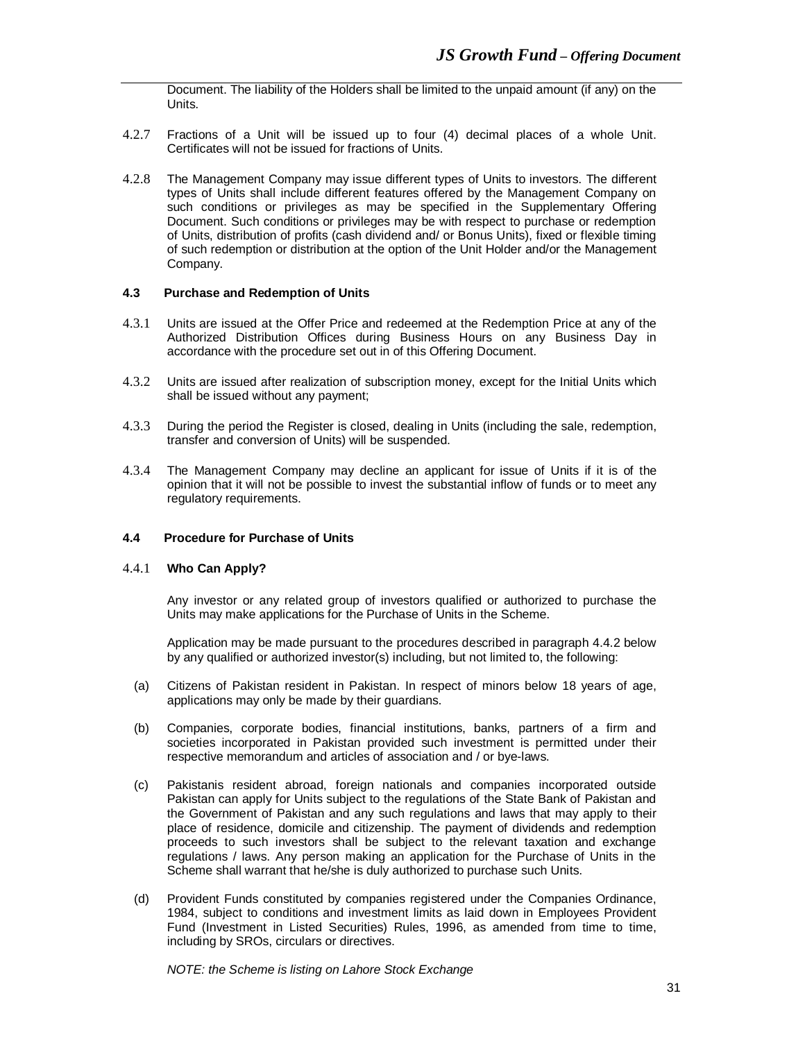Document. The liability of the Holders shall be limited to the unpaid amount (if any) on the Units.

- 4.2.7 Fractions of a Unit will be issued up to four (4) decimal places of a whole Unit. Certificates will not be issued for fractions of Units.
- 4.2.8 The Management Company may issue different types of Units to investors. The different types of Units shall include different features offered by the Management Company on such conditions or privileges as may be specified in the Supplementary Offering Document. Such conditions or privileges may be with respect to purchase or redemption of Units, distribution of profits (cash dividend and/ or Bonus Units), fixed or flexible timing of such redemption or distribution at the option of the Unit Holder and/or the Management Company.

#### **4.3 Purchase and Redemption of Units**

- 4.3.1 Units are issued at the Offer Price and redeemed at the Redemption Price at any of the Authorized Distribution Offices during Business Hours on any Business Day in accordance with the procedure set out in of this Offering Document.
- 4.3.2 Units are issued after realization of subscription money, except for the Initial Units which shall be issued without any payment;
- 4.3.3 During the period the Register is closed, dealing in Units (including the sale, redemption, transfer and conversion of Units) will be suspended.
- 4.3.4 The Management Company may decline an applicant for issue of Units if it is of the opinion that it will not be possible to invest the substantial inflow of funds or to meet any regulatory requirements.

# **4.4 Procedure for Purchase of Units**

#### 4.4.1 **Who Can Apply?**

Any investor or any related group of investors qualified or authorized to purchase the Units may make applications for the Purchase of Units in the Scheme.

Application may be made pursuant to the procedures described in paragraph 4.4.2 below by any qualified or authorized investor(s) including, but not limited to, the following:

- (a) Citizens of Pakistan resident in Pakistan. In respect of minors below 18 years of age, applications may only be made by their guardians.
- (b) Companies, corporate bodies, financial institutions, banks, partners of a firm and societies incorporated in Pakistan provided such investment is permitted under their respective memorandum and articles of association and / or bye-laws.
- (c) Pakistanis resident abroad, foreign nationals and companies incorporated outside Pakistan can apply for Units subject to the regulations of the State Bank of Pakistan and the Government of Pakistan and any such regulations and laws that may apply to their place of residence, domicile and citizenship. The payment of dividends and redemption proceeds to such investors shall be subject to the relevant taxation and exchange regulations / laws. Any person making an application for the Purchase of Units in the Scheme shall warrant that he/she is duly authorized to purchase such Units.
- (d) Provident Funds constituted by companies registered under the Companies Ordinance, 1984, subject to conditions and investment limits as laid down in Employees Provident Fund (Investment in Listed Securities) Rules, 1996, as amended from time to time, including by SROs, circulars or directives.

*NOTE: the Scheme is listing on Lahore Stock Exchange*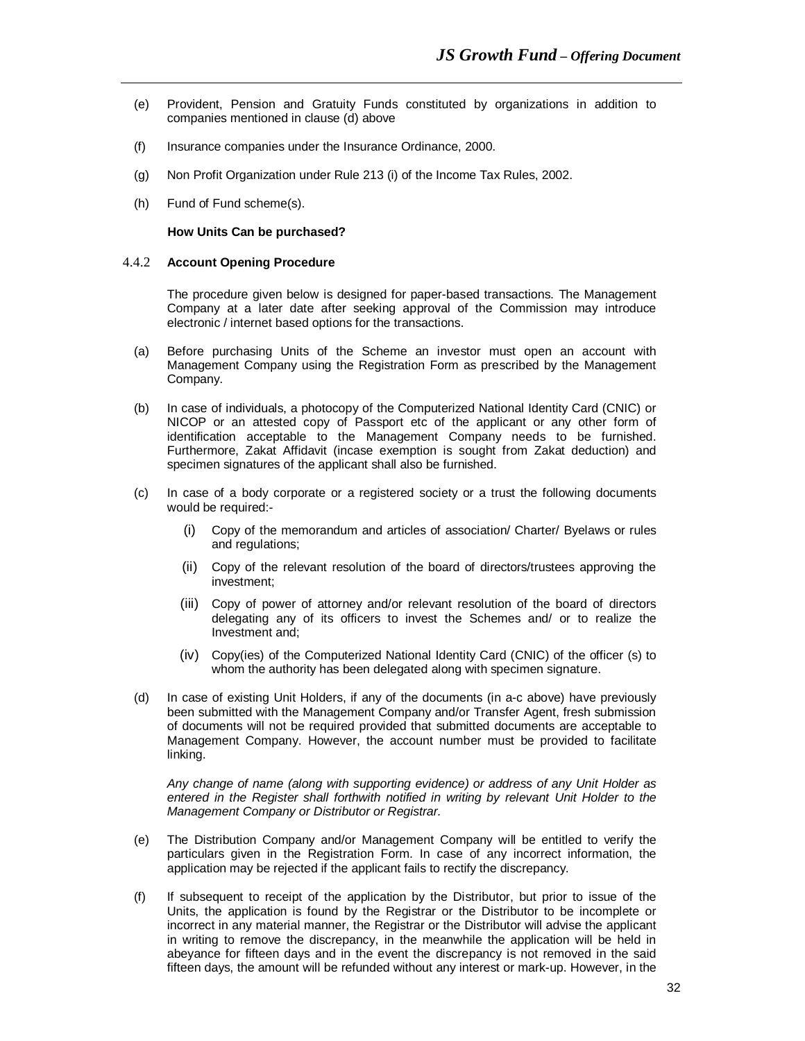- (e) Provident, Pension and Gratuity Funds constituted by organizations in addition to companies mentioned in clause (d) above
- (f) Insurance companies under the Insurance Ordinance, 2000.
- (g) Non Profit Organization under Rule 213 (i) of the Income Tax Rules, 2002.
- (h) Fund of Fund scheme(s).

 **How Units Can be purchased?**

# 4.4.2 **Account Opening Procedure**

The procedure given below is designed for paper-based transactions. The Management Company at a later date after seeking approval of the Commission may introduce electronic / internet based options for the transactions.

- (a) Before purchasing Units of the Scheme an investor must open an account with Management Company using the Registration Form as prescribed by the Management Company.
- (b) In case of individuals, a photocopy of the Computerized National Identity Card (CNIC) or NICOP or an attested copy of Passport etc of the applicant or any other form of identification acceptable to the Management Company needs to be furnished. Furthermore, Zakat Affidavit (incase exemption is sought from Zakat deduction) and specimen signatures of the applicant shall also be furnished.
- (c) In case of a body corporate or a registered society or a trust the following documents would be required:-
	- (i) Copy of the memorandum and articles of association/ Charter/ Byelaws or rules and regulations;
	- (ii) Copy of the relevant resolution of the board of directors/trustees approving the investment;
	- (iii) Copy of power of attorney and/or relevant resolution of the board of directors delegating any of its officers to invest the Schemes and/ or to realize the Investment and;
	- (iv) Copy(ies) of the Computerized National Identity Card (CNIC) of the officer (s) to whom the authority has been delegated along with specimen signature.
- (d) In case of existing Unit Holders, if any of the documents (in a-c above) have previously been submitted with the Management Company and/or Transfer Agent, fresh submission of documents will not be required provided that submitted documents are acceptable to Management Company. However, the account number must be provided to facilitate linking.

*Any change of name (along with supporting evidence) or address of any Unit Holder as entered in the Register shall forthwith notified in writing by relevant Unit Holder to the Management Company or Distributor or Registrar.* 

- (e) The Distribution Company and/or Management Company will be entitled to verify the particulars given in the Registration Form. In case of any incorrect information, the application may be rejected if the applicant fails to rectify the discrepancy.
- (f) If subsequent to receipt of the application by the Distributor, but prior to issue of the Units, the application is found by the Registrar or the Distributor to be incomplete or incorrect in any material manner, the Registrar or the Distributor will advise the applicant in writing to remove the discrepancy, in the meanwhile the application will be held in abeyance for fifteen days and in the event the discrepancy is not removed in the said fifteen days, the amount will be refunded without any interest or mark-up. However, in the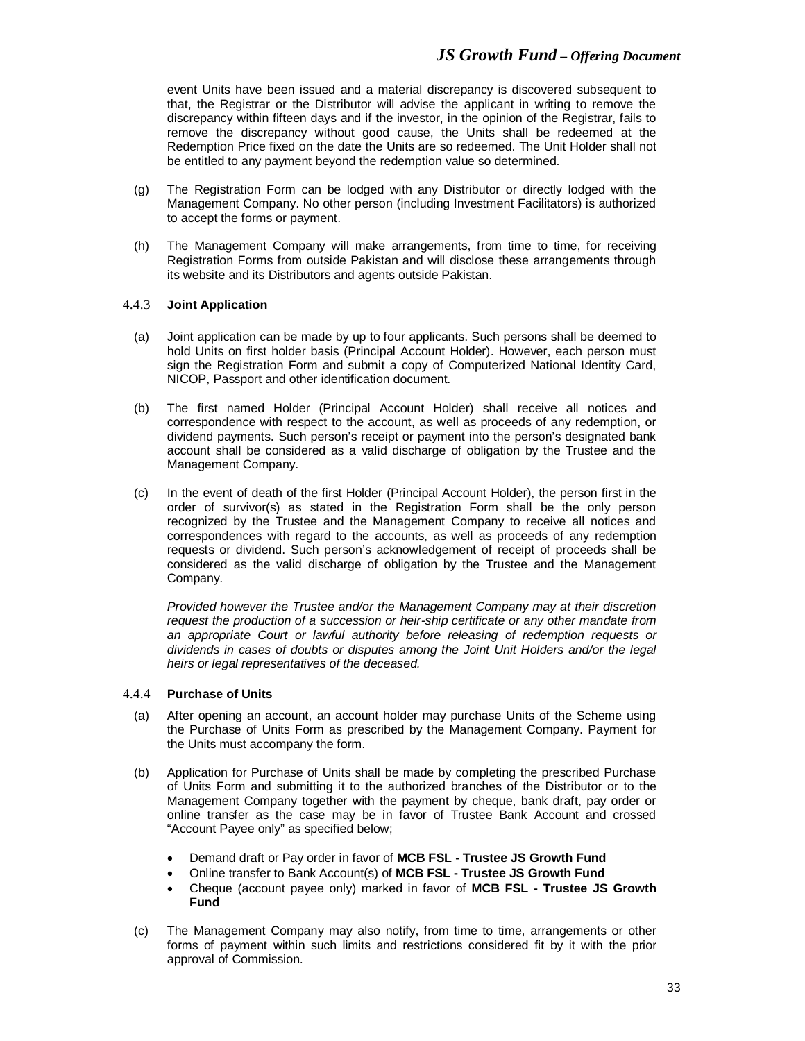event Units have been issued and a material discrepancy is discovered subsequent to that, the Registrar or the Distributor will advise the applicant in writing to remove the discrepancy within fifteen days and if the investor, in the opinion of the Registrar, fails to remove the discrepancy without good cause, the Units shall be redeemed at the Redemption Price fixed on the date the Units are so redeemed. The Unit Holder shall not be entitled to any payment beyond the redemption value so determined.

- (g) The Registration Form can be lodged with any Distributor or directly lodged with the Management Company. No other person (including Investment Facilitators) is authorized to accept the forms or payment.
- (h) The Management Company will make arrangements, from time to time, for receiving Registration Forms from outside Pakistan and will disclose these arrangements through its website and its Distributors and agents outside Pakistan.

#### 4.4.3 **Joint Application**

- (a) Joint application can be made by up to four applicants. Such persons shall be deemed to hold Units on first holder basis (Principal Account Holder). However, each person must sign the Registration Form and submit a copy of Computerized National Identity Card, NICOP, Passport and other identification document.
- (b) The first named Holder (Principal Account Holder) shall receive all notices and correspondence with respect to the account, as well as proceeds of any redemption, or dividend payments. Such person's receipt or payment into the person's designated bank account shall be considered as a valid discharge of obligation by the Trustee and the Management Company.
- (c) In the event of death of the first Holder (Principal Account Holder), the person first in the order of survivor(s) as stated in the Registration Form shall be the only person recognized by the Trustee and the Management Company to receive all notices and correspondences with regard to the accounts, as well as proceeds of any redemption requests or dividend. Such person's acknowledgement of receipt of proceeds shall be considered as the valid discharge of obligation by the Trustee and the Management Company.

*Provided however the Trustee and/or the Management Company may at their discretion request the production of a succession or heir-ship certificate or any other mandate from an appropriate Court or lawful authority before releasing of redemption requests or dividends in cases of doubts or disputes among the Joint Unit Holders and/or the legal heirs or legal representatives of the deceased.*

#### 4.4.4 **Purchase of Units**

- (a) After opening an account, an account holder may purchase Units of the Scheme using the Purchase of Units Form as prescribed by the Management Company. Payment for the Units must accompany the form.
- (b) Application for Purchase of Units shall be made by completing the prescribed Purchase of Units Form and submitting it to the authorized branches of the Distributor or to the Management Company together with the payment by cheque, bank draft, pay order or online transfer as the case may be in favor of Trustee Bank Account and crossed "Account Payee only" as specified below;
	- Demand draft or Pay order in favor of **MCB FSL - Trustee JS Growth Fund**
	- Online transfer to Bank Account(s) of **MCB FSL - Trustee JS Growth Fund**
	- Cheque (account payee only) marked in favor of **MCB FSL - Trustee JS Growth Fund**
- (c) The Management Company may also notify, from time to time, arrangements or other forms of payment within such limits and restrictions considered fit by it with the prior approval of Commission.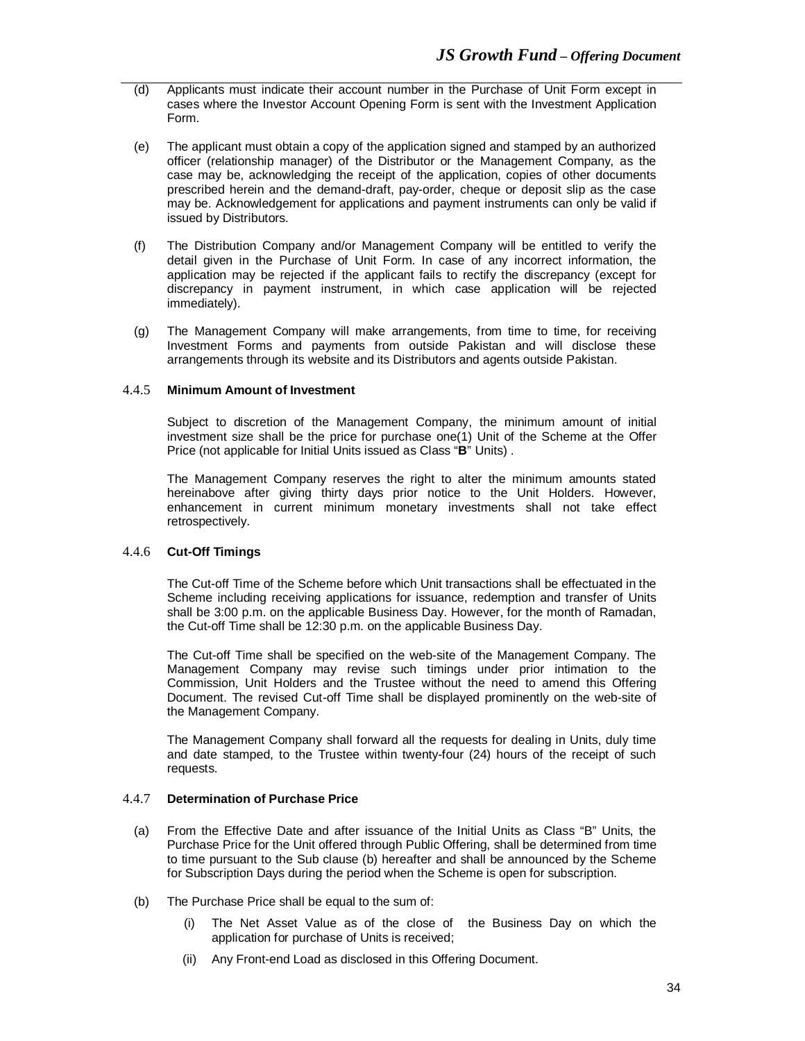- (d) Applicants must indicate their account number in the Purchase of Unit Form except in cases where the Investor Account Opening Form is sent with the Investment Application Form.
- (e) The applicant must obtain a copy of the application signed and stamped by an authorized officer (relationship manager) of the Distributor or the Management Company, as the case may be, acknowledging the receipt of the application, copies of other documents prescribed herein and the demand-draft, pay-order, cheque or deposit slip as the case may be. Acknowledgement for applications and payment instruments can only be valid if issued by Distributors.
- (f) The Distribution Company and/or Management Company will be entitled to verify the detail given in the Purchase of Unit Form. In case of any incorrect information, the application may be rejected if the applicant fails to rectify the discrepancy (except for discrepancy in payment instrument, in which case application will be rejected immediately).
- (g) The Management Company will make arrangements, from time to time, for receiving Investment Forms and payments from outside Pakistan and will disclose these arrangements through its website and its Distributors and agents outside Pakistan.

## 4.4.5 **Minimum Amount of Investment**

Subject to discretion of the Management Company, the minimum amount of initial investment size shall be the price for purchase one(1) Unit of the Scheme at the Offer Price (not applicable for Initial Units issued as Class "**B**" Units) .

The Management Company reserves the right to alter the minimum amounts stated hereinabove after giving thirty days prior notice to the Unit Holders. However, enhancement in current minimum monetary investments shall not take effect retrospectively.

# 4.4.6 **Cut-Off Timings**

The Cut-off Time of the Scheme before which Unit transactions shall be effectuated in the Scheme including receiving applications for issuance, redemption and transfer of Units shall be 3:00 p.m. on the applicable Business Day. However, for the month of Ramadan, the Cut-off Time shall be 12:30 p.m. on the applicable Business Day.

The Cut-off Time shall be specified on the web-site of the Management Company. The Management Company may revise such timings under prior intimation to the Commission, Unit Holders and the Trustee without the need to amend this Offering Document. The revised Cut-off Time shall be displayed prominently on the web-site of the Management Company.

The Management Company shall forward all the requests for dealing in Units, duly time and date stamped, to the Trustee within twenty-four (24) hours of the receipt of such requests.

# 4.4.7 **Determination of Purchase Price**

- (a) From the Effective Date and after issuance of the Initial Units as Class "B" Units, the Purchase Price for the Unit offered through Public Offering, shall be determined from time to time pursuant to the Sub clause (b) hereafter and shall be announced by the Scheme for Subscription Days during the period when the Scheme is open for subscription.
- (b) The Purchase Price shall be equal to the sum of:
	- (i) The Net Asset Value as of the close of the Business Day on which the application for purchase of Units is received;
	- (ii) Any Front-end Load as disclosed in this Offering Document.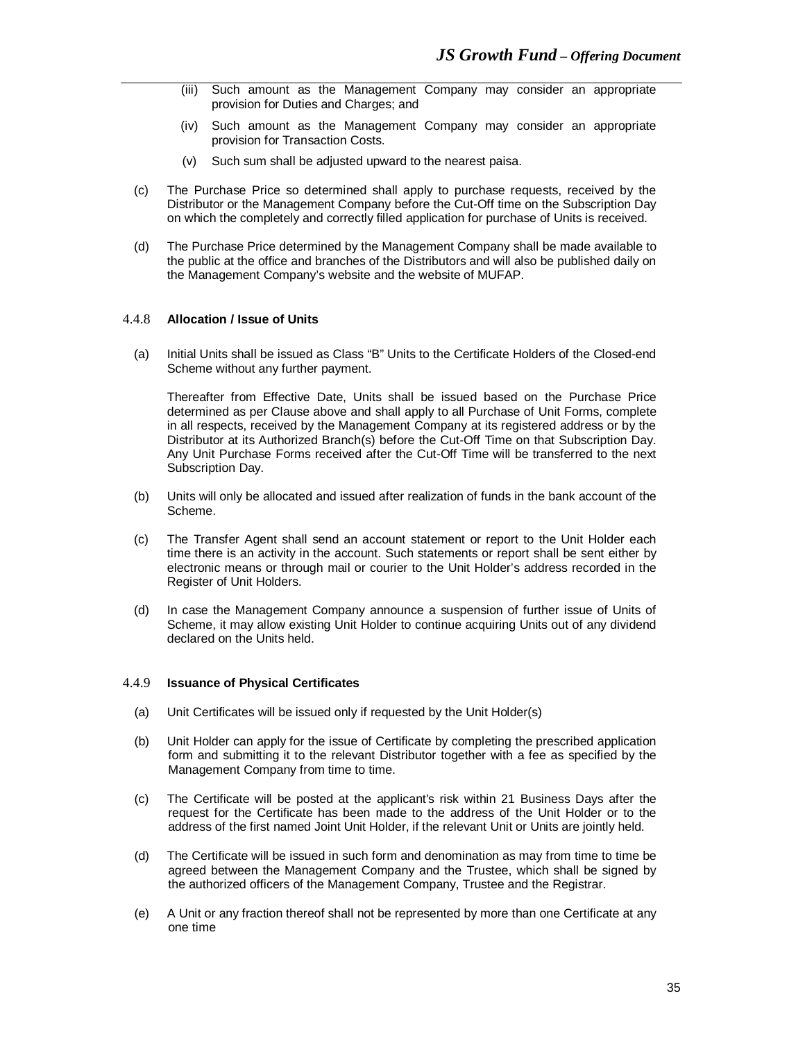- (iii) Such amount as the Management Company may consider an appropriate provision for Duties and Charges; and
- (iv) Such amount as the Management Company may consider an appropriate provision for Transaction Costs.
- (v) Such sum shall be adjusted upward to the nearest paisa.
- (c) The Purchase Price so determined shall apply to purchase requests, received by the Distributor or the Management Company before the Cut-Off time on the Subscription Day on which the completely and correctly filled application for purchase of Units is received.
- (d) The Purchase Price determined by the Management Company shall be made available to the public at the office and branches of the Distributors and will also be published daily on the Management Company's website and the website of MUFAP.

#### 4.4.8 **Allocation / Issue of Units**

(a) Initial Units shall be issued as Class "B" Units to the Certificate Holders of the Closed-end Scheme without any further payment.

Thereafter from Effective Date, Units shall be issued based on the Purchase Price determined as per Clause above and shall apply to all Purchase of Unit Forms, complete in all respects, received by the Management Company at its registered address or by the Distributor at its Authorized Branch(s) before the Cut-Off Time on that Subscription Day. Any Unit Purchase Forms received after the Cut-Off Time will be transferred to the next Subscription Day.

- (b) Units will only be allocated and issued after realization of funds in the bank account of the Scheme.
- (c) The Transfer Agent shall send an account statement or report to the Unit Holder each time there is an activity in the account. Such statements or report shall be sent either by electronic means or through mail or courier to the Unit Holder's address recorded in the Register of Unit Holders.
- (d) In case the Management Company announce a suspension of further issue of Units of Scheme, it may allow existing Unit Holder to continue acquiring Units out of any dividend declared on the Units held.

#### 4.4.9 **Issuance of Physical Certificates**

- (a) Unit Certificates will be issued only if requested by the Unit Holder(s)
- (b) Unit Holder can apply for the issue of Certificate by completing the prescribed application form and submitting it to the relevant Distributor together with a fee as specified by the Management Company from time to time.
- (c) The Certificate will be posted at the applicant's risk within 21 Business Days after the request for the Certificate has been made to the address of the Unit Holder or to the address of the first named Joint Unit Holder, if the relevant Unit or Units are jointly held.
- (d) The Certificate will be issued in such form and denomination as may from time to time be agreed between the Management Company and the Trustee, which shall be signed by the authorized officers of the Management Company, Trustee and the Registrar.
- (e) A Unit or any fraction thereof shall not be represented by more than one Certificate at any one time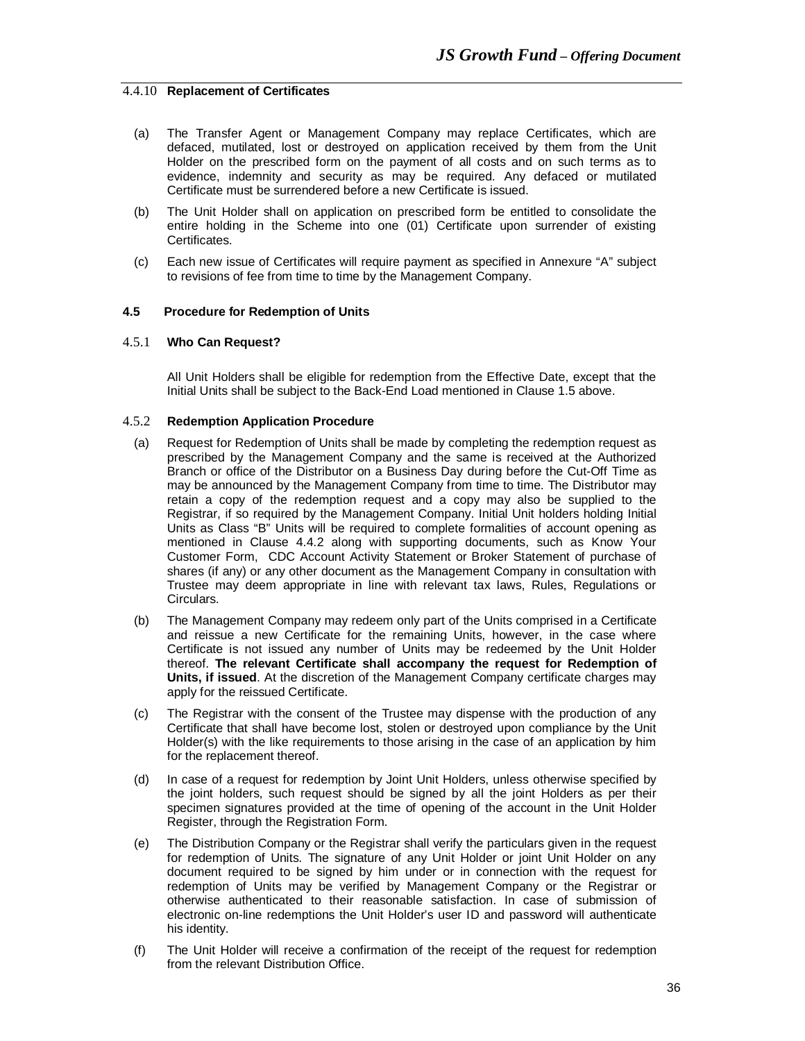#### 4.4.10 **Replacement of Certificates**

- (a) The Transfer Agent or Management Company may replace Certificates, which are defaced, mutilated, lost or destroyed on application received by them from the Unit Holder on the prescribed form on the payment of all costs and on such terms as to evidence, indemnity and security as may be required. Any defaced or mutilated Certificate must be surrendered before a new Certificate is issued.
- (b) The Unit Holder shall on application on prescribed form be entitled to consolidate the entire holding in the Scheme into one (01) Certificate upon surrender of existing Certificates.
- (c) Each new issue of Certificates will require payment as specified in Annexure "A" subject to revisions of fee from time to time by the Management Company.

#### **4.5 Procedure for Redemption of Units**

#### 4.5.1 **Who Can Request?**

All Unit Holders shall be eligible for redemption from the Effective Date, except that the Initial Units shall be subject to the Back-End Load mentioned in Clause 1.5 above.

#### 4.5.2 **Redemption Application Procedure**

- (a) Request for Redemption of Units shall be made by completing the redemption request as prescribed by the Management Company and the same is received at the Authorized Branch or office of the Distributor on a Business Day during before the Cut-Off Time as may be announced by the Management Company from time to time. The Distributor may retain a copy of the redemption request and a copy may also be supplied to the Registrar, if so required by the Management Company. Initial Unit holders holding Initial Units as Class "B" Units will be required to complete formalities of account opening as mentioned in Clause 4.4.2 along with supporting documents, such as Know Your Customer Form, CDC Account Activity Statement or Broker Statement of purchase of shares (if any) or any other document as the Management Company in consultation with Trustee may deem appropriate in line with relevant tax laws, Rules, Regulations or Circulars.
- (b) The Management Company may redeem only part of the Units comprised in a Certificate and reissue a new Certificate for the remaining Units, however, in the case where Certificate is not issued any number of Units may be redeemed by the Unit Holder thereof. **The relevant Certificate shall accompany the request for Redemption of Units, if issued**. At the discretion of the Management Company certificate charges may apply for the reissued Certificate.
- (c) The Registrar with the consent of the Trustee may dispense with the production of any Certificate that shall have become lost, stolen or destroyed upon compliance by the Unit Holder(s) with the like requirements to those arising in the case of an application by him for the replacement thereof.
- (d) In case of a request for redemption by Joint Unit Holders, unless otherwise specified by the joint holders, such request should be signed by all the joint Holders as per their specimen signatures provided at the time of opening of the account in the Unit Holder Register, through the Registration Form.
- (e) The Distribution Company or the Registrar shall verify the particulars given in the request for redemption of Units. The signature of any Unit Holder or joint Unit Holder on any document required to be signed by him under or in connection with the request for redemption of Units may be verified by Management Company or the Registrar or otherwise authenticated to their reasonable satisfaction. In case of submission of electronic on-line redemptions the Unit Holder's user ID and password will authenticate his identity.
- (f) The Unit Holder will receive a confirmation of the receipt of the request for redemption from the relevant Distribution Office.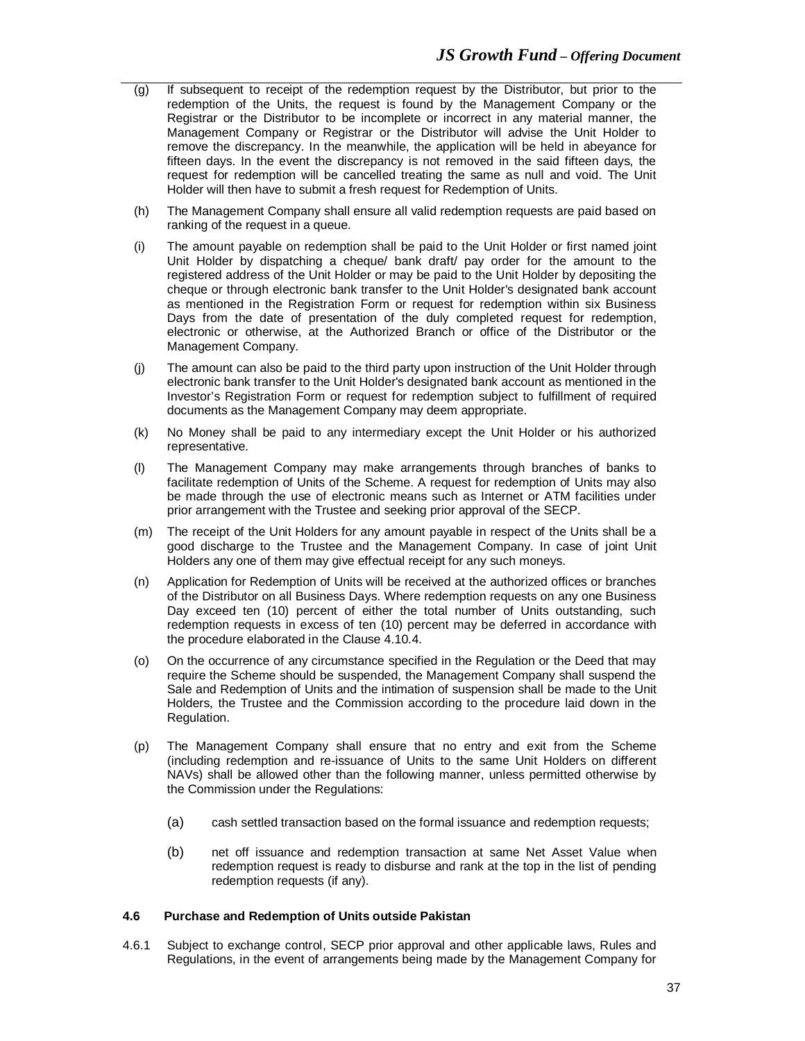- (g) If subsequent to receipt of the redemption request by the Distributor, but prior to the redemption of the Units, the request is found by the Management Company or the Registrar or the Distributor to be incomplete or incorrect in any material manner, the Management Company or Registrar or the Distributor will advise the Unit Holder to remove the discrepancy. In the meanwhile, the application will be held in abeyance for fifteen days. In the event the discrepancy is not removed in the said fifteen days, the request for redemption will be cancelled treating the same as null and void. The Unit Holder will then have to submit a fresh request for Redemption of Units.
- (h) The Management Company shall ensure all valid redemption requests are paid based on ranking of the request in a queue.
- (i) The amount payable on redemption shall be paid to the Unit Holder or first named joint Unit Holder by dispatching a cheque/ bank draft/ pay order for the amount to the registered address of the Unit Holder or may be paid to the Unit Holder by depositing the cheque or through electronic bank transfer to the Unit Holder's designated bank account as mentioned in the Registration Form or request for redemption within six Business Days from the date of presentation of the duly completed request for redemption, electronic or otherwise, at the Authorized Branch or office of the Distributor or the Management Company.
- (j) The amount can also be paid to the third party upon instruction of the Unit Holder through electronic bank transfer to the Unit Holder's designated bank account as mentioned in the Investor's Registration Form or request for redemption subject to fulfillment of required documents as the Management Company may deem appropriate.
- (k) No Money shall be paid to any intermediary except the Unit Holder or his authorized representative.
- (l) The Management Company may make arrangements through branches of banks to facilitate redemption of Units of the Scheme. A request for redemption of Units may also be made through the use of electronic means such as Internet or ATM facilities under prior arrangement with the Trustee and seeking prior approval of the SECP.
- (m) The receipt of the Unit Holders for any amount payable in respect of the Units shall be a good discharge to the Trustee and the Management Company. In case of joint Unit Holders any one of them may give effectual receipt for any such moneys.
- (n) Application for Redemption of Units will be received at the authorized offices or branches of the Distributor on all Business Days. Where redemption requests on any one Business Day exceed ten (10) percent of either the total number of Units outstanding, such redemption requests in excess of ten (10) percent may be deferred in accordance with the procedure elaborated in the Clause 4.10.4.
- (o) On the occurrence of any circumstance specified in the Regulation or the Deed that may require the Scheme should be suspended, the Management Company shall suspend the Sale and Redemption of Units and the intimation of suspension shall be made to the Unit Holders, the Trustee and the Commission according to the procedure laid down in the Regulation.
- (p) The Management Company shall ensure that no entry and exit from the Scheme (including redemption and re-issuance of Units to the same Unit Holders on different NAVs) shall be allowed other than the following manner, unless permitted otherwise by the Commission under the Regulations:
	- (a) cash settled transaction based on the formal issuance and redemption requests;
	- (b) net off issuance and redemption transaction at same Net Asset Value when redemption request is ready to disburse and rank at the top in the list of pending redemption requests (if any).

#### **4.6 Purchase and Redemption of Units outside Pakistan**

4.6.1 Subject to exchange control, SECP prior approval and other applicable laws, Rules and Regulations, in the event of arrangements being made by the Management Company for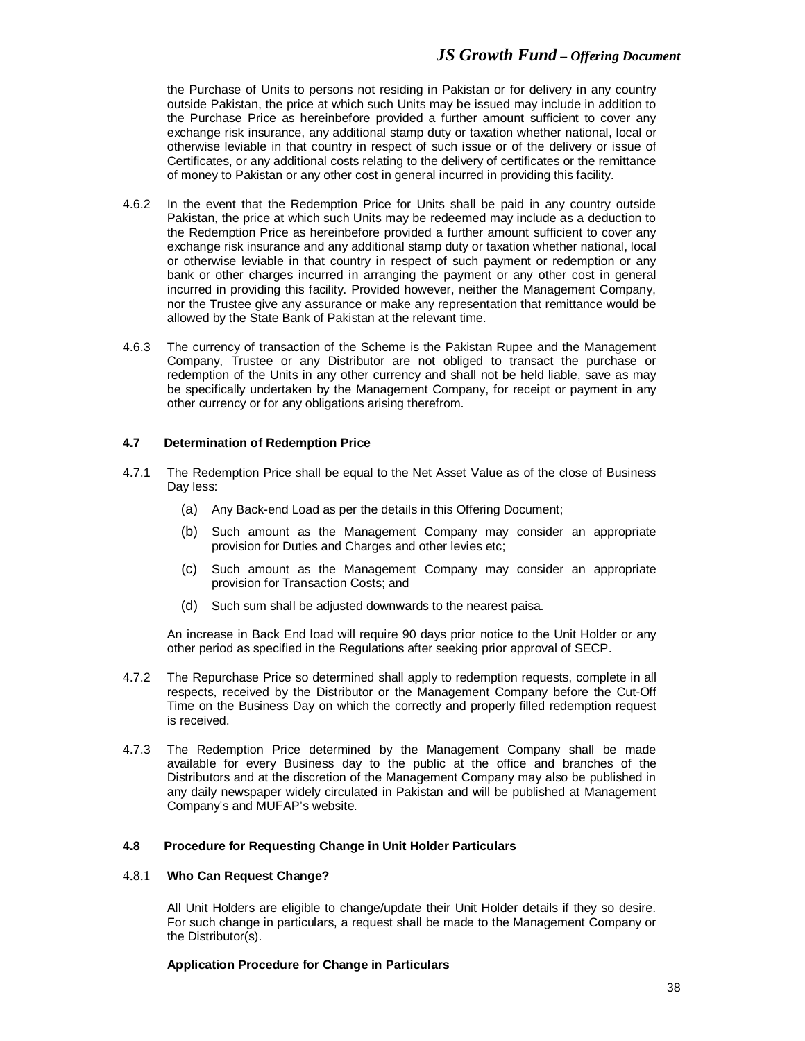the Purchase of Units to persons not residing in Pakistan or for delivery in any country outside Pakistan, the price at which such Units may be issued may include in addition to the Purchase Price as hereinbefore provided a further amount sufficient to cover any exchange risk insurance, any additional stamp duty or taxation whether national, local or otherwise leviable in that country in respect of such issue or of the delivery or issue of Certificates, or any additional costs relating to the delivery of certificates or the remittance of money to Pakistan or any other cost in general incurred in providing this facility.

- 4.6.2 In the event that the Redemption Price for Units shall be paid in any country outside Pakistan, the price at which such Units may be redeemed may include as a deduction to the Redemption Price as hereinbefore provided a further amount sufficient to cover any exchange risk insurance and any additional stamp duty or taxation whether national, local or otherwise leviable in that country in respect of such payment or redemption or any bank or other charges incurred in arranging the payment or any other cost in general incurred in providing this facility. Provided however, neither the Management Company, nor the Trustee give any assurance or make any representation that remittance would be allowed by the State Bank of Pakistan at the relevant time.
- 4.6.3 The currency of transaction of the Scheme is the Pakistan Rupee and the Management Company, Trustee or any Distributor are not obliged to transact the purchase or redemption of the Units in any other currency and shall not be held liable, save as may be specifically undertaken by the Management Company, for receipt or payment in any other currency or for any obligations arising therefrom.

## **4.7 Determination of Redemption Price**

- 4.7.1 The Redemption Price shall be equal to the Net Asset Value as of the close of Business Day less:
	- (a) Any Back-end Load as per the details in this Offering Document;
	- (b) Such amount as the Management Company may consider an appropriate provision for Duties and Charges and other levies etc;
	- (c) Such amount as the Management Company may consider an appropriate provision for Transaction Costs; and
	- (d) Such sum shall be adjusted downwards to the nearest paisa.

An increase in Back End load will require 90 days prior notice to the Unit Holder or any other period as specified in the Regulations after seeking prior approval of SECP.

- 4.7.2 The Repurchase Price so determined shall apply to redemption requests, complete in all respects, received by the Distributor or the Management Company before the Cut-Off Time on the Business Day on which the correctly and properly filled redemption request is received.
- 4.7.3 The Redemption Price determined by the Management Company shall be made available for every Business day to the public at the office and branches of the Distributors and at the discretion of the Management Company may also be published in any daily newspaper widely circulated in Pakistan and will be published at Management Company's and MUFAP's website.

#### **4.8 Procedure for Requesting Change in Unit Holder Particulars**

# 4.8.1 **Who Can Request Change?**

All Unit Holders are eligible to change/update their Unit Holder details if they so desire. For such change in particulars, a request shall be made to the Management Company or the Distributor(s).

#### **Application Procedure for Change in Particulars**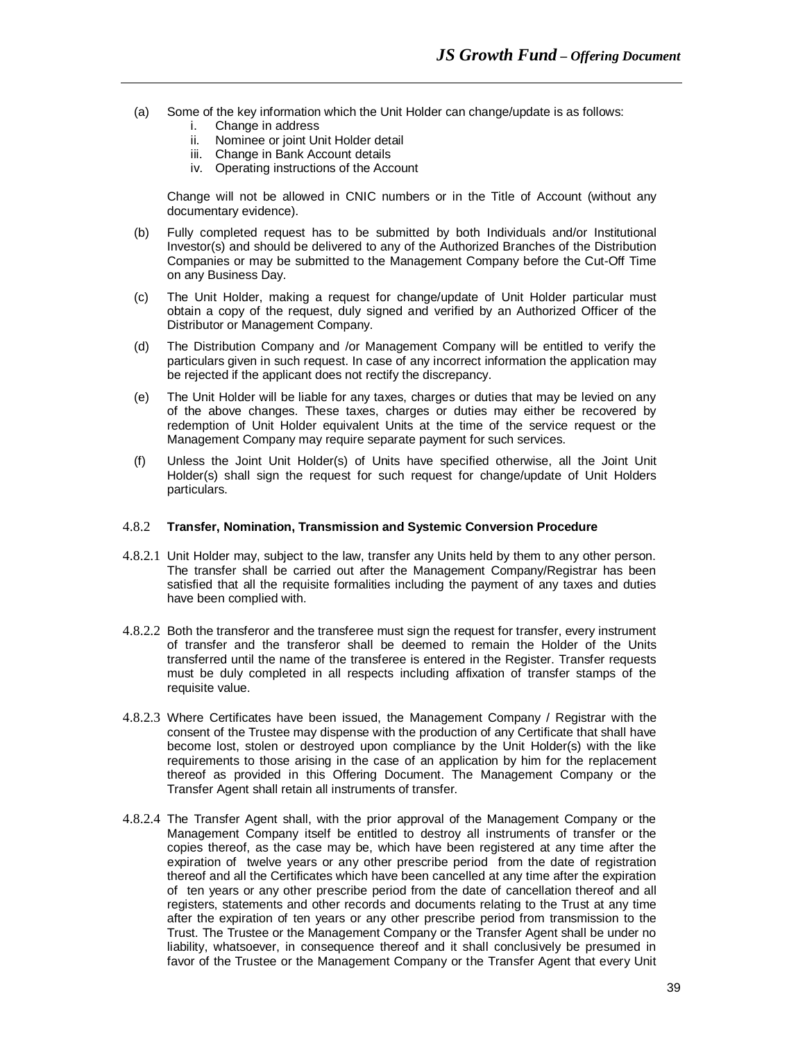- (a) Some of the key information which the Unit Holder can change/update is as follows: i. Change in address
	-
	- ii. Nominee or joint Unit Holder detail iii. Change in Bank Account details
	- iv. Operating instructions of the Account

Change will not be allowed in CNIC numbers or in the Title of Account (without any documentary evidence).

- (b) Fully completed request has to be submitted by both Individuals and/or Institutional Investor(s) and should be delivered to any of the Authorized Branches of the Distribution Companies or may be submitted to the Management Company before the Cut-Off Time on any Business Day.
- (c) The Unit Holder, making a request for change/update of Unit Holder particular must obtain a copy of the request, duly signed and verified by an Authorized Officer of the Distributor or Management Company.
- (d) The Distribution Company and /or Management Company will be entitled to verify the particulars given in such request. In case of any incorrect information the application may be rejected if the applicant does not rectify the discrepancy.
- (e) The Unit Holder will be liable for any taxes, charges or duties that may be levied on any of the above changes. These taxes, charges or duties may either be recovered by redemption of Unit Holder equivalent Units at the time of the service request or the Management Company may require separate payment for such services.
- (f) Unless the Joint Unit Holder(s) of Units have specified otherwise, all the Joint Unit Holder(s) shall sign the request for such request for change/update of Unit Holders particulars.

#### 4.8.2 **Transfer, Nomination, Transmission and Systemic Conversion Procedure**

- 4.8.2.1 Unit Holder may, subject to the law, transfer any Units held by them to any other person. The transfer shall be carried out after the Management Company/Registrar has been satisfied that all the requisite formalities including the payment of any taxes and duties have been complied with.
- 4.8.2.2 Both the transferor and the transferee must sign the request for transfer, every instrument of transfer and the transferor shall be deemed to remain the Holder of the Units transferred until the name of the transferee is entered in the Register. Transfer requests must be duly completed in all respects including affixation of transfer stamps of the requisite value.
- 4.8.2.3 Where Certificates have been issued, the Management Company / Registrar with the consent of the Trustee may dispense with the production of any Certificate that shall have become lost, stolen or destroyed upon compliance by the Unit Holder(s) with the like requirements to those arising in the case of an application by him for the replacement thereof as provided in this Offering Document. The Management Company or the Transfer Agent shall retain all instruments of transfer.
- 4.8.2.4 The Transfer Agent shall, with the prior approval of the Management Company or the Management Company itself be entitled to destroy all instruments of transfer or the copies thereof, as the case may be, which have been registered at any time after the expiration of twelve years or any other prescribe period from the date of registration thereof and all the Certificates which have been cancelled at any time after the expiration of ten years or any other prescribe period from the date of cancellation thereof and all registers, statements and other records and documents relating to the Trust at any time after the expiration of ten years or any other prescribe period from transmission to the Trust. The Trustee or the Management Company or the Transfer Agent shall be under no liability, whatsoever, in consequence thereof and it shall conclusively be presumed in favor of the Trustee or the Management Company or the Transfer Agent that every Unit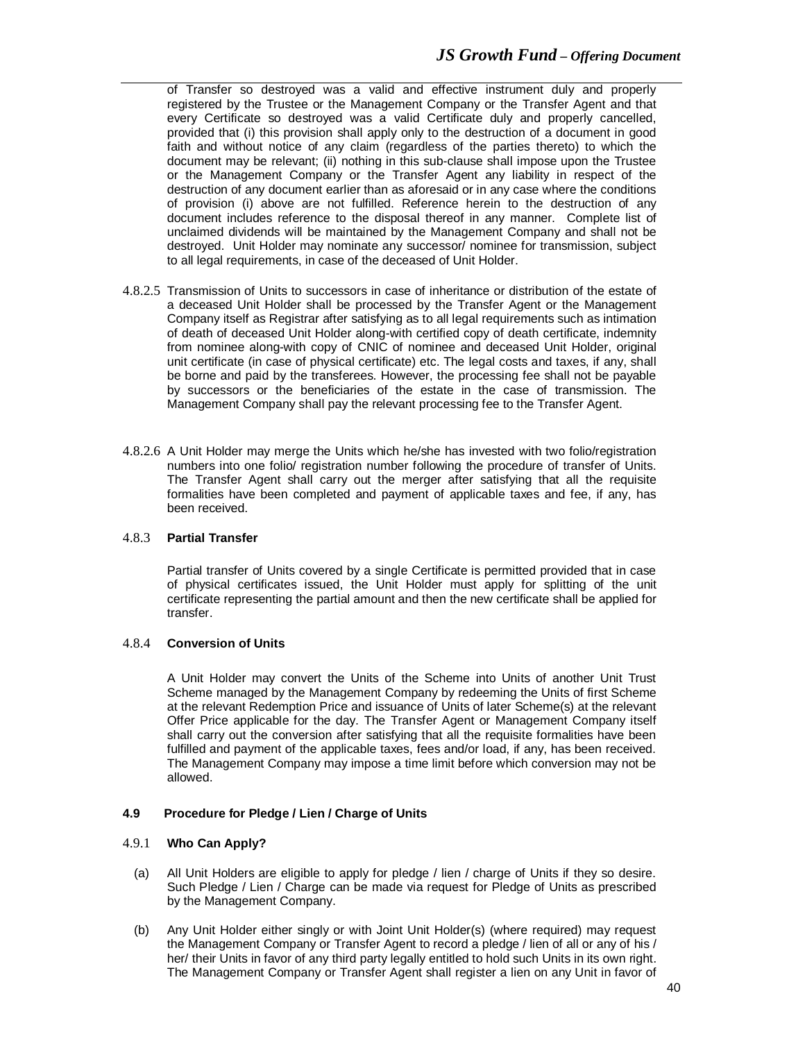of Transfer so destroyed was a valid and effective instrument duly and properly registered by the Trustee or the Management Company or the Transfer Agent and that every Certificate so destroyed was a valid Certificate duly and properly cancelled, provided that (i) this provision shall apply only to the destruction of a document in good faith and without notice of any claim (regardless of the parties thereto) to which the document may be relevant; (ii) nothing in this sub-clause shall impose upon the Trustee or the Management Company or the Transfer Agent any liability in respect of the destruction of any document earlier than as aforesaid or in any case where the conditions of provision (i) above are not fulfilled. Reference herein to the destruction of any document includes reference to the disposal thereof in any manner. Complete list of unclaimed dividends will be maintained by the Management Company and shall not be destroyed. Unit Holder may nominate any successor/ nominee for transmission, subject to all legal requirements, in case of the deceased of Unit Holder.

- 4.8.2.5 Transmission of Units to successors in case of inheritance or distribution of the estate of a deceased Unit Holder shall be processed by the Transfer Agent or the Management Company itself as Registrar after satisfying as to all legal requirements such as intimation of death of deceased Unit Holder along-with certified copy of death certificate, indemnity from nominee along-with copy of CNIC of nominee and deceased Unit Holder, original unit certificate (in case of physical certificate) etc. The legal costs and taxes, if any, shall be borne and paid by the transferees. However, the processing fee shall not be payable by successors or the beneficiaries of the estate in the case of transmission. The Management Company shall pay the relevant processing fee to the Transfer Agent.
- 4.8.2.6 A Unit Holder may merge the Units which he/she has invested with two folio/registration numbers into one folio/ registration number following the procedure of transfer of Units. The Transfer Agent shall carry out the merger after satisfying that all the requisite formalities have been completed and payment of applicable taxes and fee, if any, has been received.

#### 4.8.3 **Partial Transfer**

Partial transfer of Units covered by a single Certificate is permitted provided that in case of physical certificates issued, the Unit Holder must apply for splitting of the unit certificate representing the partial amount and then the new certificate shall be applied for transfer.

#### 4.8.4 **Conversion of Units**

A Unit Holder may convert the Units of the Scheme into Units of another Unit Trust Scheme managed by the Management Company by redeeming the Units of first Scheme at the relevant Redemption Price and issuance of Units of later Scheme(s) at the relevant Offer Price applicable for the day. The Transfer Agent or Management Company itself shall carry out the conversion after satisfying that all the requisite formalities have been fulfilled and payment of the applicable taxes, fees and/or load, if any, has been received. The Management Company may impose a time limit before which conversion may not be allowed.

#### **4.9 Procedure for Pledge / Lien / Charge of Units**

#### 4.9.1 **Who Can Apply?**

- (a) All Unit Holders are eligible to apply for pledge / lien / charge of Units if they so desire. Such Pledge / Lien / Charge can be made via request for Pledge of Units as prescribed by the Management Company.
- (b) Any Unit Holder either singly or with Joint Unit Holder(s) (where required) may request the Management Company or Transfer Agent to record a pledge / lien of all or any of his / her/ their Units in favor of any third party legally entitled to hold such Units in its own right. The Management Company or Transfer Agent shall register a lien on any Unit in favor of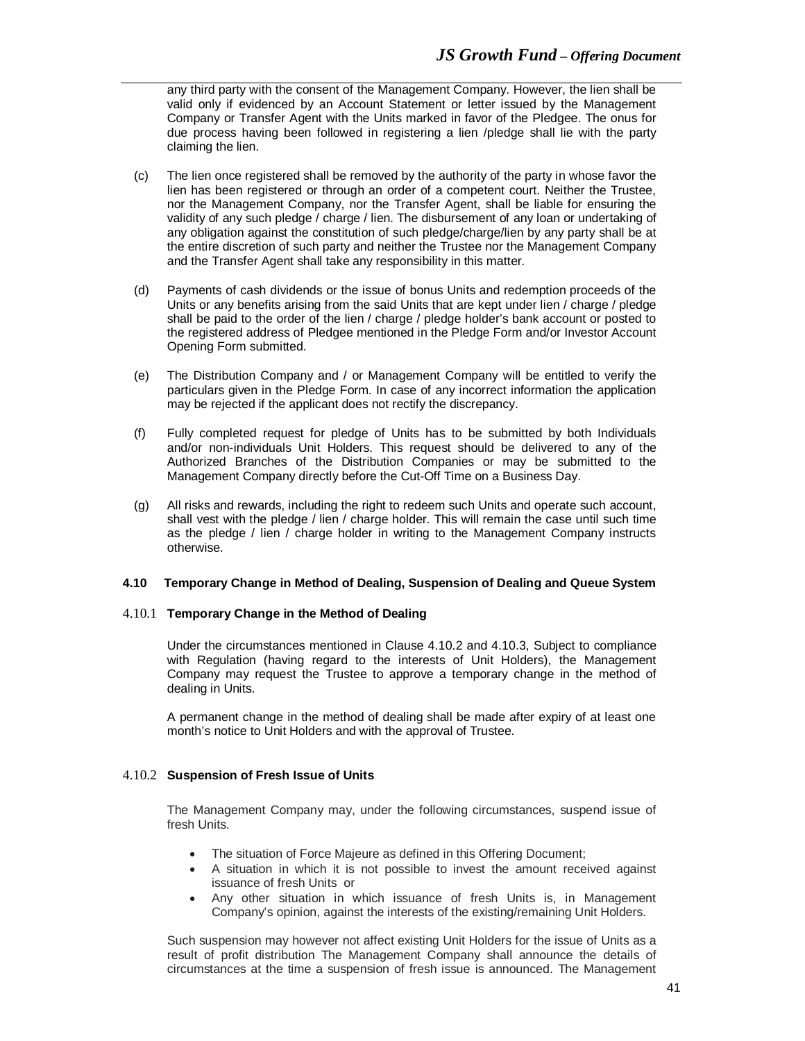any third party with the consent of the Management Company. However, the lien shall be valid only if evidenced by an Account Statement or letter issued by the Management Company or Transfer Agent with the Units marked in favor of the Pledgee. The onus for due process having been followed in registering a lien /pledge shall lie with the party claiming the lien.

- (c) The lien once registered shall be removed by the authority of the party in whose favor the lien has been registered or through an order of a competent court. Neither the Trustee, nor the Management Company, nor the Transfer Agent, shall be liable for ensuring the validity of any such pledge / charge / lien. The disbursement of any loan or undertaking of any obligation against the constitution of such pledge/charge/lien by any party shall be at the entire discretion of such party and neither the Trustee nor the Management Company and the Transfer Agent shall take any responsibility in this matter.
- (d) Payments of cash dividends or the issue of bonus Units and redemption proceeds of the Units or any benefits arising from the said Units that are kept under lien / charge / pledge shall be paid to the order of the lien / charge / pledge holder's bank account or posted to the registered address of Pledgee mentioned in the Pledge Form and/or Investor Account Opening Form submitted.
- (e) The Distribution Company and / or Management Company will be entitled to verify the particulars given in the Pledge Form. In case of any incorrect information the application may be rejected if the applicant does not rectify the discrepancy.
- (f) Fully completed request for pledge of Units has to be submitted by both Individuals and/or non-individuals Unit Holders. This request should be delivered to any of the Authorized Branches of the Distribution Companies or may be submitted to the Management Company directly before the Cut-Off Time on a Business Day.
- (g) All risks and rewards, including the right to redeem such Units and operate such account, shall vest with the pledge / lien / charge holder. This will remain the case until such time as the pledge / lien / charge holder in writing to the Management Company instructs otherwise.

#### **4.10 Temporary Change in Method of Dealing, Suspension of Dealing and Queue System**

#### 4.10.1 **Temporary Change in the Method of Dealing**

Under the circumstances mentioned in Clause 4.10.2 and 4.10.3, Subject to compliance with Regulation (having regard to the interests of Unit Holders), the Management Company may request the Trustee to approve a temporary change in the method of dealing in Units.

A permanent change in the method of dealing shall be made after expiry of at least one month's notice to Unit Holders and with the approval of Trustee.

#### 4.10.2 **Suspension of Fresh Issue of Units**

The Management Company may, under the following circumstances, suspend issue of fresh Units.

- The situation of Force Majeure as defined in this Offering Document;
- A situation in which it is not possible to invest the amount received against issuance of fresh Units or
- Any other situation in which issuance of fresh Units is, in Management Company's opinion, against the interests of the existing/remaining Unit Holders.

Such suspension may however not affect existing Unit Holders for the issue of Units as a result of profit distribution The Management Company shall announce the details of circumstances at the time a suspension of fresh issue is announced. The Management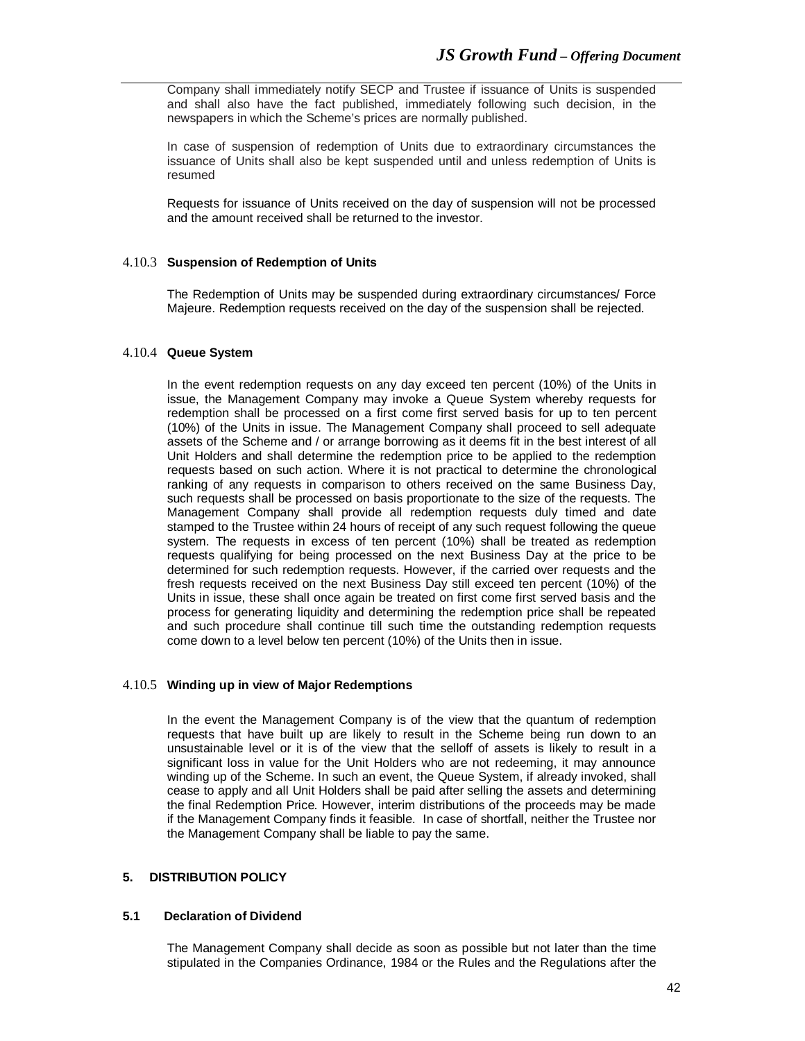Company shall immediately notify SECP and Trustee if issuance of Units is suspended and shall also have the fact published, immediately following such decision, in the newspapers in which the Scheme's prices are normally published.

In case of suspension of redemption of Units due to extraordinary circumstances the issuance of Units shall also be kept suspended until and unless redemption of Units is resumed

Requests for issuance of Units received on the day of suspension will not be processed and the amount received shall be returned to the investor.

#### 4.10.3 **Suspension of Redemption of Units**

The Redemption of Units may be suspended during extraordinary circumstances/ Force Majeure. Redemption requests received on the day of the suspension shall be rejected.

# 4.10.4 **Queue System**

In the event redemption requests on any day exceed ten percent (10%) of the Units in issue, the Management Company may invoke a Queue System whereby requests for redemption shall be processed on a first come first served basis for up to ten percent (10%) of the Units in issue. The Management Company shall proceed to sell adequate assets of the Scheme and / or arrange borrowing as it deems fit in the best interest of all Unit Holders and shall determine the redemption price to be applied to the redemption requests based on such action. Where it is not practical to determine the chronological ranking of any requests in comparison to others received on the same Business Day, such requests shall be processed on basis proportionate to the size of the requests. The Management Company shall provide all redemption requests duly timed and date stamped to the Trustee within 24 hours of receipt of any such request following the queue system. The requests in excess of ten percent (10%) shall be treated as redemption requests qualifying for being processed on the next Business Day at the price to be determined for such redemption requests. However, if the carried over requests and the fresh requests received on the next Business Day still exceed ten percent (10%) of the Units in issue, these shall once again be treated on first come first served basis and the process for generating liquidity and determining the redemption price shall be repeated and such procedure shall continue till such time the outstanding redemption requests come down to a level below ten percent (10%) of the Units then in issue.

## 4.10.5 **Winding up in view of Major Redemptions**

In the event the Management Company is of the view that the quantum of redemption requests that have built up are likely to result in the Scheme being run down to an unsustainable level or it is of the view that the selloff of assets is likely to result in a significant loss in value for the Unit Holders who are not redeeming, it may announce winding up of the Scheme. In such an event, the Queue System, if already invoked, shall cease to apply and all Unit Holders shall be paid after selling the assets and determining the final Redemption Price. However, interim distributions of the proceeds may be made if the Management Company finds it feasible. In case of shortfall, neither the Trustee nor the Management Company shall be liable to pay the same.

# **5. DISTRIBUTION POLICY**

#### **5.1 Declaration of Dividend**

The Management Company shall decide as soon as possible but not later than the time stipulated in the Companies Ordinance, 1984 or the Rules and the Regulations after the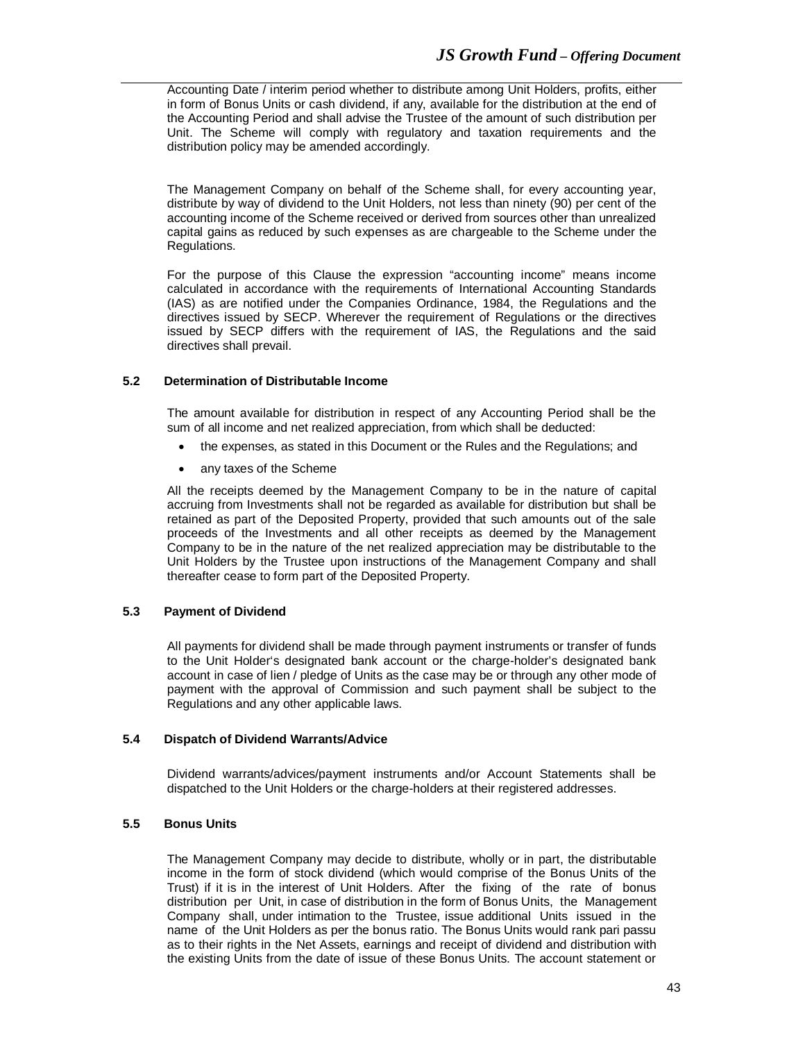Accounting Date / interim period whether to distribute among Unit Holders, profits, either in form of Bonus Units or cash dividend, if any, available for the distribution at the end of the Accounting Period and shall advise the Trustee of the amount of such distribution per Unit. The Scheme will comply with regulatory and taxation requirements and the distribution policy may be amended accordingly.

The Management Company on behalf of the Scheme shall, for every accounting year, distribute by way of dividend to the Unit Holders, not less than ninety (90) per cent of the accounting income of the Scheme received or derived from sources other than unrealized capital gains as reduced by such expenses as are chargeable to the Scheme under the Regulations.

For the purpose of this Clause the expression "accounting income" means income calculated in accordance with the requirements of International Accounting Standards (IAS) as are notified under the Companies Ordinance, 1984, the Regulations and the directives issued by SECP. Wherever the requirement of Regulations or the directives issued by SECP differs with the requirement of IAS, the Regulations and the said directives shall prevail.

## **5.2 Determination of Distributable Income**

The amount available for distribution in respect of any Accounting Period shall be the sum of all income and net realized appreciation, from which shall be deducted:

- the expenses, as stated in this Document or the Rules and the Regulations; and
- any taxes of the Scheme

All the receipts deemed by the Management Company to be in the nature of capital accruing from Investments shall not be regarded as available for distribution but shall be retained as part of the Deposited Property, provided that such amounts out of the sale proceeds of the Investments and all other receipts as deemed by the Management Company to be in the nature of the net realized appreciation may be distributable to the Unit Holders by the Trustee upon instructions of the Management Company and shall thereafter cease to form part of the Deposited Property.

# **5.3 Payment of Dividend**

All payments for dividend shall be made through payment instruments or transfer of funds to the Unit Holder's designated bank account or the charge-holder's designated bank account in case of lien / pledge of Units as the case may be or through any other mode of payment with the approval of Commission and such payment shall be subject to the Regulations and any other applicable laws.

#### **5.4 Dispatch of Dividend Warrants/Advice**

Dividend warrants/advices/payment instruments and/or Account Statements shall be dispatched to the Unit Holders or the charge-holders at their registered addresses.

# **5.5 Bonus Units**

The Management Company may decide to distribute, wholly or in part, the distributable income in the form of stock dividend (which would comprise of the Bonus Units of the Trust) if it is in the interest of Unit Holders. After the fixing of the rate of bonus distribution per Unit, in case of distribution in the form of Bonus Units, the Management Company shall, under intimation to the Trustee, issue additional Units issued in the name of the Unit Holders as per the bonus ratio. The Bonus Units would rank pari passu as to their rights in the Net Assets, earnings and receipt of dividend and distribution with the existing Units from the date of issue of these Bonus Units. The account statement or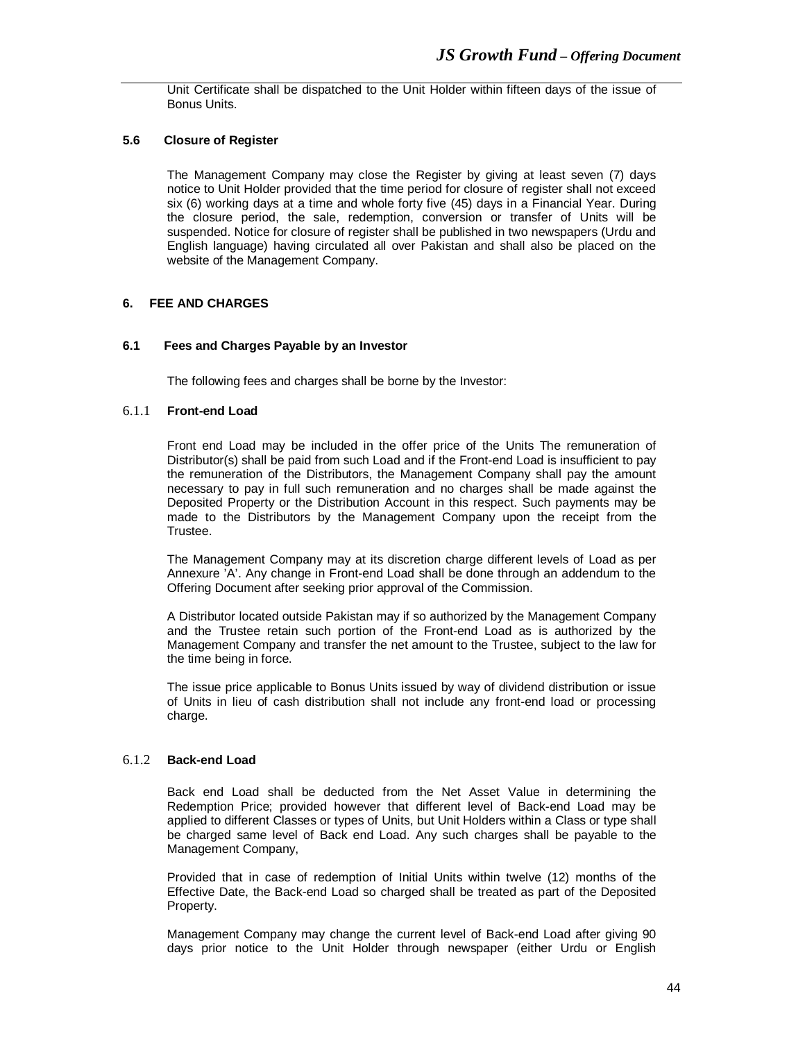Unit Certificate shall be dispatched to the Unit Holder within fifteen days of the issue of Bonus Units.

# **5.6 Closure of Register**

The Management Company may close the Register by giving at least seven (7) days notice to Unit Holder provided that the time period for closure of register shall not exceed six (6) working days at a time and whole forty five (45) days in a Financial Year. During the closure period, the sale, redemption, conversion or transfer of Units will be suspended. Notice for closure of register shall be published in two newspapers (Urdu and English language) having circulated all over Pakistan and shall also be placed on the website of the Management Company.

## **6. FEE AND CHARGES**

## **6.1 Fees and Charges Payable by an Investor**

The following fees and charges shall be borne by the Investor:

# 6.1.1 **Front-end Load**

Front end Load may be included in the offer price of the Units The remuneration of Distributor(s) shall be paid from such Load and if the Front-end Load is insufficient to pay the remuneration of the Distributors, the Management Company shall pay the amount necessary to pay in full such remuneration and no charges shall be made against the Deposited Property or the Distribution Account in this respect. Such payments may be made to the Distributors by the Management Company upon the receipt from the Trustee.

The Management Company may at its discretion charge different levels of Load as per Annexure 'A'. Any change in Front-end Load shall be done through an addendum to the Offering Document after seeking prior approval of the Commission.

A Distributor located outside Pakistan may if so authorized by the Management Company and the Trustee retain such portion of the Front-end Load as is authorized by the Management Company and transfer the net amount to the Trustee, subject to the law for the time being in force.

The issue price applicable to Bonus Units issued by way of dividend distribution or issue of Units in lieu of cash distribution shall not include any front-end load or processing charge.

#### 6.1.2 **Back-end Load**

Back end Load shall be deducted from the Net Asset Value in determining the Redemption Price; provided however that different level of Back-end Load may be applied to different Classes or types of Units, but Unit Holders within a Class or type shall be charged same level of Back end Load. Any such charges shall be payable to the Management Company,

Provided that in case of redemption of Initial Units within twelve (12) months of the Effective Date, the Back-end Load so charged shall be treated as part of the Deposited Property.

Management Company may change the current level of Back-end Load after giving 90 days prior notice to the Unit Holder through newspaper (either Urdu or English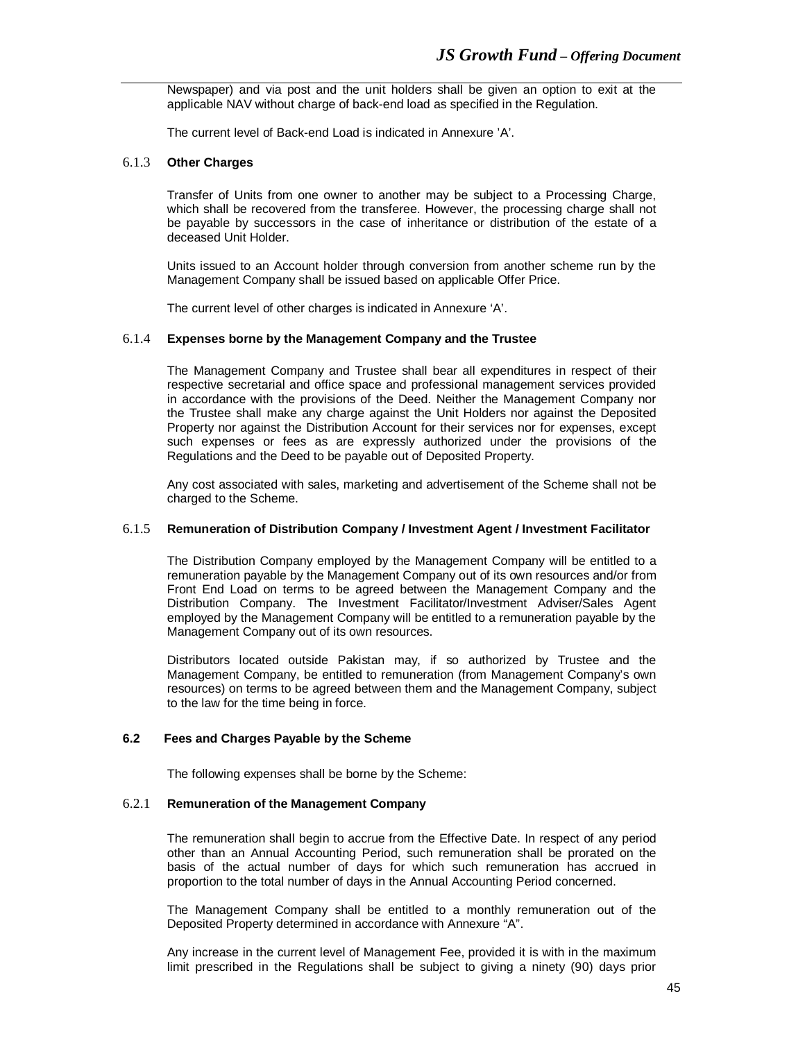Newspaper) and via post and the unit holders shall be given an option to exit at the applicable NAV without charge of back-end load as specified in the Regulation.

The current level of Back-end Load is indicated in Annexure 'A'.

#### 6.1.3 **Other Charges**

Transfer of Units from one owner to another may be subject to a Processing Charge, which shall be recovered from the transferee. However, the processing charge shall not be payable by successors in the case of inheritance or distribution of the estate of a deceased Unit Holder.

Units issued to an Account holder through conversion from another scheme run by the Management Company shall be issued based on applicable Offer Price.

The current level of other charges is indicated in Annexure 'A'.

#### 6.1.4 **Expenses borne by the Management Company and the Trustee**

The Management Company and Trustee shall bear all expenditures in respect of their respective secretarial and office space and professional management services provided in accordance with the provisions of the Deed. Neither the Management Company nor the Trustee shall make any charge against the Unit Holders nor against the Deposited Property nor against the Distribution Account for their services nor for expenses, except such expenses or fees as are expressly authorized under the provisions of the Regulations and the Deed to be payable out of Deposited Property.

Any cost associated with sales, marketing and advertisement of the Scheme shall not be charged to the Scheme.

## 6.1.5 **Remuneration of Distribution Company / Investment Agent / Investment Facilitator**

The Distribution Company employed by the Management Company will be entitled to a remuneration payable by the Management Company out of its own resources and/or from Front End Load on terms to be agreed between the Management Company and the Distribution Company. The Investment Facilitator/Investment Adviser/Sales Agent employed by the Management Company will be entitled to a remuneration payable by the Management Company out of its own resources.

Distributors located outside Pakistan may, if so authorized by Trustee and the Management Company, be entitled to remuneration (from Management Company's own resources) on terms to be agreed between them and the Management Company, subject to the law for the time being in force.

#### **6.2 Fees and Charges Payable by the Scheme**

The following expenses shall be borne by the Scheme:

#### 6.2.1 **Remuneration of the Management Company**

The remuneration shall begin to accrue from the Effective Date. In respect of any period other than an Annual Accounting Period, such remuneration shall be prorated on the basis of the actual number of days for which such remuneration has accrued in proportion to the total number of days in the Annual Accounting Period concerned.

The Management Company shall be entitled to a monthly remuneration out of the Deposited Property determined in accordance with Annexure "A".

Any increase in the current level of Management Fee, provided it is with in the maximum limit prescribed in the Regulations shall be subject to giving a ninety (90) days prior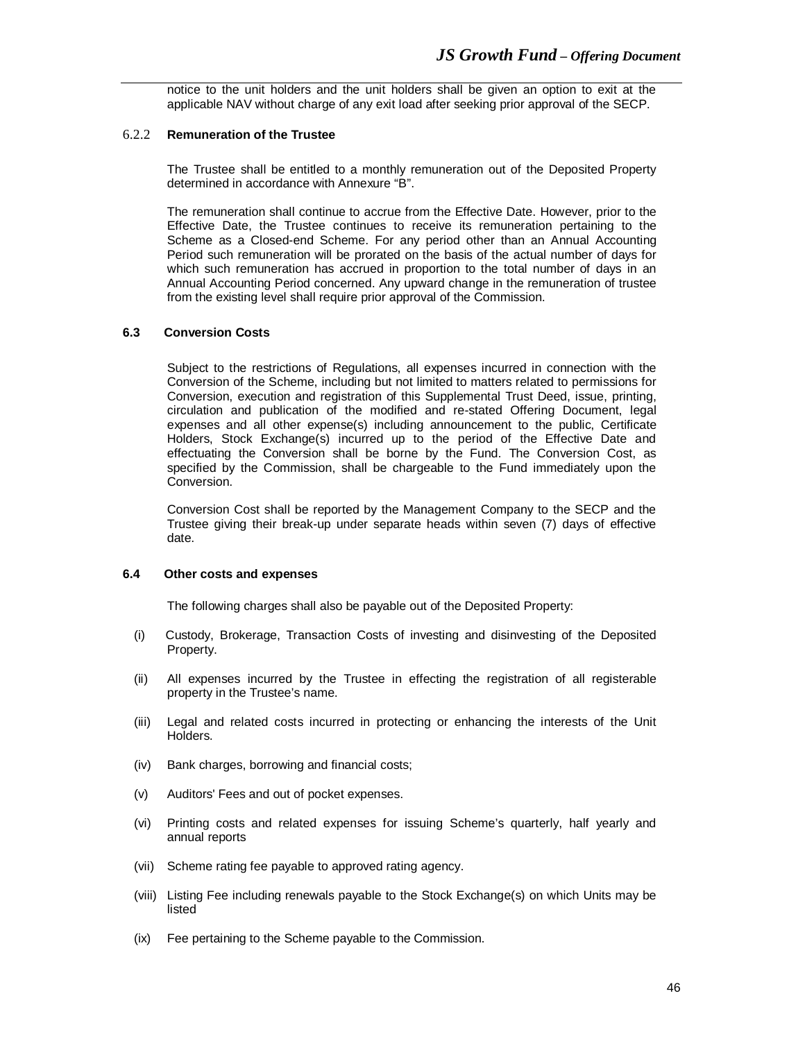notice to the unit holders and the unit holders shall be given an option to exit at the applicable NAV without charge of any exit load after seeking prior approval of the SECP.

#### 6.2.2 **Remuneration of the Trustee**

The Trustee shall be entitled to a monthly remuneration out of the Deposited Property determined in accordance with Annexure "B".

The remuneration shall continue to accrue from the Effective Date. However, prior to the Effective Date, the Trustee continues to receive its remuneration pertaining to the Scheme as a Closed-end Scheme. For any period other than an Annual Accounting Period such remuneration will be prorated on the basis of the actual number of days for which such remuneration has accrued in proportion to the total number of days in an Annual Accounting Period concerned. Any upward change in the remuneration of trustee from the existing level shall require prior approval of the Commission.

#### **6.3 Conversion Costs**

Subject to the restrictions of Regulations, all expenses incurred in connection with the Conversion of the Scheme, including but not limited to matters related to permissions for Conversion, execution and registration of this Supplemental Trust Deed, issue, printing, circulation and publication of the modified and re-stated Offering Document, legal expenses and all other expense(s) including announcement to the public, Certificate Holders, Stock Exchange(s) incurred up to the period of the Effective Date and effectuating the Conversion shall be borne by the Fund. The Conversion Cost, as specified by the Commission, shall be chargeable to the Fund immediately upon the Conversion.

Conversion Cost shall be reported by the Management Company to the SECP and the Trustee giving their break-up under separate heads within seven (7) days of effective date.

#### **6.4 Other costs and expenses**

The following charges shall also be payable out of the Deposited Property:

- (i) Custody, Brokerage, Transaction Costs of investing and disinvesting of the Deposited Property.
- (ii) All expenses incurred by the Trustee in effecting the registration of all registerable property in the Trustee's name.
- (iii) Legal and related costs incurred in protecting or enhancing the interests of the Unit Holders.
- (iv) Bank charges, borrowing and financial costs;
- (v) Auditors' Fees and out of pocket expenses.
- (vi) Printing costs and related expenses for issuing Scheme's quarterly, half yearly and annual reports
- (vii) Scheme rating fee payable to approved rating agency.
- (viii) Listing Fee including renewals payable to the Stock Exchange(s) on which Units may be listed
- (ix) Fee pertaining to the Scheme payable to the Commission.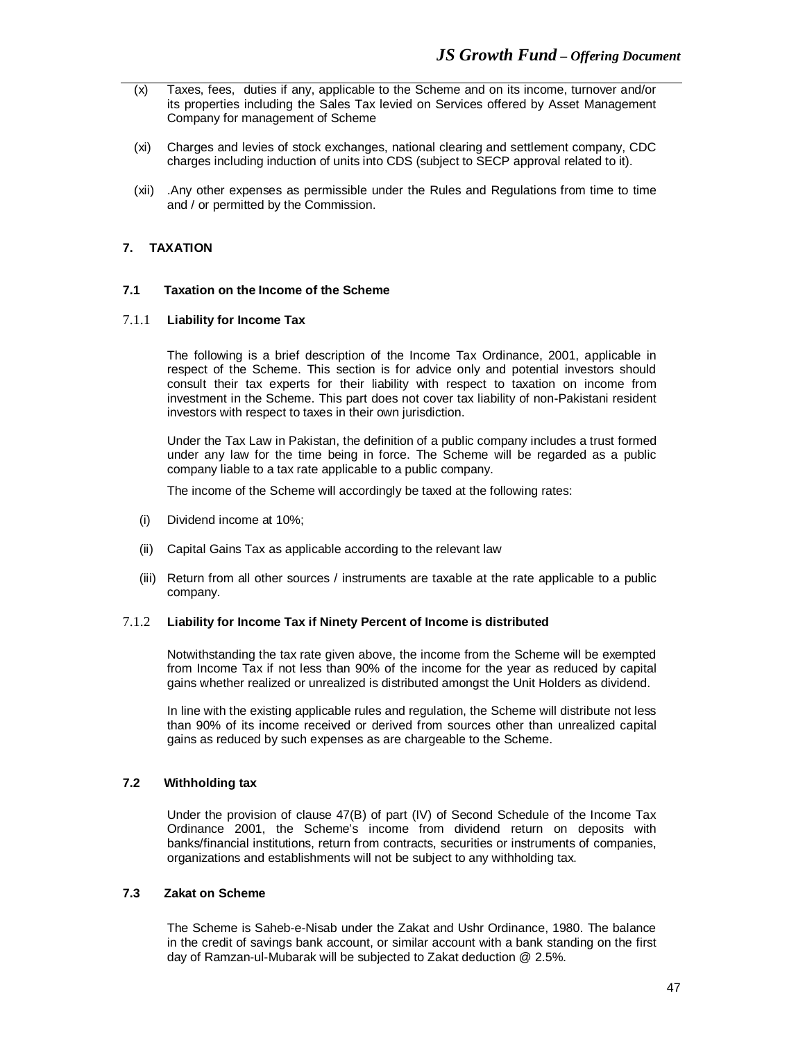- (x) Taxes, fees, duties if any, applicable to the Scheme and on its income, turnover and/or its properties including the Sales Tax levied on Services offered by Asset Management Company for management of Scheme
- (xi) Charges and levies of stock exchanges, national clearing and settlement company, CDC charges including induction of units into CDS (subject to SECP approval related to it).
- (xii) .Any other expenses as permissible under the Rules and Regulations from time to time and / or permitted by the Commission.

# **7. TAXATION**

# **7.1 Taxation on the Income of the Scheme**

#### 7.1.1 **Liability for Income Tax**

The following is a brief description of the Income Tax Ordinance, 2001, applicable in respect of the Scheme. This section is for advice only and potential investors should consult their tax experts for their liability with respect to taxation on income from investment in the Scheme. This part does not cover tax liability of non-Pakistani resident investors with respect to taxes in their own jurisdiction.

Under the Tax Law in Pakistan, the definition of a public company includes a trust formed under any law for the time being in force. The Scheme will be regarded as a public company liable to a tax rate applicable to a public company.

The income of the Scheme will accordingly be taxed at the following rates:

- (i) Dividend income at 10%;
- (ii) Capital Gains Tax as applicable according to the relevant law
- (iii) Return from all other sources / instruments are taxable at the rate applicable to a public company.

#### 7.1.2 **Liability for Income Tax if Ninety Percent of Income is distributed**

Notwithstanding the tax rate given above, the income from the Scheme will be exempted from Income Tax if not less than 90% of the income for the year as reduced by capital gains whether realized or unrealized is distributed amongst the Unit Holders as dividend.

In line with the existing applicable rules and regulation, the Scheme will distribute not less than 90% of its income received or derived from sources other than unrealized capital gains as reduced by such expenses as are chargeable to the Scheme.

#### **7.2 Withholding tax**

Under the provision of clause 47(B) of part (IV) of Second Schedule of the Income Tax Ordinance 2001, the Scheme's income from dividend return on deposits with banks/financial institutions, return from contracts, securities or instruments of companies, organizations and establishments will not be subject to any withholding tax.

# **7.3 Zakat on Scheme**

The Scheme is Saheb-e-Nisab under the Zakat and Ushr Ordinance, 1980. The balance in the credit of savings bank account, or similar account with a bank standing on the first day of Ramzan-ul-Mubarak will be subjected to Zakat deduction @ 2.5%.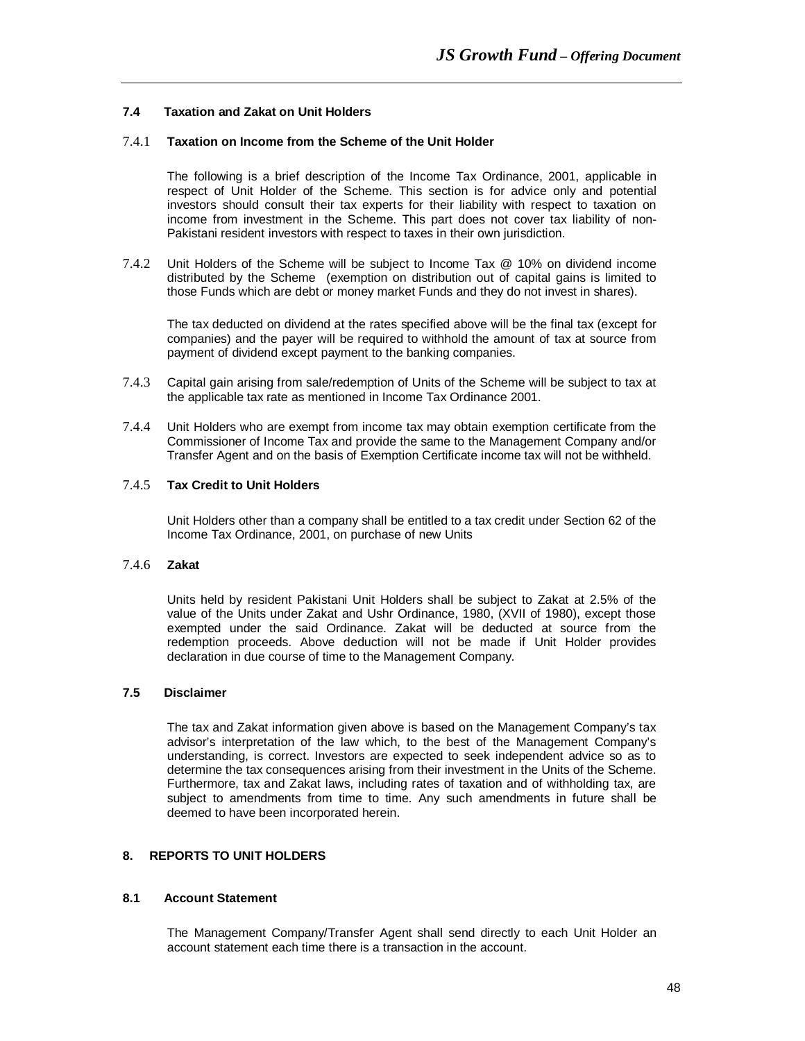# **7.4 Taxation and Zakat on Unit Holders**

# 7.4.1 **Taxation on Income from the Scheme of the Unit Holder**

The following is a brief description of the Income Tax Ordinance, 2001, applicable in respect of Unit Holder of the Scheme. This section is for advice only and potential investors should consult their tax experts for their liability with respect to taxation on income from investment in the Scheme. This part does not cover tax liability of non-Pakistani resident investors with respect to taxes in their own jurisdiction.

7.4.2 Unit Holders of the Scheme will be subject to Income Tax @ 10% on dividend income distributed by the Scheme (exemption on distribution out of capital gains is limited to those Funds which are debt or money market Funds and they do not invest in shares).

The tax deducted on dividend at the rates specified above will be the final tax (except for companies) and the payer will be required to withhold the amount of tax at source from payment of dividend except payment to the banking companies.

- 7.4.3 Capital gain arising from sale/redemption of Units of the Scheme will be subject to tax at the applicable tax rate as mentioned in Income Tax Ordinance 2001.
- 7.4.4 Unit Holders who are exempt from income tax may obtain exemption certificate from the Commissioner of Income Tax and provide the same to the Management Company and/or Transfer Agent and on the basis of Exemption Certificate income tax will not be withheld.

# 7.4.5 **Tax Credit to Unit Holders**

Unit Holders other than a company shall be entitled to a tax credit under Section 62 of the Income Tax Ordinance, 2001, on purchase of new Units

#### 7.4.6 **Zakat**

Units held by resident Pakistani Unit Holders shall be subject to Zakat at 2.5% of the value of the Units under Zakat and Ushr Ordinance, 1980, (XVII of 1980), except those exempted under the said Ordinance. Zakat will be deducted at source from the redemption proceeds. Above deduction will not be made if Unit Holder provides declaration in due course of time to the Management Company.

# **7.5 Disclaimer**

The tax and Zakat information given above is based on the Management Company's tax advisor's interpretation of the law which, to the best of the Management Company's understanding, is correct. Investors are expected to seek independent advice so as to determine the tax consequences arising from their investment in the Units of the Scheme. Furthermore, tax and Zakat laws, including rates of taxation and of withholding tax, are subject to amendments from time to time. Any such amendments in future shall be deemed to have been incorporated herein.

# **8. REPORTS TO UNIT HOLDERS**

#### **8.1 Account Statement**

The Management Company/Transfer Agent shall send directly to each Unit Holder an account statement each time there is a transaction in the account.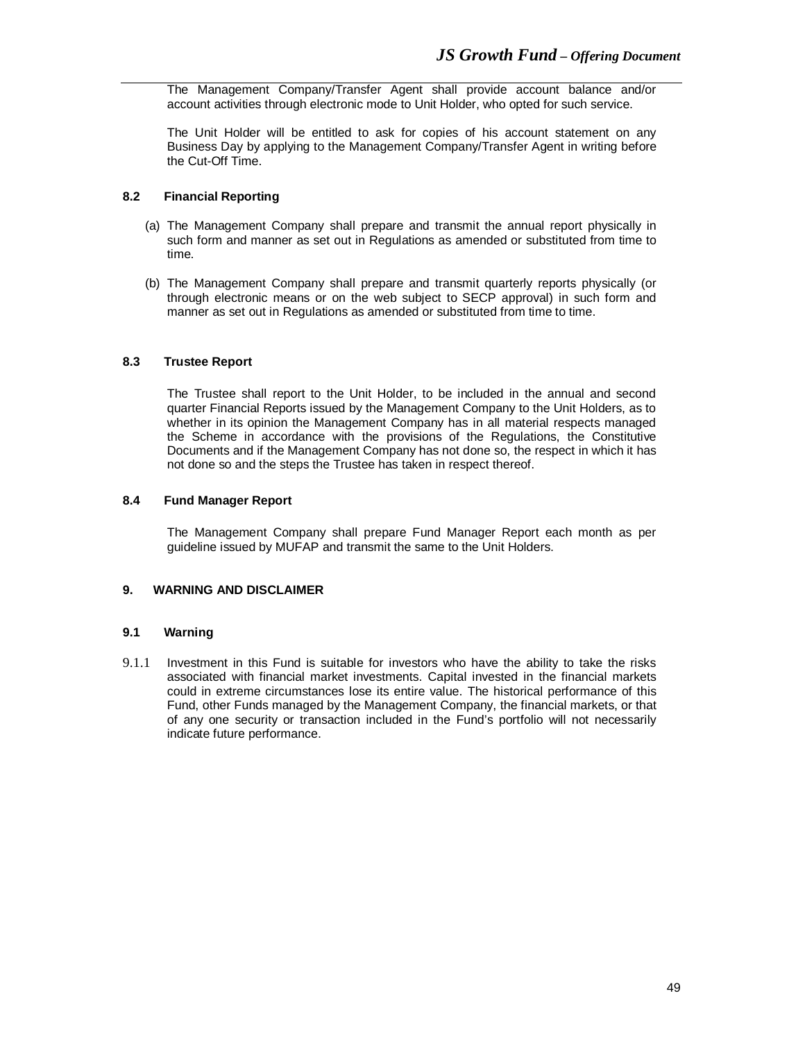The Management Company/Transfer Agent shall provide account balance and/or account activities through electronic mode to Unit Holder, who opted for such service.

The Unit Holder will be entitled to ask for copies of his account statement on any Business Day by applying to the Management Company/Transfer Agent in writing before the Cut-Off Time.

# **8.2 Financial Reporting**

- (a) The Management Company shall prepare and transmit the annual report physically in such form and manner as set out in Regulations as amended or substituted from time to time.
- (b) The Management Company shall prepare and transmit quarterly reports physically (or through electronic means or on the web subject to SECP approval) in such form and manner as set out in Regulations as amended or substituted from time to time.

# **8.3 Trustee Report**

The Trustee shall report to the Unit Holder, to be included in the annual and second quarter Financial Reports issued by the Management Company to the Unit Holders, as to whether in its opinion the Management Company has in all material respects managed the Scheme in accordance with the provisions of the Regulations, the Constitutive Documents and if the Management Company has not done so, the respect in which it has not done so and the steps the Trustee has taken in respect thereof.

#### **8.4 Fund Manager Report**

The Management Company shall prepare Fund Manager Report each month as per guideline issued by MUFAP and transmit the same to the Unit Holders.

# **9. WARNING AND DISCLAIMER**

#### **9.1 Warning**

9.1.1 Investment in this Fund is suitable for investors who have the ability to take the risks associated with financial market investments. Capital invested in the financial markets could in extreme circumstances lose its entire value. The historical performance of this Fund, other Funds managed by the Management Company, the financial markets, or that of any one security or transaction included in the Fund's portfolio will not necessarily indicate future performance.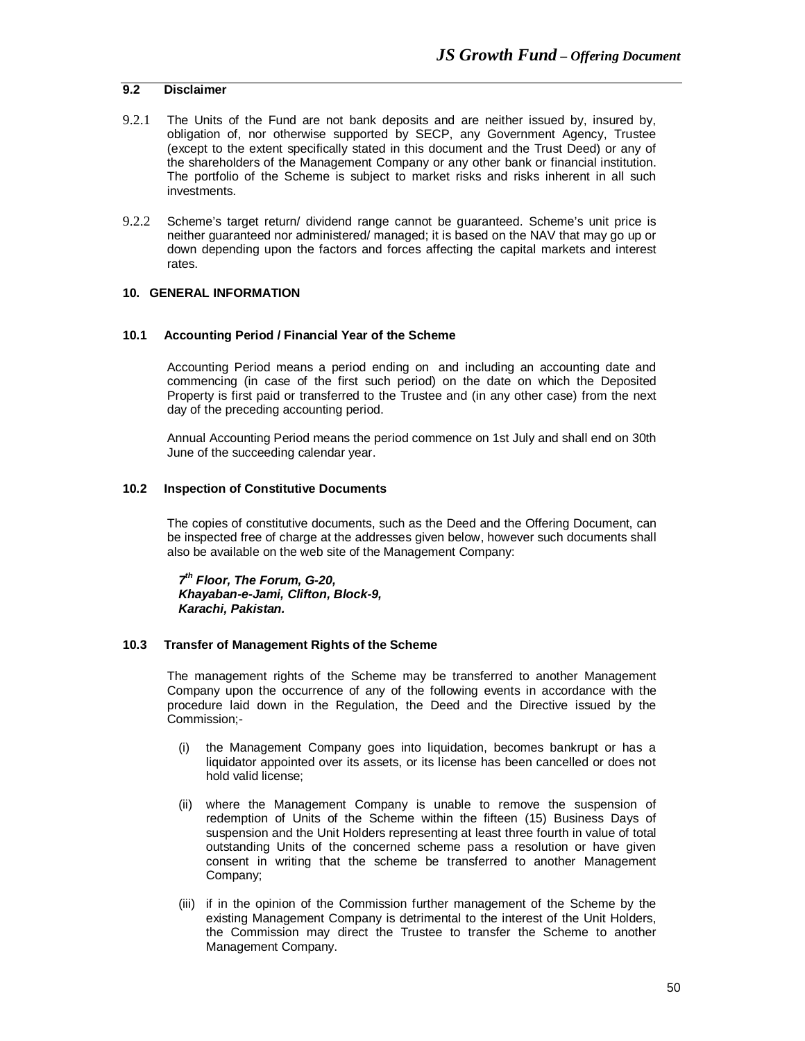# **9.2 Disclaimer**

- 9.2.1 The Units of the Fund are not bank deposits and are neither issued by, insured by, obligation of, nor otherwise supported by SECP, any Government Agency, Trustee (except to the extent specifically stated in this document and the Trust Deed) or any of the shareholders of the Management Company or any other bank or financial institution. The portfolio of the Scheme is subject to market risks and risks inherent in all such investments.
- 9.2.2 Scheme's target return/ dividend range cannot be guaranteed. Scheme's unit price is neither guaranteed nor administered/ managed; it is based on the NAV that may go up or down depending upon the factors and forces affecting the capital markets and interest rates.

## **10. GENERAL INFORMATION**

#### **10.1 Accounting Period / Financial Year of the Scheme**

Accounting Period means a period ending on and including an accounting date and commencing (in case of the first such period) on the date on which the Deposited Property is first paid or transferred to the Trustee and (in any other case) from the next day of the preceding accounting period.

Annual Accounting Period means the period commence on 1st July and shall end on 30th June of the succeeding calendar year.

#### **10.2 Inspection of Constitutive Documents**

The copies of constitutive documents, such as the Deed and the Offering Document, can be inspected free of charge at the addresses given below, however such documents shall also be available on the web site of the Management Company:

*7 th Floor, The Forum, G-20, Khayaban-e-Jami, Clifton, Block-9, Karachi, Pakistan.*

#### **10.3 Transfer of Management Rights of the Scheme**

The management rights of the Scheme may be transferred to another Management Company upon the occurrence of any of the following events in accordance with the procedure laid down in the Regulation, the Deed and the Directive issued by the Commission;-

- (i) the Management Company goes into liquidation, becomes bankrupt or has a liquidator appointed over its assets, or its license has been cancelled or does not hold valid license;
- (ii) where the Management Company is unable to remove the suspension of redemption of Units of the Scheme within the fifteen (15) Business Days of suspension and the Unit Holders representing at least three fourth in value of total outstanding Units of the concerned scheme pass a resolution or have given consent in writing that the scheme be transferred to another Management Company;
- (iii) if in the opinion of the Commission further management of the Scheme by the existing Management Company is detrimental to the interest of the Unit Holders, the Commission may direct the Trustee to transfer the Scheme to another Management Company.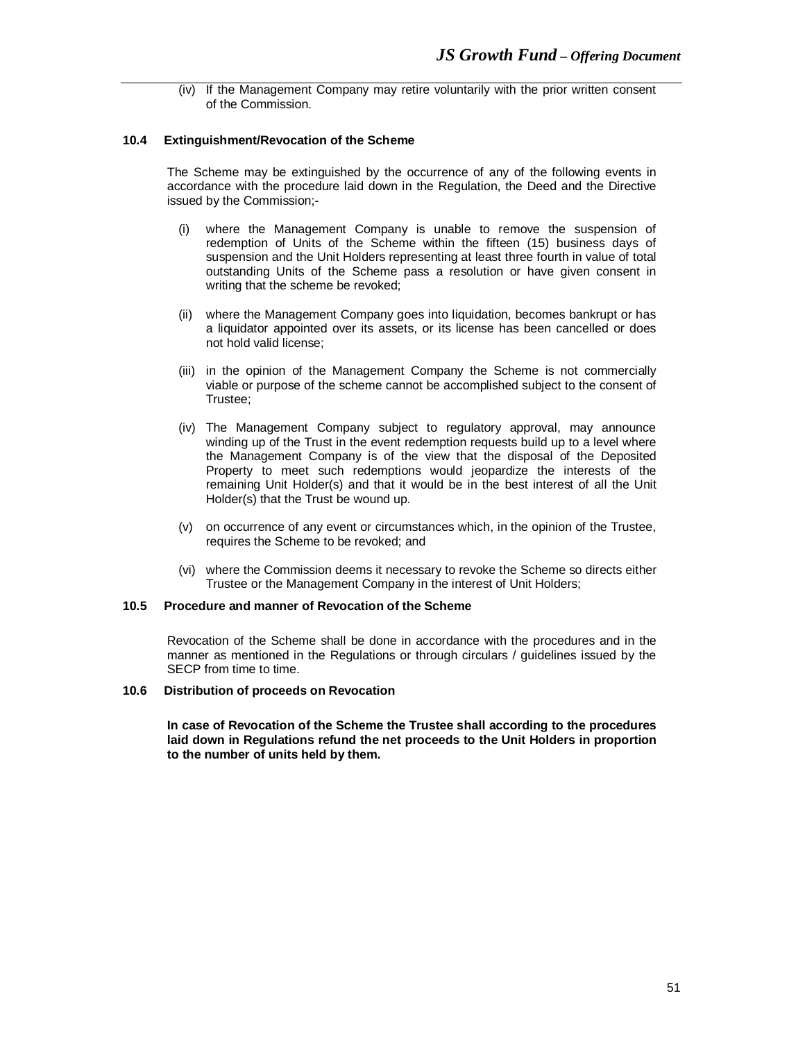(iv) If the Management Company may retire voluntarily with the prior written consent of the Commission.

#### **10.4 Extinguishment/Revocation of the Scheme**

The Scheme may be extinguished by the occurrence of any of the following events in accordance with the procedure laid down in the Regulation, the Deed and the Directive issued by the Commission;-

- (i) where the Management Company is unable to remove the suspension of redemption of Units of the Scheme within the fifteen (15) business days of suspension and the Unit Holders representing at least three fourth in value of total outstanding Units of the Scheme pass a resolution or have given consent in writing that the scheme be revoked;
- (ii) where the Management Company goes into liquidation, becomes bankrupt or has a liquidator appointed over its assets, or its license has been cancelled or does not hold valid license;
- (iii) in the opinion of the Management Company the Scheme is not commercially viable or purpose of the scheme cannot be accomplished subject to the consent of Trustee;
- (iv) The Management Company subject to regulatory approval, may announce winding up of the Trust in the event redemption requests build up to a level where the Management Company is of the view that the disposal of the Deposited Property to meet such redemptions would jeopardize the interests of the remaining Unit Holder(s) and that it would be in the best interest of all the Unit Holder(s) that the Trust be wound up.
- (v) on occurrence of any event or circumstances which, in the opinion of the Trustee, requires the Scheme to be revoked; and
- (vi) where the Commission deems it necessary to revoke the Scheme so directs either Trustee or the Management Company in the interest of Unit Holders;

#### **10.5 Procedure and manner of Revocation of the Scheme**

Revocation of the Scheme shall be done in accordance with the procedures and in the manner as mentioned in the Regulations or through circulars / guidelines issued by the SECP from time to time.

#### **10.6 Distribution of proceeds on Revocation**

**In case of Revocation of the Scheme the Trustee shall according to the procedures laid down in Regulations refund the net proceeds to the Unit Holders in proportion to the number of units held by them.**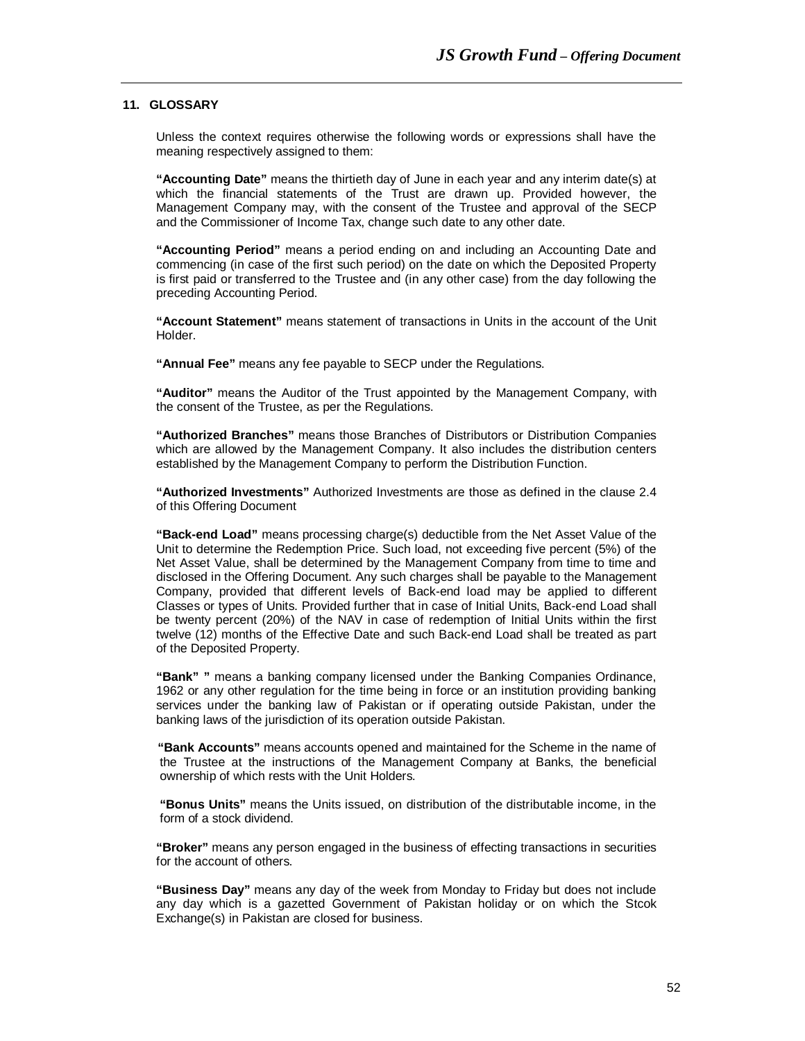# **11. GLOSSARY**

Unless the context requires otherwise the following words or expressions shall have the meaning respectively assigned to them:

**"Accounting Date"** means the thirtieth day of June in each year and any interim date(s) at which the financial statements of the Trust are drawn up. Provided however, the Management Company may, with the consent of the Trustee and approval of the SECP and the Commissioner of Income Tax, change such date to any other date.

**"Accounting Period"** means a period ending on and including an Accounting Date and commencing (in case of the first such period) on the date on which the Deposited Property is first paid or transferred to the Trustee and (in any other case) from the day following the preceding Accounting Period.

**"Account Statement"** means statement of transactions in Units in the account of the Unit Holder.

**"Annual Fee"** means any fee payable to SECP under the Regulations.

**"Auditor"** means the Auditor of the Trust appointed by the Management Company, with the consent of the Trustee, as per the Regulations.

**"Authorized Branches"** means those Branches of Distributors or Distribution Companies which are allowed by the Management Company. It also includes the distribution centers established by the Management Company to perform the Distribution Function.

**"Authorized Investments"** Authorized Investments are those as defined in the clause 2.4 of this Offering Document

**"Back-end Load"** means processing charge(s) deductible from the Net Asset Value of the Unit to determine the Redemption Price. Such load, not exceeding five percent (5%) of the Net Asset Value, shall be determined by the Management Company from time to time and disclosed in the Offering Document. Any such charges shall be payable to the Management Company, provided that different levels of Back-end load may be applied to different Classes or types of Units. Provided further that in case of Initial Units, Back-end Load shall be twenty percent (20%) of the NAV in case of redemption of Initial Units within the first twelve (12) months of the Effective Date and such Back-end Load shall be treated as part of the Deposited Property.

**"Bank" "** means a banking company licensed under the Banking Companies Ordinance, 1962 or any other regulation for the time being in force or an institution providing banking services under the banking law of Pakistan or if operating outside Pakistan, under the banking laws of the jurisdiction of its operation outside Pakistan.

 **"Bank Accounts"** means accounts opened and maintained for the Scheme in the name of the Trustee at the instructions of the Management Company at Banks, the beneficial ownership of which rests with the Unit Holders.

**"Bonus Units"** means the Units issued, on distribution of the distributable income, in the form of a stock dividend.

**"Broker"** means any person engaged in the business of effecting transactions in securities for the account of others.

**"Business Day"** means any day of the week from Monday to Friday but does not include any day which is a gazetted Government of Pakistan holiday or on which the Stcok Exchange(s) in Pakistan are closed for business.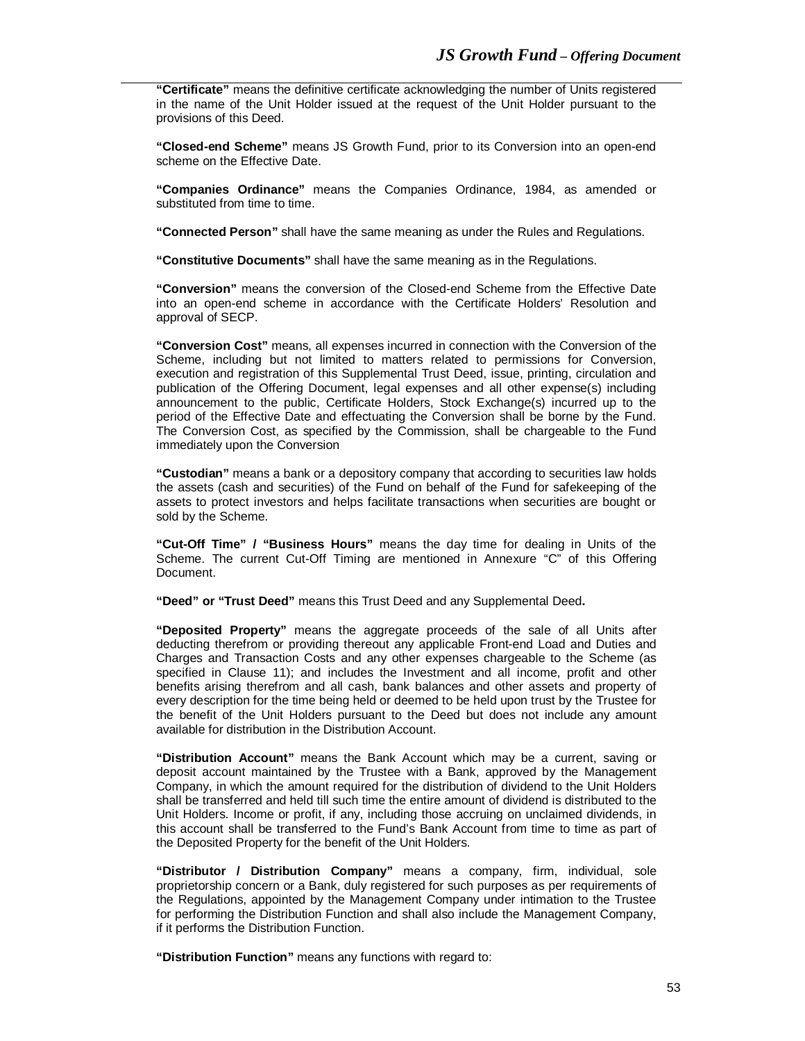**"Certificate"** means the definitive certificate acknowledging the number of Units registered in the name of the Unit Holder issued at the request of the Unit Holder pursuant to the provisions of this Deed.

**"Closed-end Scheme"** means JS Growth Fund, prior to its Conversion into an open-end scheme on the Effective Date.

**"Companies Ordinance"** means the Companies Ordinance, 1984, as amended or substituted from time to time.

**"Connected Person"** shall have the same meaning as under the Rules and Regulations.

**"Constitutive Documents"** shall have the same meaning as in the Regulations.

**"Conversion"** means the conversion of the Closed-end Scheme from the Effective Date into an open-end scheme in accordance with the Certificate Holders' Resolution and approval of SECP.

**"Conversion Cost"** means, all expenses incurred in connection with the Conversion of the Scheme, including but not limited to matters related to permissions for Conversion, execution and registration of this Supplemental Trust Deed, issue, printing, circulation and publication of the Offering Document, legal expenses and all other expense(s) including announcement to the public, Certificate Holders, Stock Exchange(s) incurred up to the period of the Effective Date and effectuating the Conversion shall be borne by the Fund. The Conversion Cost, as specified by the Commission, shall be chargeable to the Fund immediately upon the Conversion

**"Custodian"** means a bank or a depository company that according to securities law holds the assets (cash and securities) of the Fund on behalf of the Fund for safekeeping of the assets to protect investors and helps facilitate transactions when securities are bought or sold by the Scheme.

**"Cut-Off Time" / "Business Hours"** means the day time for dealing in Units of the Scheme. The current Cut-Off Timing are mentioned in Annexure "C" of this Offering Document.

**"Deed" or "Trust Deed"** means this Trust Deed and any Supplemental Deed**.**

**"Deposited Property"** means the aggregate proceeds of the sale of all Units after deducting therefrom or providing thereout any applicable Front-end Load and Duties and Charges and Transaction Costs and any other expenses chargeable to the Scheme (as specified in Clause 11); and includes the Investment and all income, profit and other benefits arising therefrom and all cash, bank balances and other assets and property of every description for the time being held or deemed to be held upon trust by the Trustee for the benefit of the Unit Holders pursuant to the Deed but does not include any amount available for distribution in the Distribution Account.

**"Distribution Account"** means the Bank Account which may be a current, saving or deposit account maintained by the Trustee with a Bank, approved by the Management Company, in which the amount required for the distribution of dividend to the Unit Holders shall be transferred and held till such time the entire amount of dividend is distributed to the Unit Holders. Income or profit, if any, including those accruing on unclaimed dividends, in this account shall be transferred to the Fund's Bank Account from time to time as part of the Deposited Property for the benefit of the Unit Holders.

**"Distributor / Distribution Company"** means a company, firm, individual, sole proprietorship concern or a Bank, duly registered for such purposes as per requirements of the Regulations, appointed by the Management Company under intimation to the Trustee for performing the Distribution Function and shall also include the Management Company, if it performs the Distribution Function.

**"Distribution Function"** means any functions with regard to: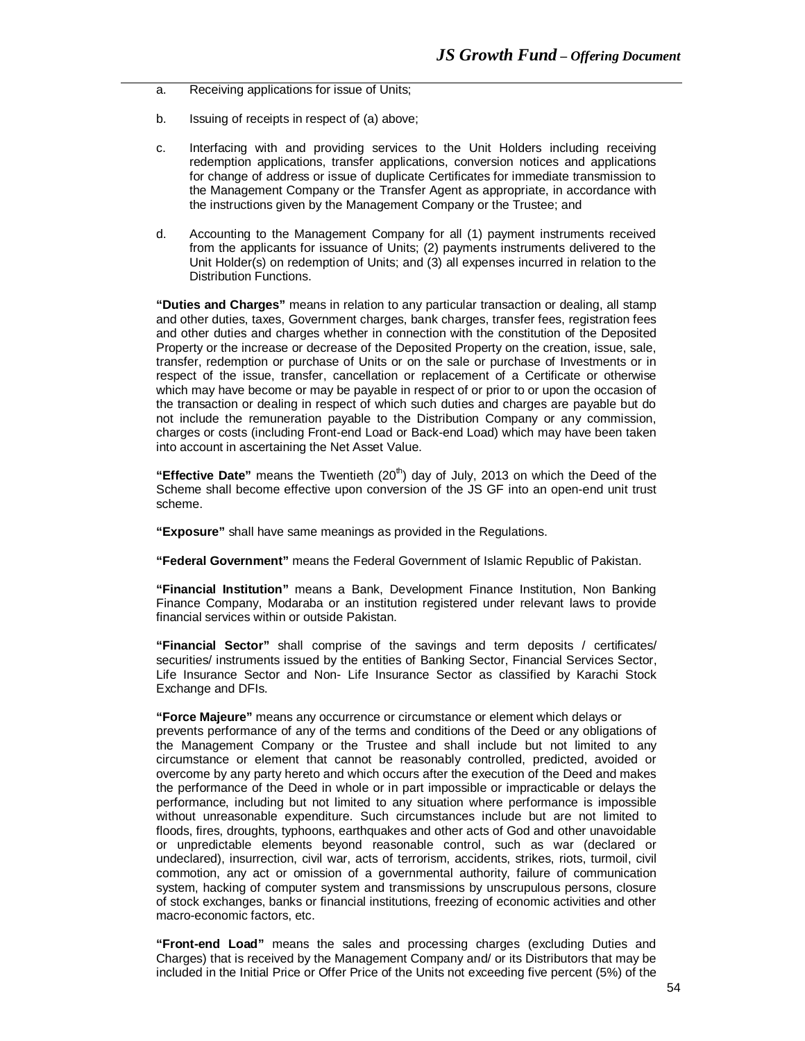- a. Receiving applications for issue of Units;
- b. Issuing of receipts in respect of (a) above;
- c. Interfacing with and providing services to the Unit Holders including receiving redemption applications, transfer applications, conversion notices and applications for change of address or issue of duplicate Certificates for immediate transmission to the Management Company or the Transfer Agent as appropriate, in accordance with the instructions given by the Management Company or the Trustee; and
- d. Accounting to the Management Company for all (1) payment instruments received from the applicants for issuance of Units; (2) payments instruments delivered to the Unit Holder(s) on redemption of Units; and (3) all expenses incurred in relation to the Distribution Functions.

**"Duties and Charges"** means in relation to any particular transaction or dealing, all stamp and other duties, taxes, Government charges, bank charges, transfer fees, registration fees and other duties and charges whether in connection with the constitution of the Deposited Property or the increase or decrease of the Deposited Property on the creation, issue, sale, transfer, redemption or purchase of Units or on the sale or purchase of Investments or in respect of the issue, transfer, cancellation or replacement of a Certificate or otherwise which may have become or may be payable in respect of or prior to or upon the occasion of the transaction or dealing in respect of which such duties and charges are payable but do not include the remuneration payable to the Distribution Company or any commission, charges or costs (including Front-end Load or Back-end Load) which may have been taken into account in ascertaining the Net Asset Value.

**"Effective Date"** means the Twentieth (20 th) day of July, 2013 on which the Deed of the Scheme shall become effective upon conversion of the JS GF into an open-end unit trust scheme.

**"Exposure"** shall have same meanings as provided in the Regulations.

**"Federal Government"** means the Federal Government of Islamic Republic of Pakistan.

**"Financial Institution"** means a Bank, Development Finance Institution, Non Banking Finance Company, Modaraba or an institution registered under relevant laws to provide financial services within or outside Pakistan.

**"Financial Sector"** shall comprise of the savings and term deposits / certificates/ securities/ instruments issued by the entities of Banking Sector, Financial Services Sector, Life Insurance Sector and Non- Life Insurance Sector as classified by Karachi Stock Exchange and DFIs.

**"Force Majeure"** means any occurrence or circumstance or element which delays or

prevents performance of any of the terms and conditions of the Deed or any obligations of the Management Company or the Trustee and shall include but not limited to any circumstance or element that cannot be reasonably controlled, predicted, avoided or overcome by any party hereto and which occurs after the execution of the Deed and makes the performance of the Deed in whole or in part impossible or impracticable or delays the performance, including but not limited to any situation where performance is impossible without unreasonable expenditure. Such circumstances include but are not limited to floods, fires, droughts, typhoons, earthquakes and other acts of God and other unavoidable or unpredictable elements beyond reasonable control, such as war (declared or undeclared), insurrection, civil war, acts of terrorism, accidents, strikes, riots, turmoil, civil commotion, any act or omission of a governmental authority, failure of communication system, hacking of computer system and transmissions by unscrupulous persons, closure of stock exchanges, banks or financial institutions, freezing of economic activities and other macro-economic factors, etc.

**"Front-end Load"** means the sales and processing charges (excluding Duties and Charges) that is received by the Management Company and/ or its Distributors that may be included in the Initial Price or Offer Price of the Units not exceeding five percent (5%) of the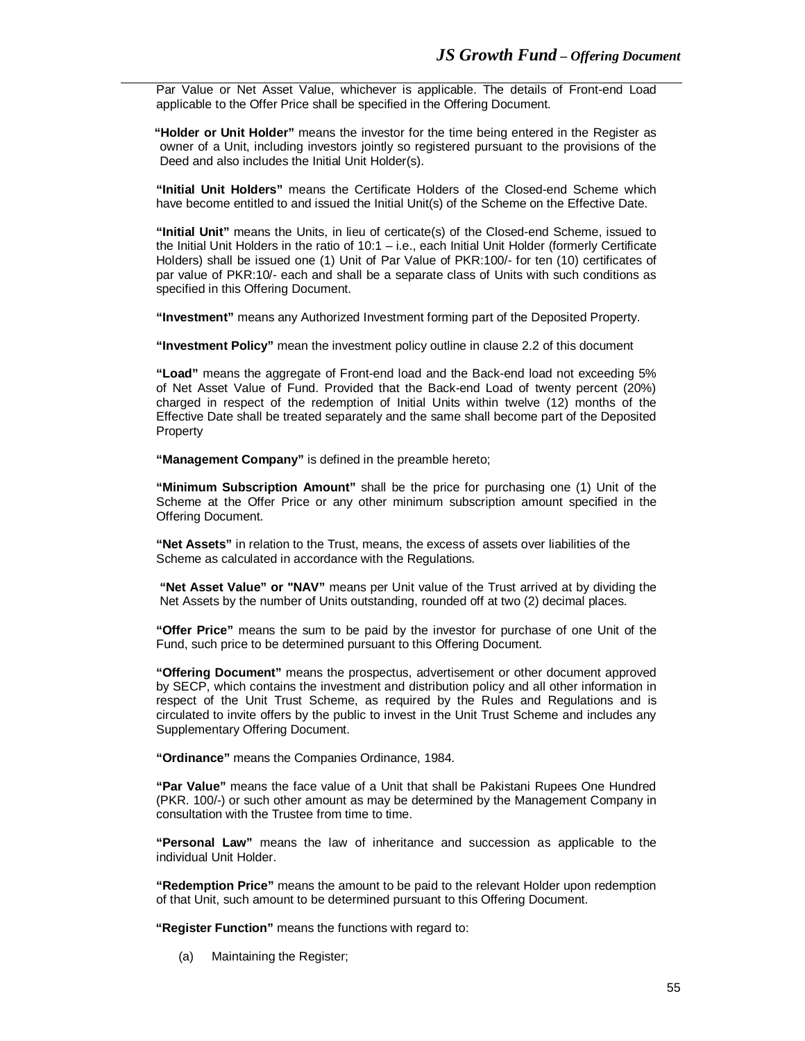Par Value or Net Asset Value, whichever is applicable. The details of Front-end Load applicable to the Offer Price shall be specified in the Offering Document.

 **"Holder or Unit Holder"** means the investor for the time being entered in the Register as owner of a Unit, including investors jointly so registered pursuant to the provisions of the Deed and also includes the Initial Unit Holder(s).

**"Initial Unit Holders"** means the Certificate Holders of the Closed-end Scheme which have become entitled to and issued the Initial Unit(s) of the Scheme on the Effective Date.

**"Initial Unit"** means the Units, in lieu of certicate(s) of the Closed-end Scheme, issued to the Initial Unit Holders in the ratio of 10:1 – i.e., each Initial Unit Holder (formerly Certificate Holders) shall be issued one (1) Unit of Par Value of PKR:100/- for ten (10) certificates of par value of PKR:10/- each and shall be a separate class of Units with such conditions as specified in this Offering Document.

**"Investment"** means any Authorized Investment forming part of the Deposited Property.

**"Investment Policy"** mean the investment policy outline in clause 2.2 of this document

**"Load"** means the aggregate of Front-end load and the Back-end load not exceeding 5% of Net Asset Value of Fund. Provided that the Back-end Load of twenty percent (20%) charged in respect of the redemption of Initial Units within twelve (12) months of the Effective Date shall be treated separately and the same shall become part of the Deposited Property

**"Management Company"** is defined in the preamble hereto;

**"Minimum Subscription Amount"** shall be the price for purchasing one (1) Unit of the Scheme at the Offer Price or any other minimum subscription amount specified in the Offering Document.

**"Net Assets"** in relation to the Trust, means, the excess of assets over liabilities of the Scheme as calculated in accordance with the Regulations.

**"Net Asset Value" or "NAV"** means per Unit value of the Trust arrived at by dividing the Net Assets by the number of Units outstanding, rounded off at two (2) decimal places.

**"Offer Price"** means the sum to be paid by the investor for purchase of one Unit of the Fund, such price to be determined pursuant to this Offering Document.

**"Offering Document"** means the prospectus, advertisement or other document approved by SECP, which contains the investment and distribution policy and all other information in respect of the Unit Trust Scheme, as required by the Rules and Regulations and is circulated to invite offers by the public to invest in the Unit Trust Scheme and includes any Supplementary Offering Document.

**"Ordinance"** means the Companies Ordinance, 1984.

**"Par Value"** means the face value of a Unit that shall be Pakistani Rupees One Hundred (PKR. 100/-) or such other amount as may be determined by the Management Company in consultation with the Trustee from time to time.

**"Personal Law"** means the law of inheritance and succession as applicable to the individual Unit Holder.

**"Redemption Price"** means the amount to be paid to the relevant Holder upon redemption of that Unit, such amount to be determined pursuant to this Offering Document.

 **"Register Function"** means the functions with regard to:

(a) Maintaining the Register;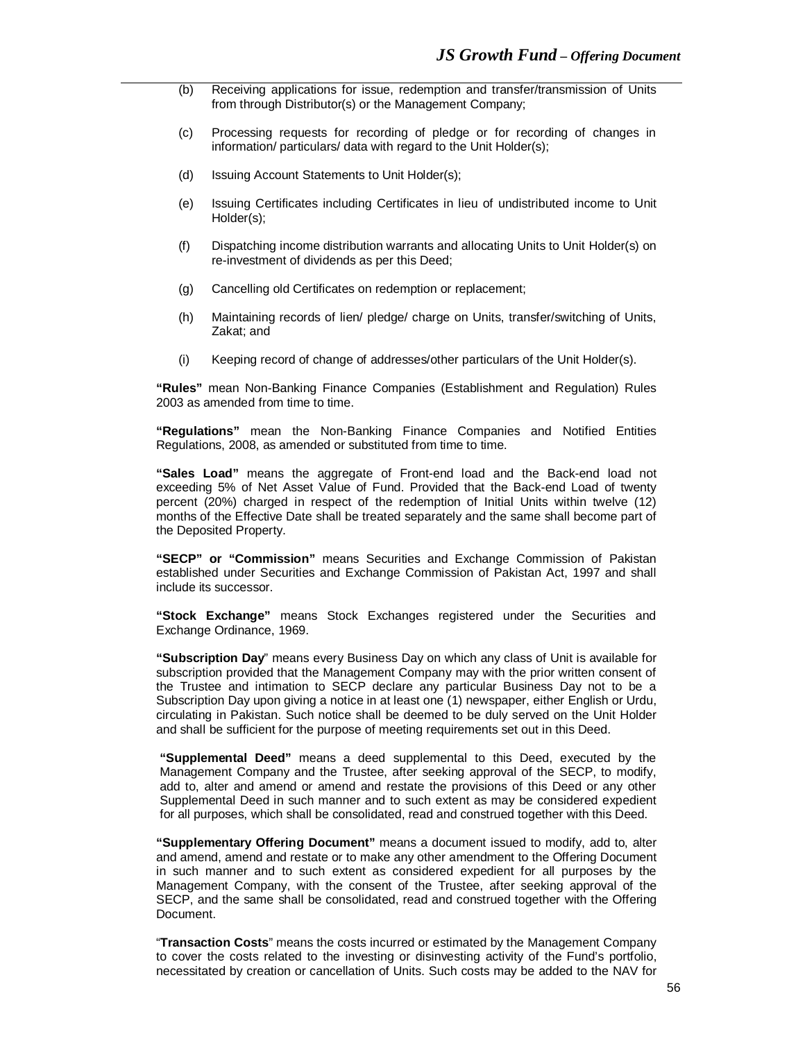- (b) Receiving applications for issue, redemption and transfer/transmission of Units from through Distributor(s) or the Management Company;
- (c) Processing requests for recording of pledge or for recording of changes in information/ particulars/ data with regard to the Unit Holder(s);
- (d) Issuing Account Statements to Unit Holder(s);
- (e) Issuing Certificates including Certificates in lieu of undistributed income to Unit Holder(s);
- (f) Dispatching income distribution warrants and allocating Units to Unit Holder(s) on re-investment of dividends as per this Deed;
- (g) Cancelling old Certificates on redemption or replacement;
- (h) Maintaining records of lien/ pledge/ charge on Units, transfer/switching of Units, Zakat; and
- (i) Keeping record of change of addresses/other particulars of the Unit Holder(s).

**"Rules"** mean Non-Banking Finance Companies (Establishment and Regulation) Rules 2003 as amended from time to time.

**"Regulations"** mean the Non-Banking Finance Companies and Notified Entities Regulations, 2008, as amended or substituted from time to time.

**"Sales Load"** means the aggregate of Front-end load and the Back-end load not exceeding 5% of Net Asset Value of Fund. Provided that the Back-end Load of twenty percent (20%) charged in respect of the redemption of Initial Units within twelve (12) months of the Effective Date shall be treated separately and the same shall become part of the Deposited Property.

**"SECP" or "Commission"** means Securities and Exchange Commission of Pakistan established under Securities and Exchange Commission of Pakistan Act, 1997 and shall include its successor.

**"Stock Exchange"** means Stock Exchanges registered under the Securities and Exchange Ordinance, 1969.

**"Subscription Day**" means every Business Day on which any class of Unit is available for subscription provided that the Management Company may with the prior written consent of the Trustee and intimation to SECP declare any particular Business Day not to be a Subscription Day upon giving a notice in at least one (1) newspaper, either English or Urdu, circulating in Pakistan. Such notice shall be deemed to be duly served on the Unit Holder and shall be sufficient for the purpose of meeting requirements set out in this Deed.

**"Supplemental Deed"** means a deed supplemental to this Deed, executed by the Management Company and the Trustee, after seeking approval of the SECP, to modify, add to, alter and amend or amend and restate the provisions of this Deed or any other Supplemental Deed in such manner and to such extent as may be considered expedient for all purposes, which shall be consolidated, read and construed together with this Deed.

**"Supplementary Offering Document"** means a document issued to modify, add to, alter and amend, amend and restate or to make any other amendment to the Offering Document in such manner and to such extent as considered expedient for all purposes by the Management Company, with the consent of the Trustee, after seeking approval of the SECP, and the same shall be consolidated, read and construed together with the Offering Document.

"**Transaction Costs**" means the costs incurred or estimated by the Management Company to cover the costs related to the investing or disinvesting activity of the Fund's portfolio, necessitated by creation or cancellation of Units. Such costs may be added to the NAV for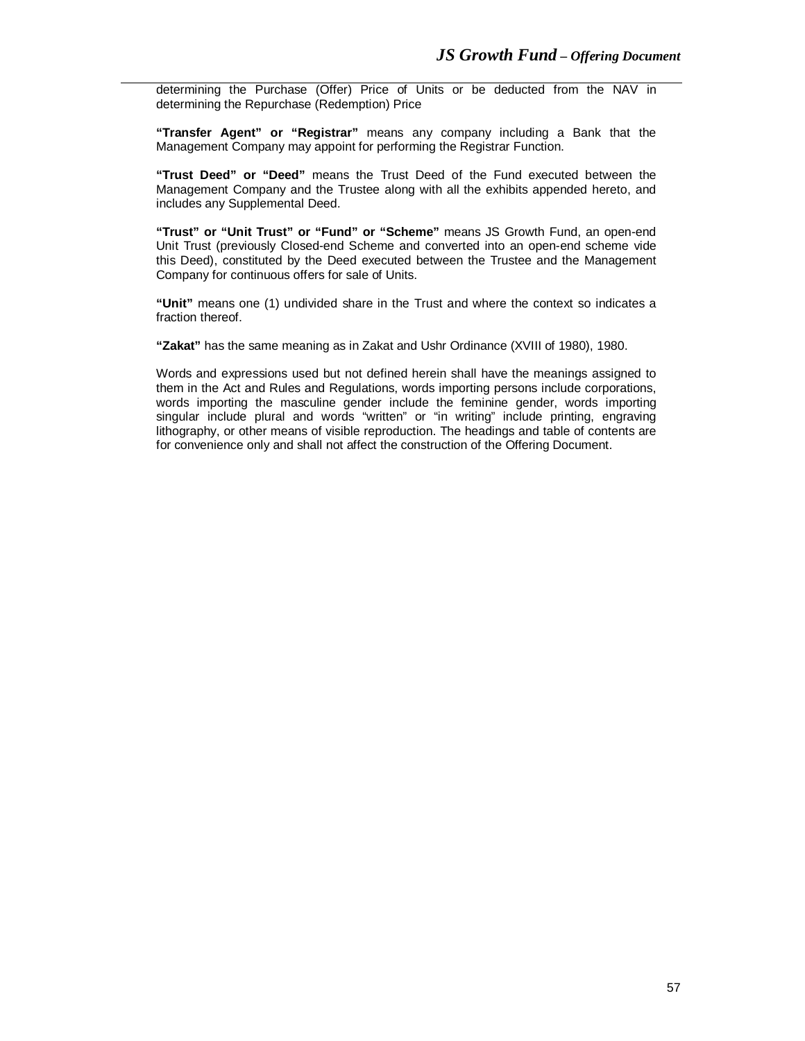determining the Purchase (Offer) Price of Units or be deducted from the NAV in determining the Repurchase (Redemption) Price

**"Transfer Agent" or "Registrar"** means any company including a Bank that the Management Company may appoint for performing the Registrar Function.

**"Trust Deed" or "Deed"** means the Trust Deed of the Fund executed between the Management Company and the Trustee along with all the exhibits appended hereto, and includes any Supplemental Deed.

**"Trust" or "Unit Trust" or "Fund" or "Scheme"** means JS Growth Fund, an open-end Unit Trust (previously Closed-end Scheme and converted into an open-end scheme vide this Deed), constituted by the Deed executed between the Trustee and the Management Company for continuous offers for sale of Units.

**"Unit"** means one (1) undivided share in the Trust and where the context so indicates a fraction thereof.

**"Zakat"** has the same meaning as in Zakat and Ushr Ordinance (XVIII of 1980), 1980.

Words and expressions used but not defined herein shall have the meanings assigned to them in the Act and Rules and Regulations, words importing persons include corporations, words importing the masculine gender include the feminine gender, words importing singular include plural and words "written" or "in writing" include printing, engraving lithography, or other means of visible reproduction. The headings and table of contents are for convenience only and shall not affect the construction of the Offering Document.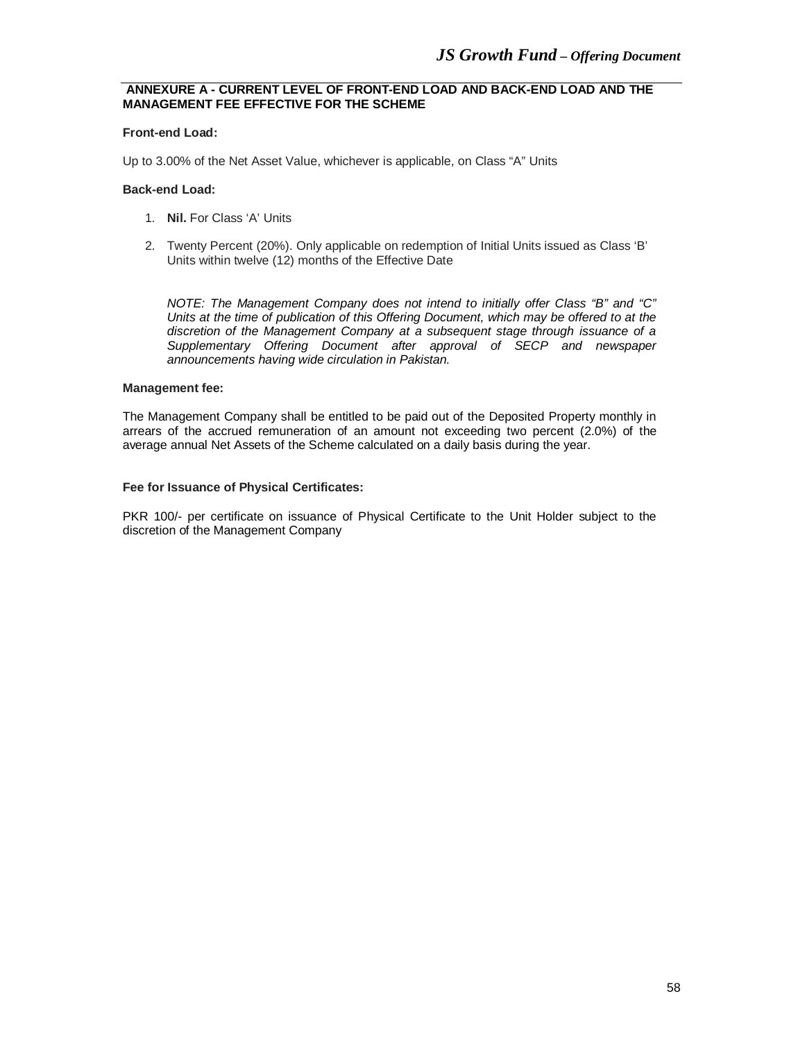## **ANNEXURE A - CURRENT LEVEL OF FRONT-END LOAD AND BACK-END LOAD AND THE MANAGEMENT FEE EFFECTIVE FOR THE SCHEME**

#### **Front-end Load:**

Up to 3.00% of the Net Asset Value, whichever is applicable, on Class "A" Units

#### **Back-end Load:**

- 1. **Nil.** For Class 'A' Units
- 2. Twenty Percent (20%). Only applicable on redemption of Initial Units issued as Class 'B' Units within twelve (12) months of the Effective Date

*NOTE: The Management Company does not intend to initially offer Class "B" and "C" Units at the time of publication of this Offering Document, which may be offered to at the discretion of the Management Company at a subsequent stage through issuance of a Supplementary Offering Document after approval of SECP and newspaper announcements having wide circulation in Pakistan.*

#### **Management fee:**

The Management Company shall be entitled to be paid out of the Deposited Property monthly in arrears of the accrued remuneration of an amount not exceeding two percent (2.0%) of the average annual Net Assets of the Scheme calculated on a daily basis during the year.

#### **Fee for Issuance of Physical Certificates:**

PKR 100/- per certificate on issuance of Physical Certificate to the Unit Holder subject to the discretion of the Management Company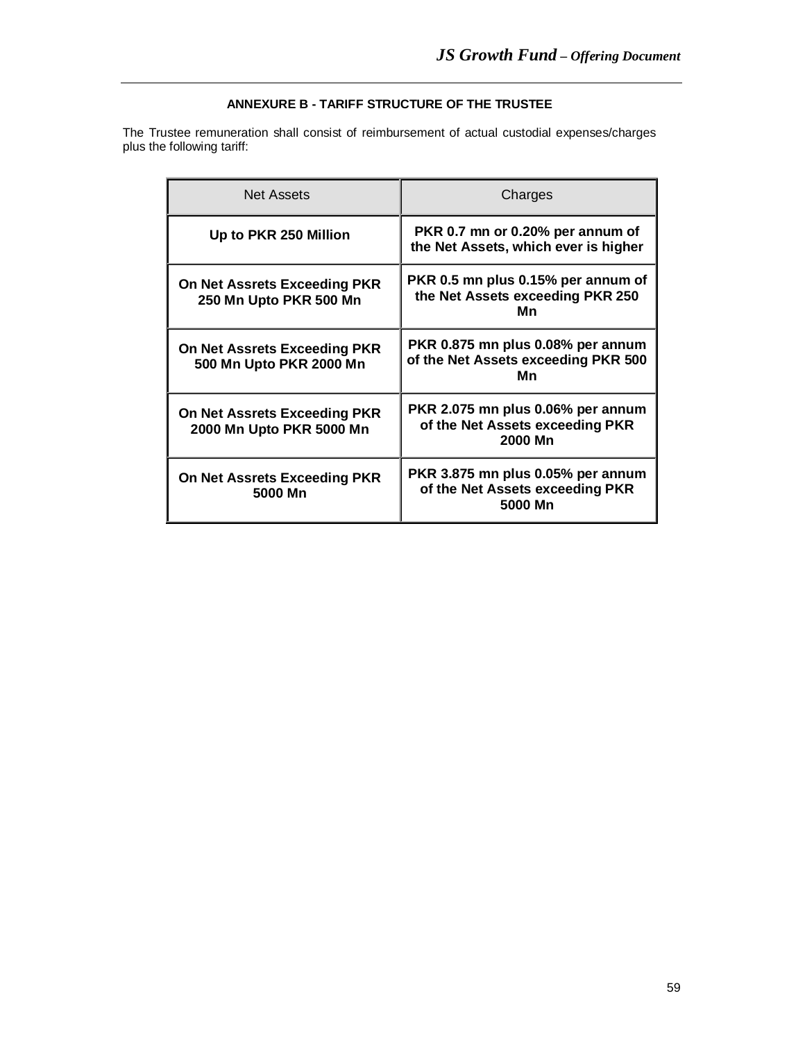# **ANNEXURE B - TARIFF STRUCTURE OF THE TRUSTEE**

The Trustee remuneration shall consist of reimbursement of actual custodial expenses/charges plus the following tariff:

| <b>Net Assets</b>                                        | Charges                                                                         |
|----------------------------------------------------------|---------------------------------------------------------------------------------|
| Up to PKR 250 Million                                    | PKR 0.7 mn or 0.20% per annum of<br>the Net Assets, which ever is higher        |
| On Net Assrets Exceeding PKR<br>250 Mn Upto PKR 500 Mn   | PKR 0.5 mn plus 0.15% per annum of<br>the Net Assets exceeding PKR 250<br>Mn    |
| On Net Assrets Exceeding PKR<br>500 Mn Upto PKR 2000 Mn  | PKR 0.875 mn plus 0.08% per annum<br>of the Net Assets exceeding PKR 500<br>Mn  |
| On Net Assrets Exceeding PKR<br>2000 Mn Upto PKR 5000 Mn | PKR 2.075 mn plus 0.06% per annum<br>of the Net Assets exceeding PKR<br>2000 Mn |
| On Net Assrets Exceeding PKR<br>5000 Mn                  | PKR 3.875 mn plus 0.05% per annum<br>of the Net Assets exceeding PKR<br>5000 Mn |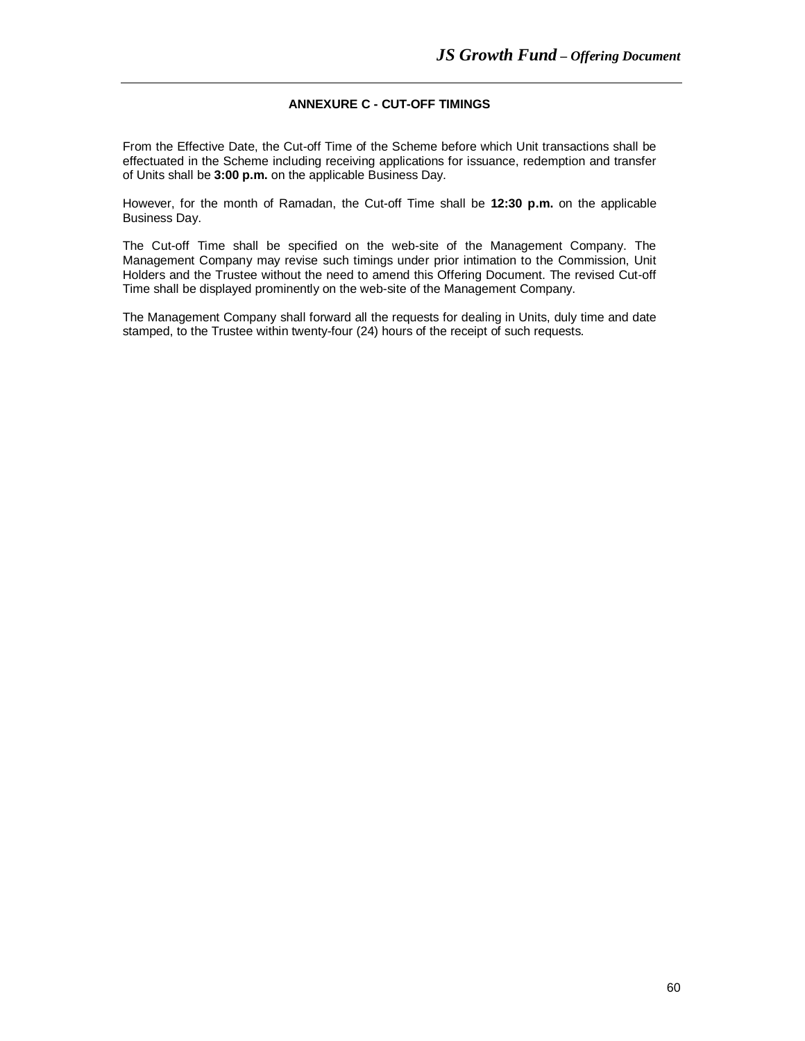# **ANNEXURE C - CUT-OFF TIMINGS**

From the Effective Date, the Cut-off Time of the Scheme before which Unit transactions shall be effectuated in the Scheme including receiving applications for issuance, redemption and transfer of Units shall be **3:00 p.m.** on the applicable Business Day.

However, for the month of Ramadan, the Cut-off Time shall be **12:30 p.m.** on the applicable Business Day.

The Cut-off Time shall be specified on the web-site of the Management Company. The Management Company may revise such timings under prior intimation to the Commission, Unit Holders and the Trustee without the need to amend this Offering Document. The revised Cut-off Time shall be displayed prominently on the web-site of the Management Company.

The Management Company shall forward all the requests for dealing in Units, duly time and date stamped, to the Trustee within twenty-four (24) hours of the receipt of such requests.